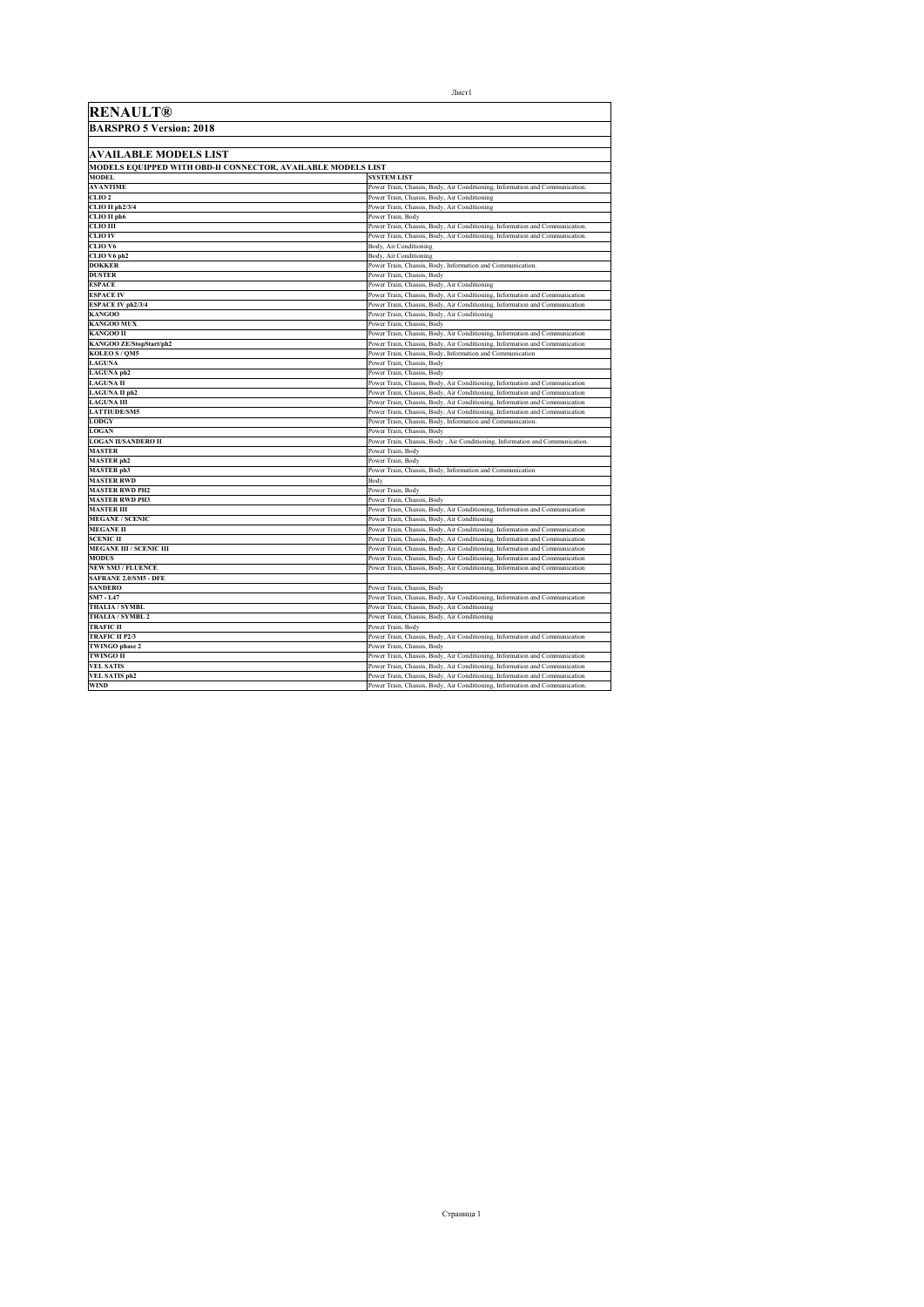| <b>RENAULT®</b>                                              |                                                                                                           |
|--------------------------------------------------------------|-----------------------------------------------------------------------------------------------------------|
| <b>BARSPRO 5 Version: 2018</b>                               |                                                                                                           |
|                                                              |                                                                                                           |
| AVAILABLE MODELS LIST                                        |                                                                                                           |
| MODELS EQUIPPED WITH OBD-II CONNECTOR, AVAILABLE MODELS LIST |                                                                                                           |
| <b>MODEL</b>                                                 | <b>SYSTEM LIST</b>                                                                                        |
| <b>AVANTIME</b>                                              | Power Train, Chassis, Body, Air Conditioning, Information and Communication.                              |
| CLIO <sub>2</sub>                                            | Power Train, Chassis, Body, Air Conditioning                                                              |
| CLIO II ph2/3/4                                              | Power Train, Chassis, Body, Air Conditioning                                                              |
| CLIO II ph6                                                  | Power Train, Body                                                                                         |
| CLIO III                                                     | Power Train, Chassis, Body, Air Conditioning, Information and Communication.                              |
| <b>CLIO IV</b>                                               | Power Train, Chassis, Body, Air Conditioning, Information and Communication.                              |
| CLIO V6                                                      | Body, Air Conditioning                                                                                    |
| CLIO V6 ph2                                                  | Body, Air Conditioning                                                                                    |
| <b>DOKKER</b>                                                | Power Train, Chassis, Body, Information and Communication.                                                |
| <b>DUSTER</b>                                                | Power Train, Chassis, Body                                                                                |
| <b>ESPACE</b>                                                | Power Train, Chassis, Body, Air Conditioning                                                              |
| <b>ESPACE IV</b>                                             | Power Train, Chassis, Body, Air Conditioning, Information and Communication                               |
| <b>ESPACE IV ph2/3/4</b>                                     | Power Train, Chassis, Body, Air Conditioning, Information and Communication                               |
| <b>KANGOO</b>                                                | Power Train, Chassis, Body, Air Conditioning                                                              |
| <b>KANGOO MUX</b>                                            | Power Train, Chassis, Body                                                                                |
| <b>KANGOO II</b>                                             | Power Train, Chassis, Body, Air Conditioning, Information and Communication                               |
| KANGOO ZE/StopStart/ph2                                      | Power Train, Chassis, Body, Air Conditioning, Information and Communication                               |
| KOLEO S / QM5<br><b>LAGUNA</b>                               | Power Train, Chassis, Body, Information and Communication<br>Power Train, Chassis, Body                   |
| LAGUNA ph2                                                   | Power Train, Chassis, Body                                                                                |
| <b>LAGUNA II</b>                                             | Power Train, Chassis, Body, Air Conditioning, Information and Communication                               |
| <b>LAGUNA II ph2</b>                                         | Power Train, Chassis, Body, Air Conditioning, Information and Communication                               |
| <b>LAGUNA III</b>                                            | Power Train, Chassis, Body, Air Conditioning, Information and Communication                               |
| <b>LATTIUDE/SM5</b>                                          | Power Train, Chassis, Body, Air Conditioning, Information and Communication                               |
| <b>LODGY</b>                                                 | Power Train, Chassis, Body, Information and Communication.                                                |
| <b>LOGAN</b>                                                 | Power Train, Chassis, Body                                                                                |
| <b>LOGAN II/SANDERO II</b>                                   | Power Train, Chassis, Body, Air Conditioning, Information and Communication.                              |
| <b>MASTER</b>                                                | Power Train. Body                                                                                         |
| <b>MASTER</b> ph2                                            | Power Train. Body                                                                                         |
| <b>MASTER</b> ph3                                            | Power Train, Chassis, Body, Information and Communication                                                 |
| <b>MASTER RWD</b>                                            | Body                                                                                                      |
| <b>MASTER RWD PH2</b>                                        | Power Train, Body                                                                                         |
| <b>MASTER RWD PH3</b>                                        | Power Train, Chassis, Body                                                                                |
| <b>MASTER III</b>                                            | Power Train, Chassis, Body, Air Conditioning, Information and Communication                               |
| <b>MEGANE / SCENIC</b>                                       | Power Train, Chassis, Body, Air Conditioning                                                              |
| <b>MEGANE II</b>                                             | Power Train, Chassis, Body, Air Conditioning, Information and Communication                               |
| <b>SCENIC II</b>                                             | Power Train, Chassis, Body, Air Conditioning, Information and Communication                               |
| <b>MEGANE III / SCENIC III</b>                               | Power Train, Chassis, Body, Air Conditioning, Information and Communication                               |
| <b>MODUS</b>                                                 | Power Train, Chassis, Body, Air Conditioning, Information and Communication                               |
| <b>NEW SM3 / FLUENCE</b>                                     | Power Train, Chassis, Body, Air Conditioning, Information and Communication                               |
| SAFRANE 2.0/SM5 - DFE                                        |                                                                                                           |
| <b>SANDERO</b>                                               | Power Train, Chassis, Body                                                                                |
| SM7 - L47                                                    | Power Train, Chassis, Body, Air Conditioning, Information and Communication                               |
| <b>THALIA / SYMBL</b>                                        | Power Train, Chassis, Body, Air Conditioning                                                              |
| THALIA / SYMBL 2<br><b>TRAFIC II</b>                         | Power Train, Chassis, Body, Air Conditioning<br>Power Train, Body                                         |
| <b>TRAFIC II P2/3</b>                                        |                                                                                                           |
| <b>TWINGO</b> phase 2                                        | Power Train, Chassis, Body, Air Conditioning, Information and Communication<br>Power Train, Chassis, Body |
| <b>TWINGO II</b>                                             | Power Train, Chassis, Body, Air Conditioning, Information and Communication                               |
| <b>VEL SATIS</b>                                             | Power Train, Chassis, Body, Air Conditioning, Information and Communication                               |
| <b>VEL SATIS ph2</b>                                         | Power Train, Chassis, Body, Air Conditioning, Information and Communication                               |
| <b>WIND</b>                                                  | Power Train, Chassis, Body, Air Conditioning, Information and Communication.                              |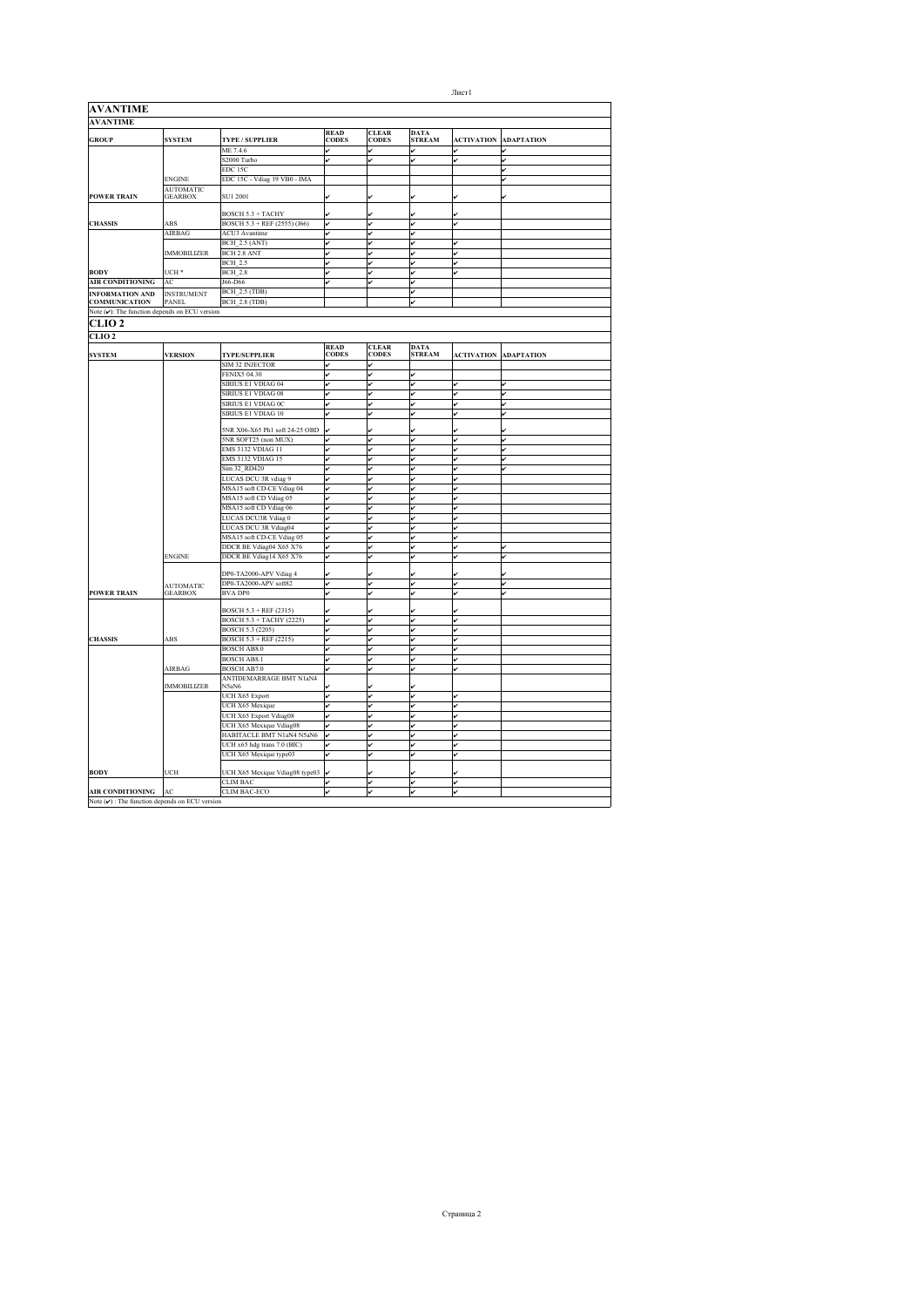| <b>AVANTIME</b>                                           |                    |                                                      |              |                       |                          |                   |                   |
|-----------------------------------------------------------|--------------------|------------------------------------------------------|--------------|-----------------------|--------------------------|-------------------|-------------------|
| <b>AVANTIME</b>                                           |                    |                                                      |              |                       |                          |                   |                   |
|                                                           |                    |                                                      | <b>READ</b>  | <b>CLEAR</b><br>CODES | <b>DATA</b><br>STREAM    |                   |                   |
| <b>GROUP</b>                                              | <b>SYSTEM</b>      | TYPE / SUPPLIER                                      | <b>CODES</b> |                       |                          | <b>ACTIVATION</b> | <b>ADAPTATION</b> |
|                                                           |                    | ME 7.4.6<br>S2000 Turbo                              | v            | v                     | v<br>v                   | J                 | v<br>ر            |
|                                                           |                    | EDC 15C                                              |              |                       |                          |                   | J                 |
|                                                           | <b>ENGINE</b>      | EDC 15C - Vdiag 19 VB0 - IMA                         |              |                       |                          |                   |                   |
|                                                           | <b>AUTOMATIC</b>   |                                                      |              |                       |                          |                   |                   |
| <b>POWER TRAIN</b>                                        | <b>GEARBOX</b>     | SU1 2001                                             |              |                       |                          |                   |                   |
|                                                           |                    |                                                      |              |                       |                          |                   |                   |
| <b>CHASSIS</b>                                            | ABS                | BOSCH 5.3 + TACHY<br>BOSCH 5.3 + REF (2555) (J66)    |              |                       |                          | ú                 |                   |
|                                                           | AIRBAG             | <b>ACU3</b> Avantime                                 | v            | ◡                     | v<br>v                   |                   |                   |
|                                                           |                    | <b>BCH_2.5 (ANT)</b>                                 | v            | v                     | v                        | v                 |                   |
|                                                           | <b>IMMOBILIZER</b> | BCH 2.8 ANT                                          | v            |                       | v                        |                   |                   |
|                                                           |                    | <b>BCH 2.5</b>                                       | v            | v                     | v                        | v                 |                   |
| <b>BODY</b>                                               | UCH *              | <b>BCH 2.8</b>                                       |              |                       | v                        |                   |                   |
| <b>AIR CONDITIONING</b>                                   | AC                 | J66-D66                                              |              | ú                     | v                        |                   |                   |
| <b>INFORMATION AND</b>                                    | <b>INSTRUMENT</b>  | BCH 2.5 (TDB)                                        |              |                       | ⊽                        |                   |                   |
| <b>COMMUNICATION</b>                                      | <b>PANEL</b>       | <b>BCH 2.8 (TDB)</b>                                 |              |                       | $\overline{\phantom{a}}$ |                   |                   |
| Note $(\checkmark)$ : The function depends on ECU version |                    |                                                      |              |                       |                          |                   |                   |
| CLIO 2                                                    |                    |                                                      |              |                       |                          |                   |                   |
| CLIO <sub>2</sub>                                         |                    |                                                      |              |                       |                          |                   |                   |
|                                                           |                    |                                                      | <b>READ</b>  | <b>CLEAR</b>          | <b>DATA</b>              |                   |                   |
| <b>SYSTEM</b>                                             | <b>VERSION</b>     | <b>TYPE/SUPPLIER</b>                                 | <b>CODES</b> | <b>CODES</b>          | <b>STREAM</b>            | <b>ACTIVATION</b> | <b>ADAPTATION</b> |
|                                                           |                    | <b>SIM 32 INJECTOR</b>                               |              | v                     |                          |                   |                   |
|                                                           |                    | <b>FENIX5 04.30</b>                                  | ر            | v                     | v                        |                   |                   |
|                                                           |                    | SIRIUS E1 VDIAG 04                                   | ر            | v                     | v                        | v                 |                   |
|                                                           |                    | SIRIUS E1 VDIAG 08                                   | v            | v                     | v                        | v                 | v                 |
|                                                           |                    | SIRIUS E1 VDIAG 0C                                   |              |                       | v                        |                   | v                 |
|                                                           |                    | SIRIUS E1 VDIAG 10                                   |              | ú                     | v                        | v                 | J                 |
|                                                           |                    | 5NR X06-X65 Ph1 soft 24-25 OBD                       |              |                       |                          |                   |                   |
|                                                           |                    | 5NR SOFT25 (non MUX)                                 |              | ر                     | J                        | v                 |                   |
|                                                           |                    | <b>EMS 3132 VDIAG 11</b>                             | v            | ◡                     | v                        | ú                 | ú                 |
|                                                           |                    | <b>EMS 3132 VDIAG 15</b>                             | ✓            | v                     | v                        | v                 | v                 |
|                                                           |                    | Sim 32 RD420                                         | v            | v                     | v                        | v                 | v                 |
|                                                           |                    | LUCAS DCU 3R vdiag 9                                 | v            | v                     | v                        | v                 |                   |
|                                                           |                    | MSA15 soft CD-CE Vdiag 04                            | v            | ú                     | v                        | v                 |                   |
|                                                           |                    | MSA15 soft CD Vdiag 05                               | lv           | ú                     | v                        | v                 |                   |
|                                                           |                    | MSA15 soft CD Vdiag 06                               | lv           | v                     | ⊽                        | ú                 |                   |
|                                                           |                    | <b>LUCAS DCU3R Vdiag 0</b>                           | J            | ر                     | J                        | ú                 |                   |
|                                                           |                    | LUCAS DCU 3R Vdiag04                                 | v            |                       | v                        |                   |                   |
|                                                           |                    | MSA15 soft CD-CE Vdiag 05<br>DDCR BE Vdiag04 X65 X76 | v            |                       | v<br>v                   |                   |                   |
|                                                           | <b>ENGINE</b>      | DDCR BE Vdiag14 X65 X76                              |              | ر                     | J                        | ú                 |                   |
|                                                           |                    |                                                      |              |                       |                          |                   |                   |
|                                                           |                    | DP0-TA2000-APV Vdiag 4                               |              |                       | ú                        | ú                 |                   |
|                                                           | <b>AUTOMATIC</b>   | DP0-TA2000-APV soft82                                | l.           | ر                     | J                        | ú                 |                   |
| POWER TRAIN                                               | <b>GEARBOX</b>     | <b>BVA DP0</b>                                       |              |                       | v                        |                   |                   |
|                                                           |                    | BOSCH 5.3 + REF (2315)                               |              |                       |                          |                   |                   |
|                                                           |                    | BOSCH 5.3 + TACHY (2225)                             | v            | v                     | v                        | v                 |                   |
|                                                           |                    | BOSCH 5.3 (2205)                                     | v            | ú                     | v                        | v                 |                   |
| <b>CHASSIS</b>                                            | ABS                | <b>BOSCH 5.3 + REF (2215)</b>                        | lv           | v                     | v                        | v                 |                   |
|                                                           |                    | <b>BOSCH AB8.0</b>                                   | v            | ر                     | J                        | $\overline{a}$    |                   |
|                                                           |                    | <b>BOSCH AB8.1</b>                                   | v            |                       | v                        |                   |                   |
|                                                           | AIRBAG             | <b>BOSCH AB7.0</b>                                   | J            | v                     | v                        | v                 |                   |
|                                                           | <b>IMMOBILIZER</b> | ANTIDEMARRAGE BMT N1aN4<br>N5aN6                     |              |                       |                          |                   |                   |
|                                                           |                    | UCH X65 Export                                       | v            | v                     | v                        | v                 |                   |
|                                                           |                    | UCH X65 Mexique                                      | ر            | ú                     | v                        | ú                 |                   |
|                                                           |                    | UCH X65 Export Vdiag08                               |              |                       | v                        |                   |                   |
|                                                           |                    | UCH X65 Mexique Vdiag08                              |              |                       |                          |                   |                   |
|                                                           |                    | HABITACLE BMT N1aN4 N5aN6                            |              |                       | v                        |                   |                   |
|                                                           |                    | UCH x65 hdg trans 7.0 (BIC)                          |              | ú                     | v                        | v                 |                   |
|                                                           |                    | UCH X65 Mexique type03                               | ✓            | v                     | v                        | v                 |                   |
| <b>BODY</b>                                               | UCH                | UCH X65 Mexique Vdiag08 type03                       |              |                       |                          |                   |                   |
| <b>AIR CONDITIONING</b>                                   |                    | <b>CLIM BAC</b><br><b>CLIM BAC-ECO</b>               |              |                       |                          |                   |                   |
| Note $(\vee)$ : The function depends on ECU version       | ${\bf AC}$         |                                                      |              |                       |                          |                   |                   |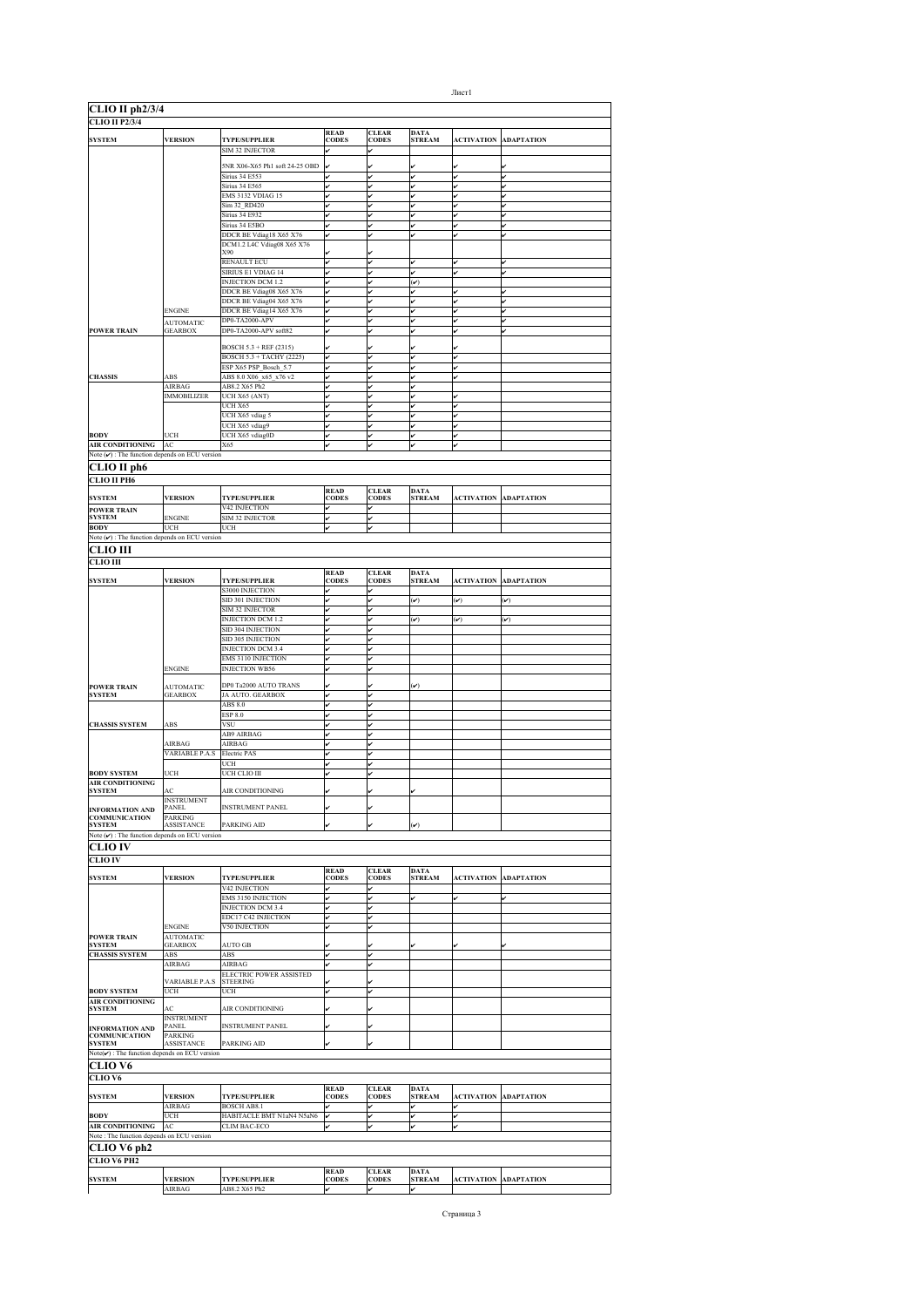| CLIO II ph2/3/4<br><b>CLIO II P2/3/4</b>                             |                                   |                                                    |                             |                              |                              |                   |                              |
|----------------------------------------------------------------------|-----------------------------------|----------------------------------------------------|-----------------------------|------------------------------|------------------------------|-------------------|------------------------------|
| <b>SYSTEM</b>                                                        | <b>VERSION</b>                    | <b>TYPE/SUPPLIER</b>                               | <b>READ</b><br><b>CODES</b> | <b>CLEAR</b><br><b>CODES</b> | <b>DATA</b><br><b>STREAM</b> | <b>ACTIVATION</b> | <b>ADAPTATION</b>            |
|                                                                      |                                   | SIM 32 INJECTOR                                    |                             |                              |                              |                   |                              |
|                                                                      |                                   | 5NR X06-X65 Ph1 soft 24-25 OBD                     |                             |                              |                              |                   |                              |
|                                                                      |                                   | Sirius 34 E553                                     |                             |                              | v                            |                   |                              |
|                                                                      |                                   | <b>Sirius 34 E565</b><br>EMS 3132 VDIAG 15         |                             | v<br>v                       | v                            | v                 | ✓                            |
|                                                                      |                                   | Sim 32 RD420                                       |                             | v                            | v                            | v                 |                              |
|                                                                      |                                   | <b>Sirius 34 E932</b>                              |                             |                              | v                            |                   |                              |
|                                                                      |                                   | Sirius 34 E5BO<br>DDCR BE Vdiag18 X65 X76          | v                           | ú                            | v                            | ú                 |                              |
|                                                                      |                                   | DCM1.2 L4C Vdiag08 X65 X76                         |                             |                              |                              |                   |                              |
|                                                                      |                                   | X90                                                |                             |                              |                              |                   |                              |
|                                                                      |                                   | RENAULT ECU<br>SIRIUS E1 VDIAG 14                  |                             |                              | v<br>v                       | J                 | ر                            |
|                                                                      |                                   | INJECTION DCM 1.2                                  |                             | ر                            | $(\check{\mathbf{v}})$       |                   |                              |
|                                                                      |                                   | DDCR BE Vdiag08 X65 X76                            |                             |                              |                              |                   |                              |
|                                                                      | <b>ENGINE</b>                     | DDCR BE Vdiag04 X65 X76<br>DDCR BE Vdiag14 X65 X76 |                             |                              |                              |                   |                              |
|                                                                      | <b>AUTOMATIC</b>                  | DP0-TA2000-APV                                     | ✓                           |                              | v                            |                   |                              |
| <b>POWER TRAIN</b>                                                   | <b>GEARBOX</b>                    | DP0-TA2000-APV soft82                              | ✓                           | ú                            | v                            | ✓                 | ✓                            |
|                                                                      |                                   | BOSCH 5.3 + REF (2315)                             |                             |                              |                              |                   |                              |
|                                                                      |                                   | BOSCH 5.3 + TACHY (2225)                           |                             |                              |                              |                   |                              |
|                                                                      |                                   | ESP X65 PSP_Bosch_5.7                              |                             |                              |                              |                   |                              |
| <b>CHASSIS</b>                                                       | ABS<br>AIRBAG                     | ABS 8.0 X06_x65_x76 v2<br>AB8.2 X65 Ph2            | ✓<br>✓                      | v                            |                              | v                 |                              |
|                                                                      | <b>IMMOBILIZER</b>                | UCH X65 (ANT)                                      | ✓                           | v                            | v                            | v                 |                              |
|                                                                      |                                   | UCH X65                                            |                             |                              | v                            |                   |                              |
|                                                                      |                                   | UCH X65 vdiag 5                                    | ر<br>ر                      | ر                            | v<br>v                       | v                 |                              |
| <b>BODY</b>                                                          | UCH                               | UCH X65 vdiag9<br>UCH X65 vdiag0D                  | v                           | v                            | v                            | v                 |                              |
| <b>AIR CONDITIONING</b>                                              | AC                                | X65                                                |                             |                              |                              |                   |                              |
| Note $(\checkmark)$ : The function depends on ECU version            |                                   |                                                    |                             |                              |                              |                   |                              |
| CLIO II ph6                                                          |                                   |                                                    |                             |                              |                              |                   |                              |
| СІЛО ІІ РН6                                                          |                                   |                                                    |                             |                              |                              |                   |                              |
| <b>SYSTEM</b>                                                        | <b>VERSION</b>                    | <b>TYPE/SUPPLIER</b>                               | <b>READ</b><br><b>CODES</b> | <b>CLEAR</b><br><b>CODES</b> | <b>DATA</b><br><b>STREAM</b> | <b>ACTIVATION</b> | <b>ADAPTATION</b>            |
| <b>POWER TRAIN</b>                                                   |                                   | V42 INJECTION                                      | v                           | v                            |                              |                   |                              |
| <b>SYSTEM</b><br><b>BODY</b>                                         | <b>ENGINE</b><br>UCH              | SIM 32 INJECTOR<br>UCH                             |                             | v                            |                              |                   |                              |
| Note $(v)$ : The function depends on ECU version                     |                                   |                                                    |                             |                              |                              |                   |                              |
| CLIO III                                                             |                                   |                                                    |                             |                              |                              |                   |                              |
| <b>CLIO III</b>                                                      |                                   |                                                    |                             |                              |                              |                   |                              |
|                                                                      |                                   |                                                    | <b>READ</b>                 | <b>CLEAR</b>                 | <b>DATA</b>                  |                   |                              |
| <b>SYSTEM</b>                                                        | <b>VERSION</b>                    | <b>TYPE/SUPPLIER</b><br><b>S3000 INJECTION</b>     | <b>CODES</b>                | <b>CODES</b>                 | <b>STREAM</b>                | <b>ACTIVATION</b> | <b>ADAPTATION</b>            |
|                                                                      |                                   | SID 301 INJECTION                                  | ✓                           | ر                            | $(\check{\phantom{a}})$      | $(\checkmark)$    | $(\checkmark)$               |
|                                                                      |                                   | SIM 32 INJECTOR                                    | ✓                           | v                            |                              |                   |                              |
|                                                                      |                                   | INJECTION DCM 1.2                                  | v                           | v                            | $(\boldsymbol{\mathcal{U}})$ | $(\checkmark)$    | $(\checkmark)$               |
|                                                                      |                                   | SID 304 INJECTION<br>SID 305 INJECTION             | ر                           |                              |                              |                   |                              |
|                                                                      |                                   | INJECTION DCM 3.4                                  | v                           | ú                            |                              |                   |                              |
|                                                                      |                                   | <b>EMS 3110 INJECTION</b>                          | v                           | v                            |                              |                   |                              |
|                                                                      | <b>ENGINE</b>                     | <b>INJECTION WB56</b>                              |                             |                              |                              |                   |                              |
| <b>POWER TRAIN</b>                                                   | <b>AUTOMATIC</b>                  | DP0 Ta2000 AUTO TRANS                              |                             |                              | $(\checkmark)$               |                   |                              |
| <b>SYSTEM</b>                                                        | <b>GEARBOX</b>                    | JA AUTO. GEARBOX                                   |                             |                              |                              |                   |                              |
|                                                                      |                                   | ABS 8.0                                            |                             |                              |                              |                   |                              |
| <b>CHASSIS SYSTEM</b>                                                | ABS                               | ESP 8.0<br>VSU                                     |                             | ر                            |                              |                   |                              |
|                                                                      |                                   | AB9 AIRBAG                                         |                             |                              |                              |                   |                              |
|                                                                      | AIRBAG                            | AIRBAG                                             |                             |                              |                              |                   |                              |
|                                                                      | <b>VARIABLE P.A.S</b>             | Electric PAS<br>UCH                                | ✓<br>✓                      | v                            |                              |                   |                              |
| <b>BODY SYSTEM</b>                                                   | UCH                               | UCH CLIO III                                       | v                           | v                            |                              |                   |                              |
| AIR CONDITIONING                                                     |                                   |                                                    |                             |                              |                              |                   |                              |
| <b>SYSTEM</b>                                                        | AC<br><b>INSTRUMENT</b>           | AIR CONDITIONING                                   |                             |                              | v                            |                   |                              |
| <b>INFORMATION AND</b>                                               | PANEL                             | <b>INSTRUMENT PANEL</b>                            |                             |                              |                              |                   |                              |
| <b>COMMUNICATION</b><br><b>SYSTEM</b>                                | PARKING<br><b>ASSISTANCE</b>      | PARKING AID                                        |                             |                              | $(\check{v})$                |                   |                              |
| Note $(\nu)$ : The function depends on ECU version                   |                                   |                                                    |                             |                              |                              |                   |                              |
| <b>CLIO IV</b>                                                       |                                   |                                                    |                             |                              |                              |                   |                              |
| <b>CLIO IV</b>                                                       |                                   |                                                    |                             |                              |                              |                   |                              |
|                                                                      |                                   |                                                    | <b>READ</b>                 | <b>CLEAR</b>                 | <b>DATA</b>                  |                   |                              |
| <b>SYSTEM</b>                                                        | <b>VERSION</b>                    | <b>TYPE/SUPPLIER</b><br>V42 INJECTION              | CODES<br>✓                  | <b>CODES</b>                 | <b>STREAM</b>                | <b>ACTIVATION</b> | <b>ADAPTATION</b>            |
|                                                                      |                                   | <b>EMS 3150 INJECTION</b>                          | v                           | v                            | v                            | v                 |                              |
|                                                                      |                                   | <b>INJECTION DCM 3.4</b>                           | ✓                           | ú                            |                              |                   |                              |
|                                                                      |                                   | EDC17 C42 INJECTION                                |                             | v<br>ر                       |                              |                   |                              |
| <b>POWER TRAIN</b>                                                   | <b>ENGINE</b><br><b>AUTOMATIC</b> | V50 INJECTION                                      |                             |                              |                              |                   |                              |
| <b>SYSTEM</b>                                                        | <b>GEARBOX</b>                    | <b>AUTO GB</b>                                     |                             |                              |                              |                   |                              |
| <b>CHASSIS SYSTEM</b>                                                | ABS<br>AIRBAG                     | ABS<br>AIRBAG                                      | ✓<br>✓                      | ú<br>v                       |                              |                   |                              |
|                                                                      |                                   | ELECTRIC POWER ASSISTED                            |                             |                              |                              |                   |                              |
|                                                                      | <b>VARIABLE P.A.S</b>             | <b>STEERING</b>                                    |                             |                              |                              |                   |                              |
| <b>BODY SYSTEM</b><br>AIR CONDITIONING                               | UCH                               | UCH                                                | ✓                           | v                            |                              |                   |                              |
| <b>SYSTEM</b>                                                        | AC                                | AIR CONDITIONING                                   |                             |                              |                              |                   |                              |
|                                                                      | <b>INSTRUMENT</b><br><b>PANEL</b> | <b>INSTRUMENT PANEL</b>                            |                             |                              |                              |                   |                              |
| <b>INFORMATION AND</b><br><b>COMMUNICATION</b>                       | PARKING                           |                                                    |                             |                              |                              |                   |                              |
| <b>SYSTEM</b>                                                        | ASSISTANCE                        | PARKING AID                                        |                             |                              |                              |                   |                              |
| $Note(\checkmark)$ : The function depends on ECU version             |                                   |                                                    |                             |                              |                              |                   |                              |
| CLIO V6                                                              |                                   |                                                    |                             |                              |                              |                   |                              |
| CLIO V6                                                              |                                   |                                                    | <b>READ</b>                 | <b>CLEAR</b>                 | <b>DATA</b>                  |                   |                              |
| <b>SYSTEM</b>                                                        | <b>VERSION</b>                    | <b>TYPE/SUPPLIER</b>                               | <b>CODES</b>                | <b>CODES</b>                 | <b>STREAM</b>                | <b>ACTIVATION</b> | <b>ADAPTATION</b>            |
|                                                                      | <b>AIRBAG</b>                     | <b>BOSCH AB8.1</b>                                 |                             |                              | v                            | v                 |                              |
| <b>BODY</b>                                                          | UCH                               | HABITACLE BMT N1aN4 N5aN6                          |                             | v                            |                              |                   |                              |
| <b>AIR CONDITIONING</b><br>Note: The function depends on ECU version | AC                                | CLIM BAC-ECO                                       |                             |                              | v                            |                   |                              |
| CLIO V6 ph2                                                          |                                   |                                                    |                             |                              |                              |                   |                              |
| CLIO V6 PH2                                                          |                                   |                                                    |                             |                              |                              |                   |                              |
|                                                                      |                                   |                                                    | <b>READ</b>                 | <b>CLEAR</b>                 | <b>DATA</b>                  |                   |                              |
| <b>SYSTEM</b>                                                        | <b>VERSION</b>                    | <b>TYPE/SUPPLIER</b>                               | <b>CODES</b>                | <b>CODES</b>                 | <b>STREAM</b>                |                   | <b>ACTIVATION ADAPTATION</b> |

AIRBAG  $AB8.2 X65 Ph2$   $\checkmark$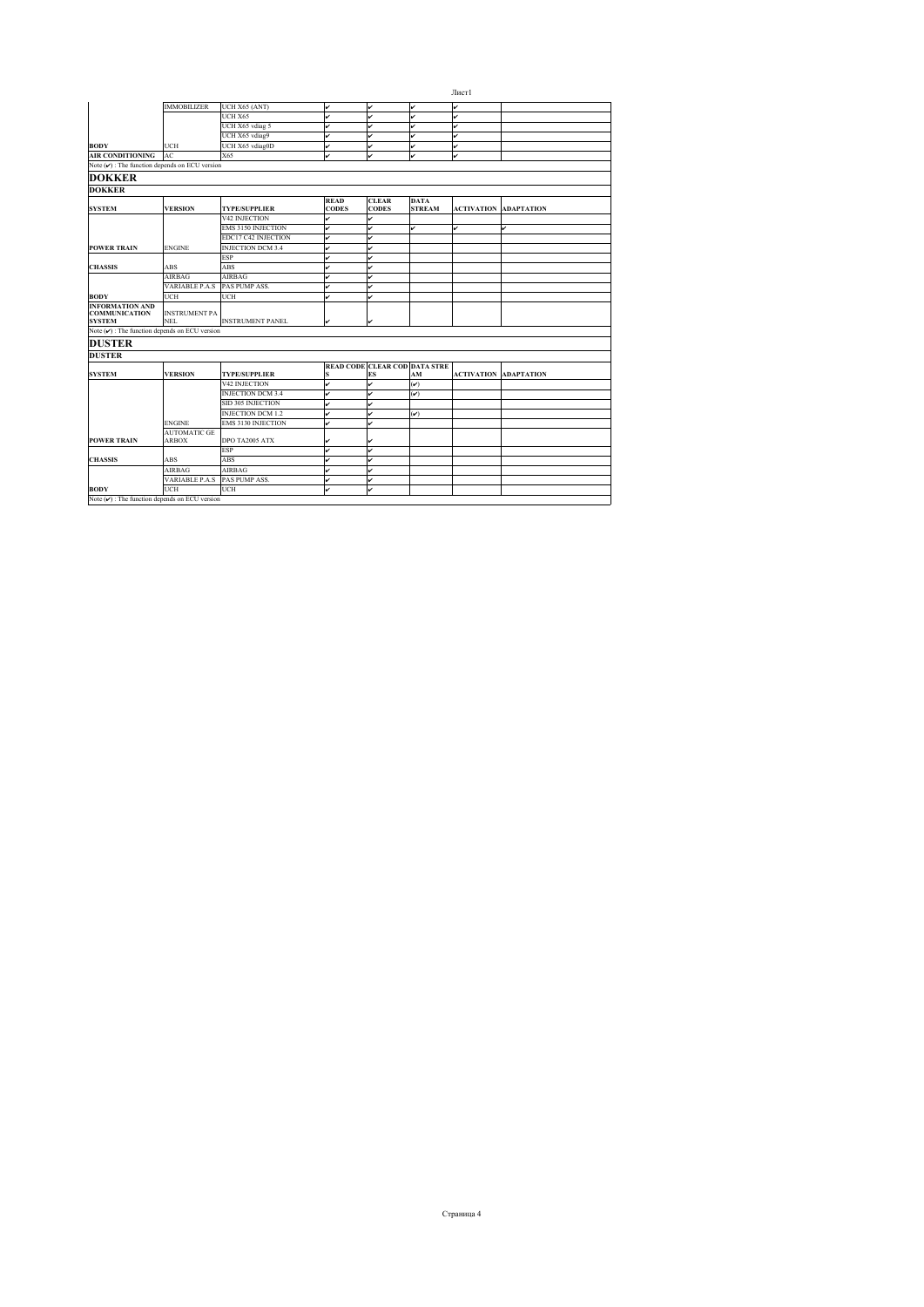|                                                                 |                                     |                           |                             |                                     |                              | Лист1             |                   |
|-----------------------------------------------------------------|-------------------------------------|---------------------------|-----------------------------|-------------------------------------|------------------------------|-------------------|-------------------|
|                                                                 | <b>IMMOBILIZER</b>                  | UCH X65 (ANT)             | v                           | v                                   | v                            | v                 |                   |
|                                                                 |                                     | UCH X65                   | v                           | v                                   | v                            | v                 |                   |
|                                                                 |                                     | UCH X65 vdiag 5           | v                           | v                                   | v                            | v                 |                   |
|                                                                 |                                     | UCH X65 vdiag9            | v                           | v                                   | v                            | v                 |                   |
| <b>BODY</b>                                                     | UCH                                 | UCH X65 vdiag0D           | v                           | v                                   | v                            | v                 |                   |
| <b>AIR CONDITIONING</b>                                         | AC                                  | X65                       | v                           | v                                   | v                            | v                 |                   |
| Note $(\vee)$ : The function depends on ECU version             |                                     |                           |                             |                                     |                              |                   |                   |
| <b>DOKKER</b>                                                   |                                     |                           |                             |                                     |                              |                   |                   |
| <b>DOKKER</b>                                                   |                                     |                           |                             |                                     |                              |                   |                   |
| <b>SYSTEM</b>                                                   | <b>VERSION</b>                      | <b>TYPE/SUPPLIER</b>      | <b>READ</b><br><b>CODES</b> | <b>CLEAR</b><br><b>CODES</b>        | <b>DATA</b><br><b>STREAM</b> | <b>ACTIVATION</b> | <b>ADAPTATION</b> |
|                                                                 |                                     | V42 INJECTION             | v                           | v                                   |                              |                   |                   |
|                                                                 |                                     | <b>EMS 3150 INJECTION</b> | v                           | v                                   | v                            | v                 | v                 |
|                                                                 |                                     | EDC17 C42 INJECTION       | v                           | v                                   |                              |                   |                   |
| <b>POWER TRAIN</b>                                              | <b>ENGINE</b>                       | <b>INJECTION DCM 3.4</b>  | v                           | ✓                                   |                              |                   |                   |
|                                                                 |                                     | <b>ESP</b>                | v                           | v                                   |                              |                   |                   |
| <b>CHASSIS</b>                                                  | <b>ABS</b>                          | ABS                       | v                           |                                     |                              |                   |                   |
|                                                                 | <b>AIRBAG</b>                       | <b>AIRBAG</b>             | v                           | v                                   |                              |                   |                   |
|                                                                 | <b>VARIABLE P.A.S</b>               | PAS PUMP ASS.             | v                           | v                                   |                              |                   |                   |
| <b>BODY</b>                                                     | UCH                                 | UCH                       | v                           | v                                   |                              |                   |                   |
| <b>INFORMATION AND</b><br><b>COMMUNICATION</b><br><b>SYSTEM</b> | <b>INSTRUMENT PA</b><br><b>NEL</b>  | <b>INSTRUMENT PANEL</b>   | v                           | v                                   |                              |                   |                   |
| Note $(v)$ : The function depends on ECU version                |                                     |                           |                             |                                     |                              |                   |                   |
| <b>DUSTER</b>                                                   |                                     |                           |                             |                                     |                              |                   |                   |
| <b>DUSTER</b>                                                   |                                     |                           |                             |                                     |                              |                   |                   |
| <b>SYSTEM</b>                                                   | <b>VERSION</b>                      | <b>TYPE/SUPPLIER</b>      | s                           | READ CODE CLEAR COD DATA STRE<br>ES | AM                           | <b>ACTIVATION</b> | <b>ADAPTATION</b> |
|                                                                 |                                     | V42 INJECTION             | v                           | v                                   | $(\check{ }')$               |                   |                   |
|                                                                 |                                     | <b>INJECTION DCM 3.4</b>  | v                           | v                                   | $(\check{v})$                |                   |                   |
|                                                                 |                                     | SID 305 INJECTION         | v                           | v                                   |                              |                   |                   |
|                                                                 |                                     | <b>INJECTION DCM 1.2</b>  | v                           | v                                   | $(\check{v})$                |                   |                   |
|                                                                 | <b>ENGINE</b>                       | <b>EMS 3130 INJECTION</b> | v                           | v                                   |                              |                   |                   |
| <b>POWER TRAIN</b>                                              | <b>AUTOMATIC GE</b><br><b>ARBOX</b> | DPO TA2005 ATX            | v                           | ✓                                   |                              |                   |                   |
|                                                                 |                                     | <b>ESP</b>                | v                           | v                                   |                              |                   |                   |
| <b>CHASSIS</b>                                                  | <b>ABS</b>                          | ABS                       | v                           | v                                   |                              |                   |                   |
|                                                                 | AIRBAG                              | <b>AIRBAG</b>             | v                           | v                                   |                              |                   |                   |
|                                                                 | VARIABLE P.A.S                      | PAS PUMP ASS.             | v                           | ✓                                   |                              |                   |                   |
| <b>BODY</b>                                                     | UCH                                 | UCH                       | v                           | ✓                                   |                              |                   |                   |
| Note $(\vee)$ : The function depends on ECU version             |                                     |                           |                             |                                     |                              |                   |                   |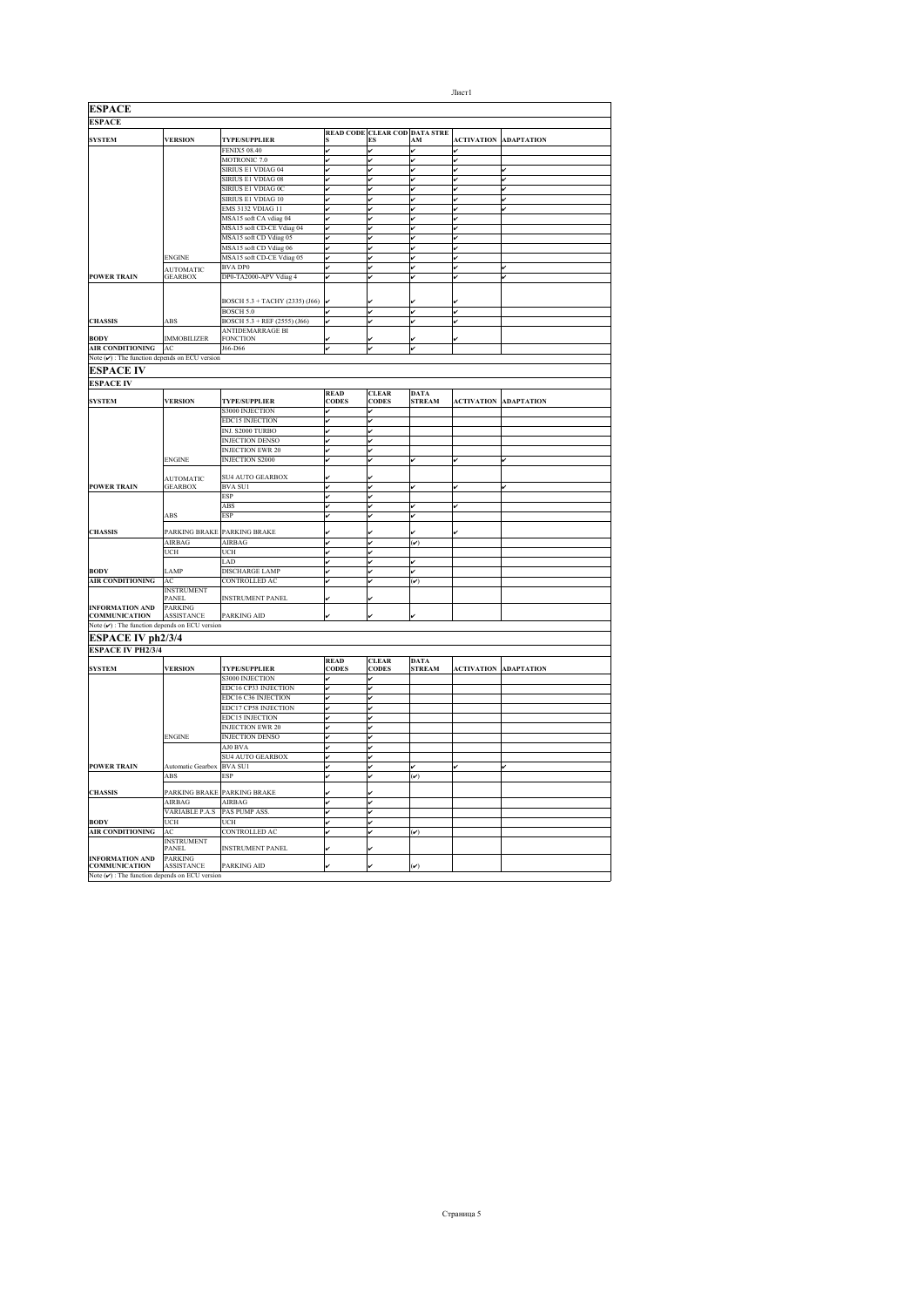| <b>ESPACE</b>                                             |                                    |                                                     |                             |                               |                              |                   |                              |
|-----------------------------------------------------------|------------------------------------|-----------------------------------------------------|-----------------------------|-------------------------------|------------------------------|-------------------|------------------------------|
| <b>ESPACE</b>                                             |                                    |                                                     |                             |                               |                              |                   |                              |
|                                                           |                                    |                                                     |                             | READ CODE CLEAR COD DATA STRE |                              |                   |                              |
| <b>SYSTEM</b>                                             | <b>VERSION</b>                     | <b>TYPE/SUPPLIER</b>                                |                             | ES                            | ${\bf AM}$                   |                   | <b>ACTIVATION ADAPTATION</b> |
|                                                           |                                    | <b>FENIX5 08.40</b>                                 | v                           | v                             | v                            |                   |                              |
|                                                           |                                    | MOTRONIC <sub>7.0</sub>                             | v                           | v                             | v                            |                   |                              |
|                                                           |                                    | SIRIUS E1 VDIAG 04                                  |                             |                               | v                            |                   |                              |
|                                                           |                                    | SIRIUS E1 VDIAG 08<br><b>SIRIUS E1 VDIAG 0C</b>     | lu                          | ✓                             | v                            | v                 | v                            |
|                                                           |                                    | SIRIUS E1 VDIAG 10                                  | lv                          |                               | v                            |                   |                              |
|                                                           |                                    |                                                     | v                           | ú<br>v                        | v                            | ú<br>v            | ú                            |
|                                                           |                                    | <b>EMS 3132 VDIAG 11</b>                            |                             |                               |                              | v                 |                              |
|                                                           |                                    | MSA15 soft CA vdiag 04<br>MSA15 soft CD-CE Vdiag 04 | v<br>v                      | v<br>v                        | v<br>v                       | v                 |                              |
|                                                           |                                    | MSA15 soft CD Vdiag 05                              |                             | v                             | v                            |                   |                              |
|                                                           |                                    | MSA15 soft CD Vdiag 06                              | v                           | ر                             | v                            |                   |                              |
|                                                           | <b>ENGINE</b>                      | MSA15 soft CD-CE Vdiag 05                           | l.                          | v                             | J                            | ú                 |                              |
|                                                           |                                    | <b>BVA DP0</b>                                      | v                           | v                             | v                            | v                 | ú                            |
| <b>POWER TRAIN</b>                                        | <b>AUTOMATIC</b><br><b>GEARBOX</b> | DP0-TA2000-APV Vdiag 4                              | v                           | v                             | v                            |                   |                              |
|                                                           |                                    |                                                     |                             |                               |                              |                   |                              |
|                                                           |                                    |                                                     |                             |                               |                              |                   |                              |
|                                                           |                                    | BOSCH 5.3 + TACHY (2335) (J66)                      |                             |                               |                              |                   |                              |
|                                                           |                                    | <b>BOSCH 5.0</b>                                    |                             | v                             | v                            | ر                 |                              |
| <b>CHASSIS</b>                                            | ABS                                | BOSCH 5.3 + REF (2555) (J66)                        |                             |                               |                              |                   |                              |
|                                                           |                                    | ANTIDEMARRAGE BI                                    |                             |                               |                              |                   |                              |
| <b>BODY</b>                                               | <b>IMMOBILIZER</b>                 | FONCTION                                            |                             |                               |                              |                   |                              |
| <b>AIR CONDITIONING</b>                                   | AC                                 | J66-D66                                             | v                           | ✓                             | v                            |                   |                              |
| Note $(v)$ : The function depends on ECU version          |                                    |                                                     |                             |                               |                              |                   |                              |
| <b>ESPACE IV</b>                                          |                                    |                                                     |                             |                               |                              |                   |                              |
| <b>ESPACE IV</b>                                          |                                    |                                                     |                             |                               |                              |                   |                              |
|                                                           |                                    |                                                     | <b>READ</b>                 | <b>CLEAR</b>                  | <b>DATA</b>                  |                   |                              |
| <b>SYSTEM</b>                                             | <b>VERSION</b>                     | <b>TYPE/SUPPLIER</b>                                | <b>CODES</b>                | <b>CODES</b>                  | <b>STREAM</b>                | <b>ACTIVATION</b> | <b>ADAPTATION</b>            |
|                                                           |                                    | S3000 INJECTION                                     | v                           | v                             |                              |                   |                              |
|                                                           |                                    | <b>EDC15 INJECTION</b>                              |                             | v                             |                              |                   |                              |
|                                                           |                                    | INJ. S2000 TURBO                                    | v                           |                               |                              |                   |                              |
|                                                           |                                    | <b>INJECTION DENSO</b>                              | v                           | v                             |                              |                   |                              |
|                                                           |                                    | <b>INJECTION EWR 20</b>                             | lv                          | v                             |                              |                   |                              |
|                                                           | <b>ENGINE</b>                      | <b>INJECTION S2000</b>                              | v                           | v                             | v                            | v                 | v                            |
|                                                           |                                    |                                                     |                             |                               |                              |                   |                              |
|                                                           | <b>AUTOMATIC</b>                   | SU4 AUTO GEARBOX                                    |                             |                               |                              |                   |                              |
| <b>POWER TRAIN</b>                                        | <b>GEARBOX</b>                     | <b>BVA SUI</b>                                      | v                           | v                             | v                            | v                 | v                            |
|                                                           |                                    | <b>ESP</b>                                          | v                           | v                             |                              |                   |                              |
|                                                           |                                    | ABS                                                 | v                           | ú                             | v                            | ú                 |                              |
|                                                           | ABS                                | ESP                                                 |                             | ú                             | v                            |                   |                              |
|                                                           |                                    | PARKING BRAKE PARKING BRAKE                         |                             |                               |                              |                   |                              |
| <b>CHASSIS</b>                                            | <b>AIRBAG</b>                      | AIRBAG                                              |                             | v                             | $(\check{v})$                |                   |                              |
|                                                           | UCH                                | UCH                                                 |                             | v                             |                              |                   |                              |
|                                                           |                                    | LAD                                                 | v                           |                               | v                            |                   |                              |
| <b>BODY</b>                                               |                                    |                                                     | v                           | v                             | v                            |                   |                              |
| <b>AIR CONDITIONING</b>                                   | LAMP<br>AC                         | DISCHARGE LAMP<br><b>CONTROLLED AC</b>              | lv                          | ✓                             | $(\boldsymbol{\mathcal{V}})$ |                   |                              |
|                                                           | <b>INSTRUMENT</b>                  |                                                     |                             |                               |                              |                   |                              |
|                                                           | PANEL                              | <b>INSTRUMENT PANEL</b>                             |                             |                               |                              |                   |                              |
| <b>INFORMATION AND</b>                                    | <b>PARKING</b>                     |                                                     |                             |                               |                              |                   |                              |
| <b>COMMUNICATION</b>                                      | ASSISTANCE                         | PARKING AID                                         |                             |                               |                              |                   |                              |
| Note $(\checkmark)$ : The function depends on ECU version |                                    |                                                     |                             |                               |                              |                   |                              |
| <b>ESPACE IV ph2/3/4</b>                                  |                                    |                                                     |                             |                               |                              |                   |                              |
|                                                           |                                    |                                                     |                             |                               |                              |                   |                              |
| <b>ESPACE IV PH2/3/4</b>                                  |                                    |                                                     |                             |                               |                              |                   |                              |
| <b>SYSTEM</b>                                             | <b>VERSION</b>                     | <b>TYPE/SUPPLIER</b>                                | <b>READ</b><br><b>CODES</b> | <b>CLEAR</b><br><b>CODES</b>  | <b>DATA</b><br><b>STREAM</b> | <b>ACTIVATION</b> | <b>ADAPTATION</b>            |
|                                                           |                                    |                                                     | v                           | v                             |                              |                   |                              |
|                                                           |                                    | S3000 INJECTION<br>EDC16 CP33 INJECTION             | v                           | v                             |                              |                   |                              |
|                                                           |                                    | EDC16 C36 INJECTION                                 | J                           | v                             |                              |                   |                              |
|                                                           |                                    |                                                     |                             |                               |                              |                   |                              |
|                                                           |                                    | EDC17 CP58 INJECTION<br>EDC15 INJECTION             | v<br>lv                     | v<br>v                        |                              |                   |                              |
|                                                           |                                    | <b>INJECTION EWR 20</b>                             | lv                          |                               |                              |                   |                              |
|                                                           |                                    |                                                     |                             | v                             |                              |                   |                              |
|                                                           | <b>ENGINE</b>                      | <b>INJECTION DENSO</b>                              | v                           | v                             |                              |                   |                              |
|                                                           |                                    | AJ0 BVA                                             |                             |                               |                              |                   |                              |
|                                                           | Automatic Gearbox                  | <b>SU4 AUTO GEARBOX</b>                             | u                           | v                             |                              |                   |                              |
| <b>POWER TRAIN</b>                                        |                                    | <b>BVA SUI</b>                                      |                             | v                             |                              | v                 |                              |
|                                                           | ABS                                | <b>ESP</b>                                          |                             |                               | $(\boldsymbol{\mathcal{v}})$ |                   |                              |
| <b>CHASSIS</b>                                            | PARKING BRAKE                      | PARKING BRAKE                                       |                             |                               |                              |                   |                              |
|                                                           | AIRBAG                             | AIRBAG                                              | v                           |                               |                              |                   |                              |
|                                                           | VARIABLE P.A.S                     | PAS PUMP ASS.                                       |                             |                               |                              |                   |                              |
| <b>BODY</b>                                               | UCH                                | UCH                                                 | v                           | v                             |                              |                   |                              |
| <b>AIR CONDITIONING</b>                                   | AC                                 | CONTROLLED AC                                       | v                           |                               | $(\check{v})$                |                   |                              |
|                                                           | <b>INSTRUMENT</b>                  |                                                     |                             |                               |                              |                   |                              |
|                                                           | PANEL                              | <b>INSTRUMENT PANEL</b>                             |                             |                               |                              |                   |                              |
| <b>INFORMATION AND</b>                                    | PARKING                            |                                                     |                             |                               |                              |                   |                              |
| <b>COMMUNICATION</b>                                      | <b>ASSISTANCE</b>                  | <b>PARKING AID</b>                                  |                             |                               | $(\checkmark)$               |                   |                              |
| Note $(v)$ : The function depends on ECU version          |                                    |                                                     |                             |                               |                              |                   |                              |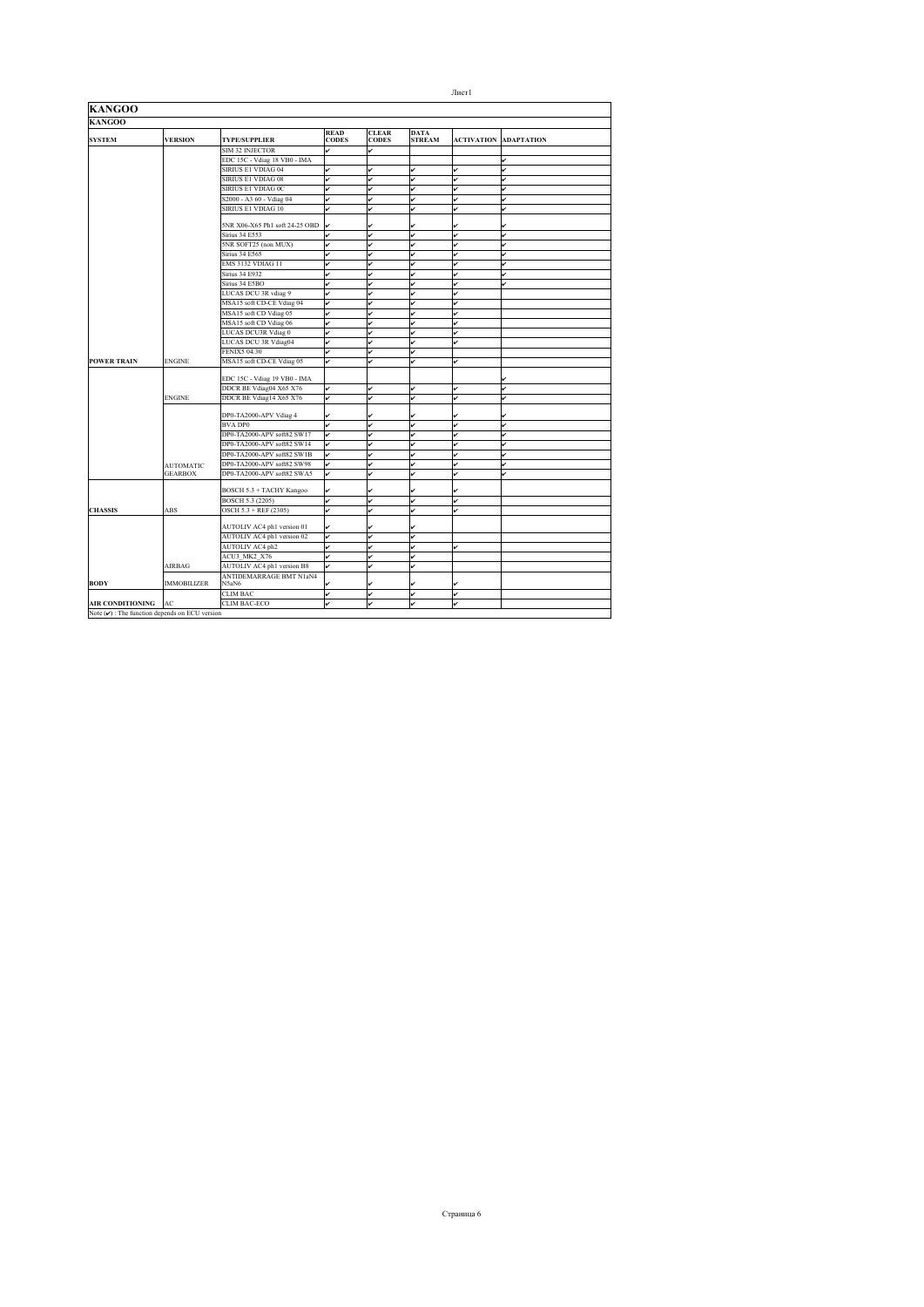| <b>KANGOO</b>                                       |                    |                                  |                             |                              |                              |              |                              |
|-----------------------------------------------------|--------------------|----------------------------------|-----------------------------|------------------------------|------------------------------|--------------|------------------------------|
| <b>KANGOO</b>                                       |                    |                                  |                             |                              |                              |              |                              |
| <b>SYSTEM</b>                                       | <b>VERSION</b>     | <b>TYPE/SUPPLIER</b>             | <b>READ</b><br><b>CODES</b> | <b>CLEAR</b><br><b>CODES</b> | <b>DATA</b><br><b>STREAM</b> |              | <b>ACTIVATION ADAPTATION</b> |
|                                                     |                    | SIM 32 INJECTOR                  | v                           |                              |                              |              |                              |
|                                                     |                    | EDC 15C - Vdiag 18 VB0 - IMA     |                             |                              |                              |              | v                            |
|                                                     |                    | SIRIUS E1 VDIAG 04               | v                           | J                            | v                            | $\checkmark$ | J                            |
|                                                     |                    | SIRIUS E1 VDIAG 08               | v                           | ú                            | v                            | v            | v                            |
|                                                     |                    | SIRIUS E1 VDIAG 0C               | v                           | ر                            | v                            | v            |                              |
|                                                     |                    | S2000 - A3 60 - Vdiag 04         | v                           | ر                            | v                            | v            | ú                            |
|                                                     |                    | SIRIUS E1 VDIAG 10               |                             |                              | v                            | v            | ú                            |
|                                                     |                    | 5NR X06-X65 Ph1 soft 24-25 OBD   | v                           | ر                            | ✓                            |              |                              |
|                                                     |                    | <b>Sirius 34 E553</b>            | v                           | ú                            | v                            | v            | ú                            |
|                                                     |                    | 5NR SOFT25 (non MUX)             | v                           | ú                            | v                            | v            | u                            |
|                                                     |                    | <b>Sirius 34 E565</b>            | v                           | ú                            | v                            | v            |                              |
|                                                     |                    | <b>EMS 3132 VDIAG 11</b>         | v                           |                              | v                            | v            | v                            |
|                                                     |                    | <b>Sirius 34 E932</b>            | v                           |                              | v                            | ú            |                              |
|                                                     |                    | Sirius 34 E5BO                   | v                           | ر                            | v                            | ú            | ر                            |
|                                                     |                    | LUCAS DCU 3R vdiag 9             | v                           |                              | v                            | ú            |                              |
|                                                     |                    | MSA15 soft CD-CE Vdiag 04        | v                           |                              | v                            | v            |                              |
|                                                     |                    | MSA15 soft CD Vdiag 05           | v                           | J                            | v                            | ú            |                              |
|                                                     |                    | MSA15 soft CD Vdiag 06           | v                           |                              | v                            | v            |                              |
|                                                     |                    | LUCAS DCU3R Vdiag 0              | v                           |                              | v                            | ú            |                              |
|                                                     |                    | LUCAS DCU 3R Vdiag04             | v                           |                              | v                            | ú            |                              |
|                                                     |                    | <b>FENIX5 04.30</b>              | v                           | ú                            | v                            |              |                              |
| <b>POWER TRAIN</b>                                  | <b>ENGINE</b>      | MSA15 soft CD-CE Vdiag 05        | v                           |                              | v                            | v            |                              |
|                                                     |                    | EDC 15C - Vdiag 19 VB0 - IMA     |                             |                              |                              |              |                              |
|                                                     |                    | DDCR BE Vdiag04 X65 X76          | v                           | ú                            | v                            | ú            | ú                            |
|                                                     | <b>ENGINE</b>      | DDCR BE Vdiag14 X65 X76          | v                           | v                            | v                            | ú            |                              |
|                                                     |                    | DP0-TA2000-APV Vdiag 4           | v                           |                              |                              |              |                              |
|                                                     |                    | <b>BVA DP0</b>                   | v                           | ú                            | v                            | v            | ú                            |
|                                                     |                    | DP0-TA2000-APV soft82 SW17       | v                           | ú                            | v                            | v            | v                            |
|                                                     |                    | DP0-TA2000-APV soft82 SW14       | v                           |                              | v                            | v            |                              |
|                                                     |                    | DP0-TA2000-APV soft82 SW1B       | v                           | ر                            | v                            | ú            |                              |
|                                                     | <b>AUTOMATIC</b>   | DP0-TA2000-APV soft82 SW98       | v                           |                              | ✓                            | ú            |                              |
|                                                     | <b>GEARBOX</b>     | DP0-TA2000-APV soft82 SWA5       | v                           | ر                            | v                            | ú            |                              |
|                                                     |                    | BOSCH 5.3 + TACHY Kangoo         | v                           | v                            | v                            |              |                              |
|                                                     |                    | BOSCH 5.3 (2205)                 | v                           | ú                            | v                            | v            |                              |
| <b>CHASSIS</b>                                      | <b>ABS</b>         | OSCH 5.3 + REF (2305)            | v                           | ر                            | v                            | v            |                              |
|                                                     |                    |                                  |                             |                              |                              |              |                              |
|                                                     |                    | AUTOLIV AC4 ph1 version 01       | v                           | ✓                            | v                            |              |                              |
|                                                     |                    | AUTOLIV AC4 ph1 version 02       | v                           | ú                            | v                            |              |                              |
|                                                     |                    | AUTOLIV AC4 ph2                  | v                           | v                            | v                            | ú            |                              |
|                                                     |                    | ACU3 MK2 X76                     | v                           |                              | v                            |              |                              |
|                                                     | AIRBAG             | AUTOLIV AC4 ph1 version B8       | v                           | ر                            | v                            |              |                              |
| <b>BODY</b>                                         | <b>IMMOBILIZER</b> | ANTIDEMARRAGE BMT N1aN4<br>N5aN6 |                             | ر                            | v                            |              |                              |
|                                                     |                    | <b>CLIM BAC</b>                  | v                           | v                            | v                            | v            |                              |
| <b>AIR CONDITIONING</b>                             | AC                 | CLIM BAC-ECO                     |                             |                              | v                            | ú            |                              |
| Note $(\vee)$ : The function depends on ECU version |                    |                                  |                             |                              |                              |              |                              |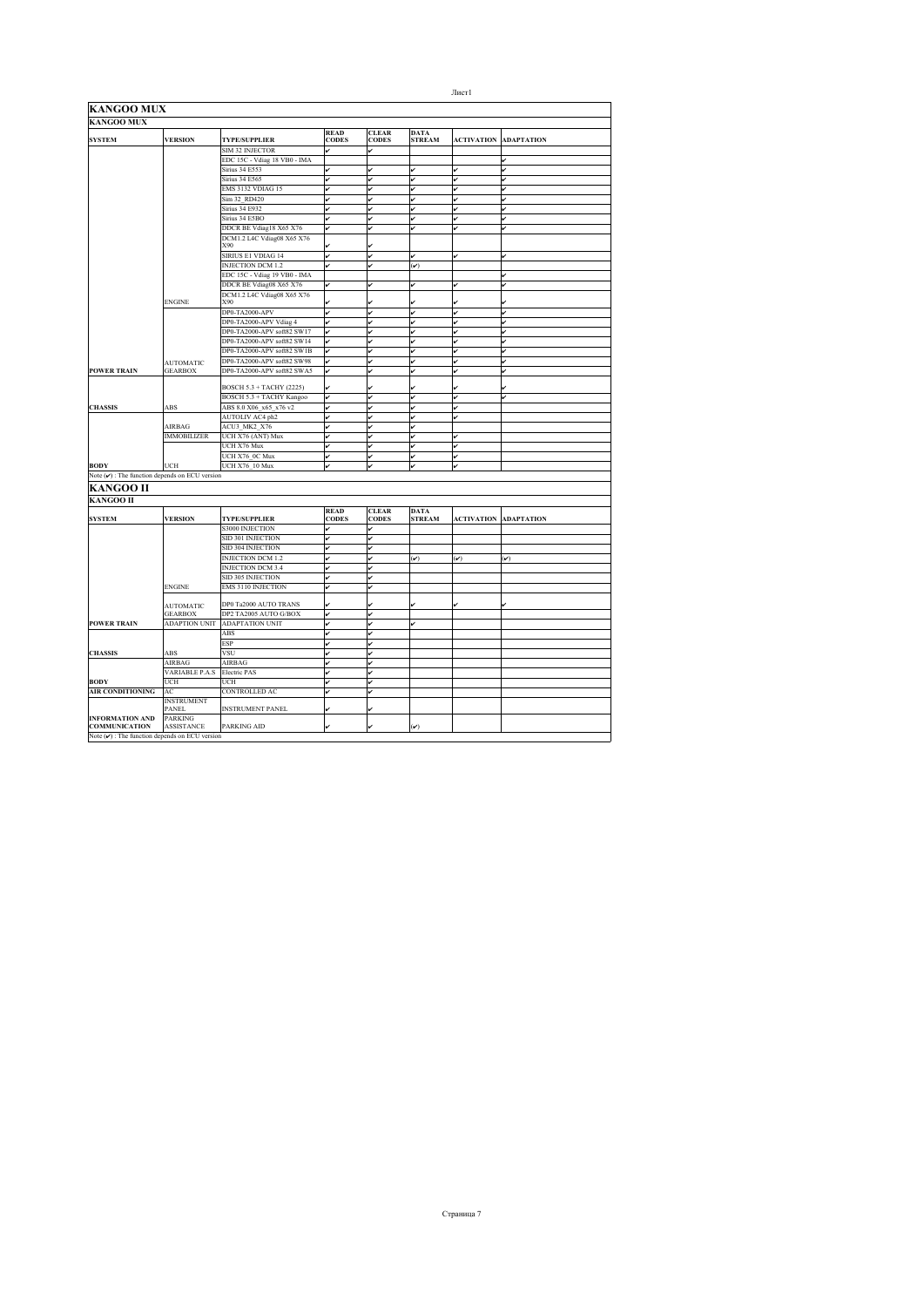| KANGOO MUX                                         |                                    |                                          |                             |                              |                              |                         |                   |
|----------------------------------------------------|------------------------------------|------------------------------------------|-----------------------------|------------------------------|------------------------------|-------------------------|-------------------|
| <b>KANGOO MUX</b>                                  |                                    |                                          |                             |                              |                              |                         |                   |
| <b>SYSTEM</b>                                      | <b>VERSION</b>                     | <b>TYPE/SUPPLIER</b>                     | <b>READ</b><br><b>CODES</b> | <b>CLEAR</b><br><b>CODES</b> | <b>DATA</b><br><b>STREAM</b> | <b>ACTIVATION</b>       | <b>ADAPTATION</b> |
|                                                    |                                    | <b>SIM 32 INJECTOR</b>                   | v                           | v                            |                              |                         |                   |
|                                                    |                                    | EDC 15C - Vdiag 18 VB0 - IMA             |                             |                              |                              |                         |                   |
|                                                    |                                    | Sirius 34 E553                           | v                           |                              | u                            |                         |                   |
|                                                    |                                    | <b>Sirius 34 E565</b>                    | v                           | v                            | v                            |                         |                   |
|                                                    |                                    | EMS 3132 VDIAG 15                        | v                           | v                            | v                            | v                       |                   |
|                                                    |                                    | Sim 32 RD420                             | v                           | J                            | v                            |                         |                   |
|                                                    |                                    | <b>Sirius 34 E932</b>                    |                             |                              | v                            |                         |                   |
|                                                    |                                    | Sirius 34 E5BO                           | ↙                           | v                            | v                            |                         |                   |
|                                                    |                                    | DDCR BE Vdiag18 X65 X76                  | v                           | v                            | v                            | v                       |                   |
|                                                    |                                    | DCM1.2 L4C Vdiag08 X65 X76               |                             |                              |                              |                         |                   |
|                                                    |                                    | X90                                      |                             |                              |                              |                         |                   |
|                                                    |                                    | SIRIUS E1 VDIAG 14                       | v                           | v                            | v                            | v                       |                   |
|                                                    |                                    | <b>INJECTION DCM 1.2</b>                 | ر                           | ر                            | $(\check{v})$                |                         |                   |
|                                                    |                                    | EDC 15C - Vdiag 19 VB0 - IMA             |                             |                              |                              |                         | v                 |
|                                                    |                                    | DDCR BE Vdiag08 X65 X76                  |                             |                              | v                            |                         |                   |
|                                                    | <b>ENGINE</b>                      | DCM1.2 L4C Vdiag08 X65 X76<br><b>X90</b> |                             |                              |                              |                         |                   |
|                                                    |                                    | DP0-TA2000-APV                           | v                           | v                            | v                            | v                       |                   |
|                                                    |                                    | DP0-TA2000-APV Vdiag 4                   | v                           | ú                            | v                            | ú                       | v                 |
|                                                    |                                    | DP0-TA2000-APV soft82 SW17               | ✓                           | ú                            | v                            | v                       |                   |
|                                                    |                                    | DP0-TA2000-APV soft82 SW14               | v                           | ú                            | v                            |                         |                   |
|                                                    |                                    | DP0-TA2000-APV soft82 SW1B               | v                           | ú                            | v                            |                         |                   |
|                                                    |                                    | DP0-TA2000-APV soft82 SW98               |                             |                              | v                            | ر                       |                   |
| <b>POWER TRAIN</b>                                 | <b>AUTOMATIC</b><br><b>GEARBOX</b> | DP0-TA2000-APV soft82 SWA5               | v                           | ú                            | v                            |                         |                   |
|                                                    |                                    |                                          |                             |                              |                              |                         |                   |
|                                                    |                                    | BOSCH 5.3 + TACHY (2225)                 |                             |                              |                              |                         |                   |
|                                                    |                                    | BOSCH 5.3 + TACHY Kangoo                 | v                           | v                            | v                            | v                       |                   |
| <b>CHASSIS</b>                                     | ABS                                | ABS 8.0 X06 x65 x76 v2                   | v                           | v                            | v                            | ú                       |                   |
|                                                    |                                    | AUTOLIV AC4 ph2                          | v                           |                              | v                            |                         |                   |
|                                                    | AIRBAG                             | ACU3 MK2 X76                             | v                           | ú                            | v                            |                         |                   |
|                                                    | <b>IMMOBILIZER</b>                 | UCH X76 (ANT) Mux                        | v                           | ú                            | v                            |                         |                   |
|                                                    |                                    | UCH X76 Mux                              |                             | ú                            | v                            | J                       |                   |
|                                                    |                                    | UCH X76 OC Mux                           | v                           | v                            | v                            | ر                       |                   |
| <b>BODY</b>                                        | UCH                                | UCH X76 10 Mux                           |                             |                              | v                            |                         |                   |
| Note $(\nu)$ : The function depends on ECU version |                                    |                                          |                             |                              |                              |                         |                   |
| KANGOO II                                          |                                    |                                          |                             |                              |                              |                         |                   |
| <b>KANGOO II</b>                                   |                                    |                                          |                             |                              |                              |                         |                   |
| <b>SYSTEM</b>                                      | <b>VERSION</b>                     | <b>TYPE/SUPPLIER</b>                     | <b>READ</b><br><b>CODES</b> | <b>CLEAR</b><br><b>CODES</b> | <b>DATA</b><br><b>STREAM</b> | <b>ACTIVATION</b>       | <b>ADAPTATION</b> |
|                                                    |                                    | <b>S3000 INJECTION</b>                   |                             | v                            |                              |                         |                   |
|                                                    |                                    | SID 301 INJECTION                        | v                           | v                            |                              |                         |                   |
|                                                    |                                    | SID 304 INJECTION                        | ✓                           | ر                            |                              |                         |                   |
|                                                    |                                    |                                          | v                           | J                            |                              |                         |                   |
|                                                    |                                    | <b>INJECTION DCM 1.2</b>                 |                             |                              | $(\checkmark)$               | $(\check{\phantom{a}})$ | $(\checkmark)$    |
|                                                    |                                    | <b>INJECTION DCM 3.4</b>                 | v                           | v                            |                              |                         |                   |
|                                                    |                                    | SID 305 INJECTION                        | ر                           | ر                            |                              |                         |                   |
|                                                    | <b>ENGINE</b>                      | <b>EMS 3110 INJECTION</b>                |                             | ú                            |                              |                         |                   |
|                                                    | <b>AUTOMATIC</b>                   | DP0 Ta2000 AUTO TRANS                    |                             |                              |                              |                         |                   |
|                                                    | <b>GEARBOX</b>                     | DP2 TA2005 AUTO G/BOX                    | v                           | v                            |                              |                         |                   |
| <b>POWER TRAIN</b>                                 | <b>ADAPTION UNIT</b>               | <b>ADAPTATION UNIT</b>                   | v                           | v                            | v                            |                         |                   |
|                                                    |                                    | ABS                                      |                             |                              |                              |                         |                   |
|                                                    |                                    | ESP                                      |                             | v                            |                              |                         |                   |
| <b>CHASSIS</b>                                     | ABS                                | <b>VSU</b>                               | v                           | v                            |                              |                         |                   |
|                                                    | AIRBAG                             | AIRBAG                                   | ر                           | ر                            |                              |                         |                   |
|                                                    | <b>VARIABLE P.A.S</b>              | <b>Electric PAS</b>                      | v                           | ú                            |                              |                         |                   |
| <b>BODY</b>                                        | UCH                                | UCH                                      |                             | v                            |                              |                         |                   |
| <b>AIR CONDITIONING</b>                            | AC                                 | <b>CONTROLLED AC</b>                     | v                           | ú                            |                              |                         |                   |
|                                                    | <b>INSTRUMENT</b><br>PANEL         | <b>INSTRUMENT PANEL</b>                  |                             | ú                            |                              |                         |                   |
|                                                    |                                    |                                          | v                           |                              |                              |                         |                   |
| <b>INFORMATION AND</b><br><b>COMMUNICATION</b>     | <b>PARKING</b><br>ASSISTANCE       | PARKING AID                              |                             |                              | $\mathcal{V}$                |                         |                   |
| Note $(\nu)$ : The function depends on ECU version |                                    |                                          |                             |                              |                              |                         |                   |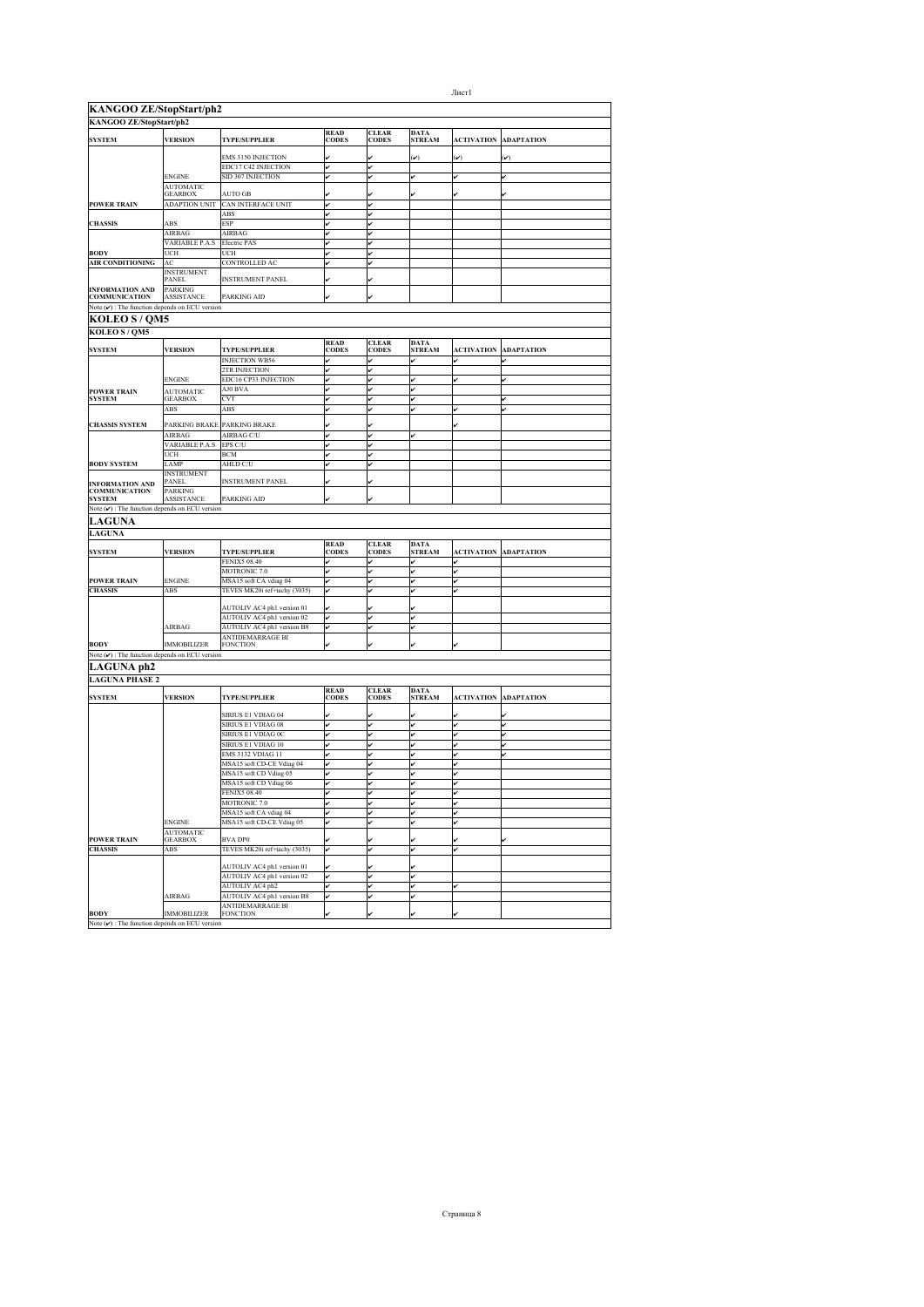| <b>KANGOO ZE/StopStart/ph2</b><br>KANGOO ZE/StopStart/ph2                  |                           |                                                          |                             |                              |                              |                   |                              |
|----------------------------------------------------------------------------|---------------------------|----------------------------------------------------------|-----------------------------|------------------------------|------------------------------|-------------------|------------------------------|
|                                                                            | <b>VERSION</b>            |                                                          | <b>READ</b><br><b>CODES</b> | <b>CLEAR</b><br><b>CODES</b> | <b>DATA</b><br><b>STREAM</b> |                   |                              |
| <b>SYSTEM</b>                                                              |                           | <b>TYPE/SUPPLIER</b>                                     |                             |                              |                              | <b>ACTIVATION</b> | <b>ADAPTATION</b>            |
|                                                                            |                           | EMS 3150 INJECTION                                       |                             |                              | $(\check{\phantom{a}})$      | $(\checkmark)$    | $(\check{\mathbf{v}})$       |
|                                                                            | <b>ENGINE</b>             | EDC17 C42 INJECTION<br>SID 307 INJECTION                 | v<br>v                      | v<br>v                       | v                            | v                 |                              |
|                                                                            | <b>AUTOMATIC</b>          |                                                          |                             |                              |                              |                   |                              |
|                                                                            | GEARBOX                   | AUTO GB                                                  |                             |                              | ✓                            |                   |                              |
| <b>POWER TRAIN</b>                                                         | <b>ADAPTION UNIT</b>      | CAN INTERFACE UNIT                                       | v                           | v                            |                              |                   |                              |
| <b>CHASSIS</b>                                                             | <b>ABS</b>                | ABS<br><b>ESP</b>                                        | v<br>v                      | v                            |                              |                   |                              |
|                                                                            | AIRBAG                    | AIRBAG                                                   | v                           | v                            |                              |                   |                              |
|                                                                            | VARIABLE P.A.S            | Electric PAS                                             | v                           | u                            |                              |                   |                              |
| <b>BODY</b>                                                                | UCH                       | UCH                                                      |                             |                              |                              |                   |                              |
| AIR CONDITIONING                                                           | AC<br><b>INSTRUMENT</b>   | CONTROLLED AC                                            |                             |                              |                              |                   |                              |
|                                                                            | <b>PANEL</b>              | <b>INSTRUMENT PANEL</b>                                  |                             |                              |                              |                   |                              |
| <b>INFORMATION AND</b>                                                     | <b>PARKING</b>            |                                                          |                             |                              |                              |                   |                              |
| <b>COMMUNICATION</b><br>Note $(\nu)$ : The function depends on ECU version | ASSISTANCE                | PARKING AID                                              |                             |                              |                              |                   |                              |
| <b>KOLEO S / QM5</b>                                                       |                           |                                                          |                             |                              |                              |                   |                              |
| KOLEO S / QM5                                                              |                           |                                                          |                             |                              |                              |                   |                              |
|                                                                            |                           |                                                          | <b>READ</b>                 | <b>CLEAR</b>                 | <b>DATA</b>                  |                   |                              |
| <b>SYSTEM</b>                                                              | <b>VERSION</b>            | <b>TYPE/SUPPLIER</b>                                     | <b>CODES</b>                | <b>CODES</b>                 | <b>STREAM</b>                | <b>ACTIVATION</b> | <b>ADAPTATION</b>            |
|                                                                            |                           | <b>INJECTION WB56</b>                                    |                             |                              |                              |                   |                              |
|                                                                            | <b>ENGINE</b>             | 2TR INJECTION<br>EDC16 CP33 INJECTION                    | v                           | ú                            |                              |                   |                              |
| <b>POWER TRAIN</b>                                                         | <b>AUTOMATIC</b>          | AJ0 BVA                                                  | v                           | v                            | v<br>v                       |                   | v                            |
| <b>SYSTEM</b>                                                              | GEARBOX                   | <b>CVT</b>                                               | v                           | ú                            | v                            |                   | v                            |
|                                                                            | ABS                       | ABS                                                      | v                           |                              | v                            |                   |                              |
| <b>CHASSIS SYSTEM</b>                                                      | PARKING BRAKE             | PARKING BRAKE                                            |                             |                              |                              |                   |                              |
|                                                                            | AIRBAG                    | AIRBAG C/U                                               |                             |                              |                              |                   |                              |
|                                                                            | <b>VARIABLE P.A.S</b>     | EPS C/U                                                  |                             |                              |                              |                   |                              |
|                                                                            | UCH                       | <b>BCM</b>                                               | v                           | v                            |                              |                   |                              |
| <b>BODY SYSTEM</b>                                                         | LAMP<br><b>INSTRUMENT</b> | AHLD C/U                                                 | v                           | v                            |                              |                   |                              |
| <b>INFORMATION AND</b>                                                     | PANEL                     | <b>INSTRUMENT PANEL</b>                                  |                             |                              |                              |                   |                              |
| <b>COMMUNICATION</b>                                                       | <b>PARKING</b>            |                                                          |                             |                              |                              |                   |                              |
| <b>SYSTEM</b>                                                              | <b>ASSISTANCE</b>         | <b>PARKING AID</b>                                       |                             | ú                            |                              |                   |                              |
| Note $(\checkmark)$ : The function depends on ECU version                  |                           |                                                          |                             |                              |                              |                   |                              |
| <b>LAGUNA</b>                                                              |                           |                                                          |                             |                              |                              |                   |                              |
| <b>LAGUNA</b>                                                              |                           |                                                          | <b>READ</b>                 | <b>CLEAR</b>                 | <b>DATA</b>                  |                   |                              |
| <b>SYSTEM</b>                                                              | <b>VERSION</b>            | <b>TYPE/SUPPLIER</b>                                     | <b>CODES</b>                | <b>CODES</b>                 | <b>STREAM</b>                | <b>ACTIVATION</b> | <b>ADAPTATION</b>            |
|                                                                            |                           | <b>FENIX5 08.40</b>                                      | v                           |                              | v                            |                   |                              |
|                                                                            |                           | MOTRONIC 7.0                                             | v                           | ú                            | v                            | v                 |                              |
| <b>POWER TRAIN</b><br><b>CHASSIS</b>                                       | ENGINE<br>ABS             | MSA15 soft CA vdiag 04<br>TEVES MK20i ref+tachy (3035)   | v<br>v                      |                              | v                            |                   |                              |
|                                                                            |                           |                                                          |                             |                              |                              |                   |                              |
|                                                                            |                           | AUTOLIV AC4 ph1 version 01                               |                             |                              |                              |                   |                              |
|                                                                            | AIRBAG                    | AUTOLIV AC4 ph1 version 02<br>AUTOLIV AC4 ph1 version B8 | v                           | v<br>v                       | v<br>v                       |                   |                              |
|                                                                            |                           | ANTIDEMARRAGE BI                                         | v                           |                              |                              |                   |                              |
| <b>BODY</b>                                                                | <b>IMMOBILIZER</b>        | <b>FONCTION</b>                                          |                             |                              |                              |                   |                              |
| Note $(\checkmark)$ : The function depends on ECU version                  |                           |                                                          |                             |                              |                              |                   |                              |
| LAGUNA ph2                                                                 |                           |                                                          |                             |                              |                              |                   |                              |
| <b>LAGUNA PHASE 2</b>                                                      |                           |                                                          |                             |                              |                              |                   |                              |
| <b>SYSTEM</b>                                                              | <b>VERSION</b>            | <b>TYPE/SUPPLIER</b>                                     | <b>READ</b><br><b>CODES</b> | <b>CLEAR</b><br><b>CODES</b> | <b>DATA</b><br><b>STREAM</b> |                   | <b>ACTIVATION ADAPTATION</b> |
|                                                                            |                           |                                                          |                             |                              |                              |                   |                              |
|                                                                            |                           | SIRIUS E1 VDIAG 04                                       |                             |                              |                              |                   |                              |
|                                                                            |                           | SIRIUS E1 VDIAG 08<br>SIRIUS E1 VDIAG 0C                 | v<br>v                      |                              | v<br>v                       |                   | v<br>v                       |
|                                                                            |                           | SIRIUS E1 VDIAG 10                                       | v                           | v                            | v                            |                   | v                            |
|                                                                            |                           | <b>EMS 3132 VDIAG 11</b>                                 | v                           | v                            | v                            |                   |                              |
|                                                                            |                           | MSA15 soft CD-CE Vdiag 04                                | v                           | Iv                           | v                            |                   |                              |
|                                                                            |                           | MSA15 soft CD Vdiag 05                                   | v                           | ú                            | v                            |                   |                              |
|                                                                            |                           | MSA15 soft CD Vdiag 06                                   | v                           | v                            | v                            |                   |                              |
|                                                                            |                           | <b>FENIX5 08.40</b><br><b>MOTRONIC 7.0</b>               | v                           | v                            | v                            |                   |                              |
|                                                                            |                           | MSA15 soft CA vdiag 04                                   |                             |                              | v                            |                   |                              |
|                                                                            | <b>ENGINE</b>             | MSA15 soft CD-CE Vdiag 05                                | v                           | v                            | v                            | v                 |                              |
|                                                                            | AUTOMATIC                 |                                                          |                             |                              |                              |                   |                              |
| <b>POWER TRAIN</b><br><b>CHASSIS</b>                                       | <b>GEARBOX</b><br>ABS     | <b>BVA DP0</b><br>TEVES MK20i ref+tachy (3035)           | v                           |                              | v                            |                   |                              |
|                                                                            |                           |                                                          |                             |                              |                              |                   |                              |
|                                                                            |                           | AUTOLIV AC4 ph1 version 01                               |                             | ú                            | v                            |                   |                              |
|                                                                            |                           | AUTOLIV AC4 ph1 version 02                               | v                           | v                            | v                            |                   |                              |
|                                                                            |                           |                                                          |                             |                              |                              |                   |                              |
|                                                                            |                           | AUTOLIV AC4 ph2                                          | v                           |                              | v                            |                   |                              |
|                                                                            | AIRBAG                    | AUTOLIV AC4 ph1 version B8<br><b>ANTIDEMARRAGE BI</b>    |                             |                              |                              |                   |                              |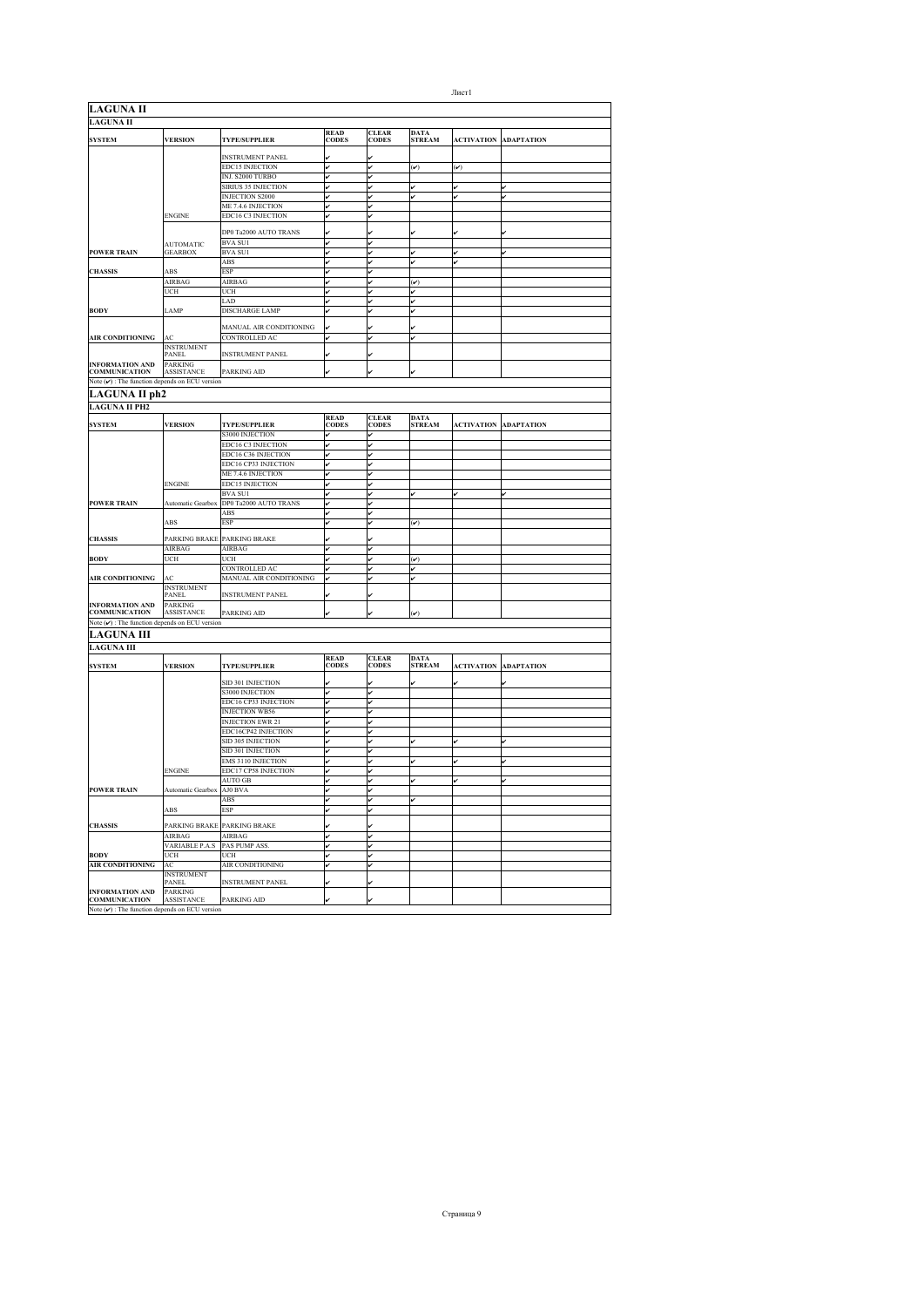| <b>LAGUNA II</b><br><b>LAGUNA II</b><br><b>READ</b><br><b>CLEAR</b><br><b>DATA</b><br><b>VERSION</b><br><b>CODES</b><br><b>CODES</b><br><b>ACTIVATION</b><br><b>SYSTEM</b><br><b>TYPE/SUPPLIER</b><br><b>STREAM</b><br><b>INSTRUMENT PANEL</b><br>EDC15 INJECTION<br>$(\checkmark)$<br>$(\check{\phantom{a}})$<br>v<br>INJ. S2000 TURBO<br>SIRIUS 35 INJECTION<br>✓<br><b>INJECTION S2000</b><br>↙<br>v<br>v<br>ME 7.4.6 INJECTION<br>v<br>EDC16 C3 INJECTION<br><b>ENGINE</b><br>v<br>DP0 Ta2000 AUTO TRANS<br><b>BVA SUI</b><br>v<br><b>AUTOMATIC</b><br><b>GEARBOX</b><br><b>BVA SUI</b><br><b>POWER TRAIN</b><br>✓<br>v<br>ABS<br><b>CHASSIS</b><br>ABS<br>ESP<br>v<br><b>AIRBAG</b><br>AIRBAG<br>$(\check{\mathbf{v}})$<br>UCH<br>UCH<br>v<br>v<br>LAD<br>v<br>v<br><b>DISCHARGE LAMP</b><br><b>BODY</b><br>LAMP<br>v<br>v<br>MANUAL AIR CONDITIONING<br>AIR CONDITIONING<br>CONTROLLED AC<br>AC<br><b>INSTRUMENT</b><br><b>INSTRUMENT PANEL</b><br><b>PANEL</b><br>v<br><b>INFORMATION AND</b><br><b>PARKING</b><br><b>COMMUNICATION</b><br>ASSISTANCE<br>PARKING AID<br>Note $(\nu)$ : The function depends on ECU version<br>LAGUNA II ph2<br><b>LAGUNA II PH2</b><br><b>READ</b><br><b>CLEAR</b><br><b>DATA</b><br><b>SYSTEM</b><br><b>VERSION</b><br><b>TYPE/SUPPLIER</b><br><b>CODES</b><br><b>CODES</b><br><b>STREAM</b><br><b>ACTIVATION</b><br>S3000 INJECTION<br>EDC16 C3 INJECTION<br>v<br>١v<br>EDC16 C36 INJECTION<br>v<br>EDC16 CP33 INJECTION<br>v<br>ME 7.4.6 INJECTION<br><b>ENGINE</b><br><b>EDC15 INJECTION</b><br><b>BVA SUI</b><br>Automatic Gearbox DP0 Ta2000 AUTO TRANS<br><b>POWER TRAIN</b><br>v<br>ABS<br>ESP<br>ABS<br>$(\check{\phantom{a}})$ | <b>ADAPTATION</b><br>v<br><b>ADAPTATION</b> |
|---------------------------------------------------------------------------------------------------------------------------------------------------------------------------------------------------------------------------------------------------------------------------------------------------------------------------------------------------------------------------------------------------------------------------------------------------------------------------------------------------------------------------------------------------------------------------------------------------------------------------------------------------------------------------------------------------------------------------------------------------------------------------------------------------------------------------------------------------------------------------------------------------------------------------------------------------------------------------------------------------------------------------------------------------------------------------------------------------------------------------------------------------------------------------------------------------------------------------------------------------------------------------------------------------------------------------------------------------------------------------------------------------------------------------------------------------------------------------------------------------------------------------------------------------------------------------------------------------------------------------------------------------------------------------------|---------------------------------------------|
|                                                                                                                                                                                                                                                                                                                                                                                                                                                                                                                                                                                                                                                                                                                                                                                                                                                                                                                                                                                                                                                                                                                                                                                                                                                                                                                                                                                                                                                                                                                                                                                                                                                                                 |                                             |
|                                                                                                                                                                                                                                                                                                                                                                                                                                                                                                                                                                                                                                                                                                                                                                                                                                                                                                                                                                                                                                                                                                                                                                                                                                                                                                                                                                                                                                                                                                                                                                                                                                                                                 |                                             |
|                                                                                                                                                                                                                                                                                                                                                                                                                                                                                                                                                                                                                                                                                                                                                                                                                                                                                                                                                                                                                                                                                                                                                                                                                                                                                                                                                                                                                                                                                                                                                                                                                                                                                 |                                             |
|                                                                                                                                                                                                                                                                                                                                                                                                                                                                                                                                                                                                                                                                                                                                                                                                                                                                                                                                                                                                                                                                                                                                                                                                                                                                                                                                                                                                                                                                                                                                                                                                                                                                                 |                                             |
|                                                                                                                                                                                                                                                                                                                                                                                                                                                                                                                                                                                                                                                                                                                                                                                                                                                                                                                                                                                                                                                                                                                                                                                                                                                                                                                                                                                                                                                                                                                                                                                                                                                                                 |                                             |
|                                                                                                                                                                                                                                                                                                                                                                                                                                                                                                                                                                                                                                                                                                                                                                                                                                                                                                                                                                                                                                                                                                                                                                                                                                                                                                                                                                                                                                                                                                                                                                                                                                                                                 |                                             |
|                                                                                                                                                                                                                                                                                                                                                                                                                                                                                                                                                                                                                                                                                                                                                                                                                                                                                                                                                                                                                                                                                                                                                                                                                                                                                                                                                                                                                                                                                                                                                                                                                                                                                 |                                             |
|                                                                                                                                                                                                                                                                                                                                                                                                                                                                                                                                                                                                                                                                                                                                                                                                                                                                                                                                                                                                                                                                                                                                                                                                                                                                                                                                                                                                                                                                                                                                                                                                                                                                                 |                                             |
|                                                                                                                                                                                                                                                                                                                                                                                                                                                                                                                                                                                                                                                                                                                                                                                                                                                                                                                                                                                                                                                                                                                                                                                                                                                                                                                                                                                                                                                                                                                                                                                                                                                                                 |                                             |
|                                                                                                                                                                                                                                                                                                                                                                                                                                                                                                                                                                                                                                                                                                                                                                                                                                                                                                                                                                                                                                                                                                                                                                                                                                                                                                                                                                                                                                                                                                                                                                                                                                                                                 |                                             |
|                                                                                                                                                                                                                                                                                                                                                                                                                                                                                                                                                                                                                                                                                                                                                                                                                                                                                                                                                                                                                                                                                                                                                                                                                                                                                                                                                                                                                                                                                                                                                                                                                                                                                 |                                             |
|                                                                                                                                                                                                                                                                                                                                                                                                                                                                                                                                                                                                                                                                                                                                                                                                                                                                                                                                                                                                                                                                                                                                                                                                                                                                                                                                                                                                                                                                                                                                                                                                                                                                                 |                                             |
|                                                                                                                                                                                                                                                                                                                                                                                                                                                                                                                                                                                                                                                                                                                                                                                                                                                                                                                                                                                                                                                                                                                                                                                                                                                                                                                                                                                                                                                                                                                                                                                                                                                                                 |                                             |
|                                                                                                                                                                                                                                                                                                                                                                                                                                                                                                                                                                                                                                                                                                                                                                                                                                                                                                                                                                                                                                                                                                                                                                                                                                                                                                                                                                                                                                                                                                                                                                                                                                                                                 |                                             |
|                                                                                                                                                                                                                                                                                                                                                                                                                                                                                                                                                                                                                                                                                                                                                                                                                                                                                                                                                                                                                                                                                                                                                                                                                                                                                                                                                                                                                                                                                                                                                                                                                                                                                 |                                             |
|                                                                                                                                                                                                                                                                                                                                                                                                                                                                                                                                                                                                                                                                                                                                                                                                                                                                                                                                                                                                                                                                                                                                                                                                                                                                                                                                                                                                                                                                                                                                                                                                                                                                                 |                                             |
|                                                                                                                                                                                                                                                                                                                                                                                                                                                                                                                                                                                                                                                                                                                                                                                                                                                                                                                                                                                                                                                                                                                                                                                                                                                                                                                                                                                                                                                                                                                                                                                                                                                                                 |                                             |
|                                                                                                                                                                                                                                                                                                                                                                                                                                                                                                                                                                                                                                                                                                                                                                                                                                                                                                                                                                                                                                                                                                                                                                                                                                                                                                                                                                                                                                                                                                                                                                                                                                                                                 |                                             |
|                                                                                                                                                                                                                                                                                                                                                                                                                                                                                                                                                                                                                                                                                                                                                                                                                                                                                                                                                                                                                                                                                                                                                                                                                                                                                                                                                                                                                                                                                                                                                                                                                                                                                 |                                             |
|                                                                                                                                                                                                                                                                                                                                                                                                                                                                                                                                                                                                                                                                                                                                                                                                                                                                                                                                                                                                                                                                                                                                                                                                                                                                                                                                                                                                                                                                                                                                                                                                                                                                                 |                                             |
|                                                                                                                                                                                                                                                                                                                                                                                                                                                                                                                                                                                                                                                                                                                                                                                                                                                                                                                                                                                                                                                                                                                                                                                                                                                                                                                                                                                                                                                                                                                                                                                                                                                                                 |                                             |
|                                                                                                                                                                                                                                                                                                                                                                                                                                                                                                                                                                                                                                                                                                                                                                                                                                                                                                                                                                                                                                                                                                                                                                                                                                                                                                                                                                                                                                                                                                                                                                                                                                                                                 |                                             |
|                                                                                                                                                                                                                                                                                                                                                                                                                                                                                                                                                                                                                                                                                                                                                                                                                                                                                                                                                                                                                                                                                                                                                                                                                                                                                                                                                                                                                                                                                                                                                                                                                                                                                 |                                             |
|                                                                                                                                                                                                                                                                                                                                                                                                                                                                                                                                                                                                                                                                                                                                                                                                                                                                                                                                                                                                                                                                                                                                                                                                                                                                                                                                                                                                                                                                                                                                                                                                                                                                                 |                                             |
|                                                                                                                                                                                                                                                                                                                                                                                                                                                                                                                                                                                                                                                                                                                                                                                                                                                                                                                                                                                                                                                                                                                                                                                                                                                                                                                                                                                                                                                                                                                                                                                                                                                                                 |                                             |
|                                                                                                                                                                                                                                                                                                                                                                                                                                                                                                                                                                                                                                                                                                                                                                                                                                                                                                                                                                                                                                                                                                                                                                                                                                                                                                                                                                                                                                                                                                                                                                                                                                                                                 |                                             |
|                                                                                                                                                                                                                                                                                                                                                                                                                                                                                                                                                                                                                                                                                                                                                                                                                                                                                                                                                                                                                                                                                                                                                                                                                                                                                                                                                                                                                                                                                                                                                                                                                                                                                 |                                             |
|                                                                                                                                                                                                                                                                                                                                                                                                                                                                                                                                                                                                                                                                                                                                                                                                                                                                                                                                                                                                                                                                                                                                                                                                                                                                                                                                                                                                                                                                                                                                                                                                                                                                                 |                                             |
|                                                                                                                                                                                                                                                                                                                                                                                                                                                                                                                                                                                                                                                                                                                                                                                                                                                                                                                                                                                                                                                                                                                                                                                                                                                                                                                                                                                                                                                                                                                                                                                                                                                                                 |                                             |
|                                                                                                                                                                                                                                                                                                                                                                                                                                                                                                                                                                                                                                                                                                                                                                                                                                                                                                                                                                                                                                                                                                                                                                                                                                                                                                                                                                                                                                                                                                                                                                                                                                                                                 |                                             |
|                                                                                                                                                                                                                                                                                                                                                                                                                                                                                                                                                                                                                                                                                                                                                                                                                                                                                                                                                                                                                                                                                                                                                                                                                                                                                                                                                                                                                                                                                                                                                                                                                                                                                 |                                             |
|                                                                                                                                                                                                                                                                                                                                                                                                                                                                                                                                                                                                                                                                                                                                                                                                                                                                                                                                                                                                                                                                                                                                                                                                                                                                                                                                                                                                                                                                                                                                                                                                                                                                                 |                                             |
|                                                                                                                                                                                                                                                                                                                                                                                                                                                                                                                                                                                                                                                                                                                                                                                                                                                                                                                                                                                                                                                                                                                                                                                                                                                                                                                                                                                                                                                                                                                                                                                                                                                                                 |                                             |
|                                                                                                                                                                                                                                                                                                                                                                                                                                                                                                                                                                                                                                                                                                                                                                                                                                                                                                                                                                                                                                                                                                                                                                                                                                                                                                                                                                                                                                                                                                                                                                                                                                                                                 |                                             |
|                                                                                                                                                                                                                                                                                                                                                                                                                                                                                                                                                                                                                                                                                                                                                                                                                                                                                                                                                                                                                                                                                                                                                                                                                                                                                                                                                                                                                                                                                                                                                                                                                                                                                 |                                             |
|                                                                                                                                                                                                                                                                                                                                                                                                                                                                                                                                                                                                                                                                                                                                                                                                                                                                                                                                                                                                                                                                                                                                                                                                                                                                                                                                                                                                                                                                                                                                                                                                                                                                                 |                                             |
|                                                                                                                                                                                                                                                                                                                                                                                                                                                                                                                                                                                                                                                                                                                                                                                                                                                                                                                                                                                                                                                                                                                                                                                                                                                                                                                                                                                                                                                                                                                                                                                                                                                                                 |                                             |
|                                                                                                                                                                                                                                                                                                                                                                                                                                                                                                                                                                                                                                                                                                                                                                                                                                                                                                                                                                                                                                                                                                                                                                                                                                                                                                                                                                                                                                                                                                                                                                                                                                                                                 |                                             |
|                                                                                                                                                                                                                                                                                                                                                                                                                                                                                                                                                                                                                                                                                                                                                                                                                                                                                                                                                                                                                                                                                                                                                                                                                                                                                                                                                                                                                                                                                                                                                                                                                                                                                 |                                             |
|                                                                                                                                                                                                                                                                                                                                                                                                                                                                                                                                                                                                                                                                                                                                                                                                                                                                                                                                                                                                                                                                                                                                                                                                                                                                                                                                                                                                                                                                                                                                                                                                                                                                                 |                                             |
|                                                                                                                                                                                                                                                                                                                                                                                                                                                                                                                                                                                                                                                                                                                                                                                                                                                                                                                                                                                                                                                                                                                                                                                                                                                                                                                                                                                                                                                                                                                                                                                                                                                                                 |                                             |
|                                                                                                                                                                                                                                                                                                                                                                                                                                                                                                                                                                                                                                                                                                                                                                                                                                                                                                                                                                                                                                                                                                                                                                                                                                                                                                                                                                                                                                                                                                                                                                                                                                                                                 |                                             |
| PARKING BRAKE PARKING BRAKE<br><b>CHASSIS</b>                                                                                                                                                                                                                                                                                                                                                                                                                                                                                                                                                                                                                                                                                                                                                                                                                                                                                                                                                                                                                                                                                                                                                                                                                                                                                                                                                                                                                                                                                                                                                                                                                                   |                                             |
| AIRBAG<br>AIRBAG                                                                                                                                                                                                                                                                                                                                                                                                                                                                                                                                                                                                                                                                                                                                                                                                                                                                                                                                                                                                                                                                                                                                                                                                                                                                                                                                                                                                                                                                                                                                                                                                                                                                |                                             |
| <b>BODY</b><br>UCH<br>UCH<br>$(\check{\phantom{a}})$                                                                                                                                                                                                                                                                                                                                                                                                                                                                                                                                                                                                                                                                                                                                                                                                                                                                                                                                                                                                                                                                                                                                                                                                                                                                                                                                                                                                                                                                                                                                                                                                                            |                                             |
| CONTROLLED AC<br>✓                                                                                                                                                                                                                                                                                                                                                                                                                                                                                                                                                                                                                                                                                                                                                                                                                                                                                                                                                                                                                                                                                                                                                                                                                                                                                                                                                                                                                                                                                                                                                                                                                                                              |                                             |
| MANUAL AIR CONDITIONING<br>AIR CONDITIONING<br>AC<br>ú<br>✓                                                                                                                                                                                                                                                                                                                                                                                                                                                                                                                                                                                                                                                                                                                                                                                                                                                                                                                                                                                                                                                                                                                                                                                                                                                                                                                                                                                                                                                                                                                                                                                                                     |                                             |
| <b>INSTRUMENT</b>                                                                                                                                                                                                                                                                                                                                                                                                                                                                                                                                                                                                                                                                                                                                                                                                                                                                                                                                                                                                                                                                                                                                                                                                                                                                                                                                                                                                                                                                                                                                                                                                                                                               |                                             |
| <b>PANEL</b><br><b>INSTRUMENT PANEL</b>                                                                                                                                                                                                                                                                                                                                                                                                                                                                                                                                                                                                                                                                                                                                                                                                                                                                                                                                                                                                                                                                                                                                                                                                                                                                                                                                                                                                                                                                                                                                                                                                                                         |                                             |
| <b>INFORMATION AND</b><br><b>PARKING</b>                                                                                                                                                                                                                                                                                                                                                                                                                                                                                                                                                                                                                                                                                                                                                                                                                                                                                                                                                                                                                                                                                                                                                                                                                                                                                                                                                                                                                                                                                                                                                                                                                                        |                                             |
| <b>COMMUNICATION</b><br><b>ASSISTANCE</b><br>PARKING AID<br>$(\check{\phantom{a}})$                                                                                                                                                                                                                                                                                                                                                                                                                                                                                                                                                                                                                                                                                                                                                                                                                                                                                                                                                                                                                                                                                                                                                                                                                                                                                                                                                                                                                                                                                                                                                                                             |                                             |
| Note $(\checkmark)$ : The function depends on ECU version                                                                                                                                                                                                                                                                                                                                                                                                                                                                                                                                                                                                                                                                                                                                                                                                                                                                                                                                                                                                                                                                                                                                                                                                                                                                                                                                                                                                                                                                                                                                                                                                                       |                                             |
| <b>LAGUNA III</b>                                                                                                                                                                                                                                                                                                                                                                                                                                                                                                                                                                                                                                                                                                                                                                                                                                                                                                                                                                                                                                                                                                                                                                                                                                                                                                                                                                                                                                                                                                                                                                                                                                                               |                                             |
| <b>LAGUNA III</b>                                                                                                                                                                                                                                                                                                                                                                                                                                                                                                                                                                                                                                                                                                                                                                                                                                                                                                                                                                                                                                                                                                                                                                                                                                                                                                                                                                                                                                                                                                                                                                                                                                                               |                                             |
| <b>READ</b><br><b>CLEAR</b><br><b>DATA</b>                                                                                                                                                                                                                                                                                                                                                                                                                                                                                                                                                                                                                                                                                                                                                                                                                                                                                                                                                                                                                                                                                                                                                                                                                                                                                                                                                                                                                                                                                                                                                                                                                                      |                                             |
| <b>SYSTEM</b><br><b>VERSION</b><br><b>TYPE/SUPPLIER</b><br><b>CODES</b><br><b>CODES</b><br><b>STREAM</b><br><b>ACTIVATION</b>                                                                                                                                                                                                                                                                                                                                                                                                                                                                                                                                                                                                                                                                                                                                                                                                                                                                                                                                                                                                                                                                                                                                                                                                                                                                                                                                                                                                                                                                                                                                                   | <b>ADAPTATION</b>                           |
|                                                                                                                                                                                                                                                                                                                                                                                                                                                                                                                                                                                                                                                                                                                                                                                                                                                                                                                                                                                                                                                                                                                                                                                                                                                                                                                                                                                                                                                                                                                                                                                                                                                                                 |                                             |
| SID 301 INJECTION                                                                                                                                                                                                                                                                                                                                                                                                                                                                                                                                                                                                                                                                                                                                                                                                                                                                                                                                                                                                                                                                                                                                                                                                                                                                                                                                                                                                                                                                                                                                                                                                                                                               |                                             |
| S3000 INJECTION<br>v                                                                                                                                                                                                                                                                                                                                                                                                                                                                                                                                                                                                                                                                                                                                                                                                                                                                                                                                                                                                                                                                                                                                                                                                                                                                                                                                                                                                                                                                                                                                                                                                                                                            |                                             |
| EDC16 CP33 INJECTION                                                                                                                                                                                                                                                                                                                                                                                                                                                                                                                                                                                                                                                                                                                                                                                                                                                                                                                                                                                                                                                                                                                                                                                                                                                                                                                                                                                                                                                                                                                                                                                                                                                            |                                             |
| <b>INJECTION WB56</b>                                                                                                                                                                                                                                                                                                                                                                                                                                                                                                                                                                                                                                                                                                                                                                                                                                                                                                                                                                                                                                                                                                                                                                                                                                                                                                                                                                                                                                                                                                                                                                                                                                                           |                                             |
| <b>INJECTION EWR 21</b>                                                                                                                                                                                                                                                                                                                                                                                                                                                                                                                                                                                                                                                                                                                                                                                                                                                                                                                                                                                                                                                                                                                                                                                                                                                                                                                                                                                                                                                                                                                                                                                                                                                         |                                             |
| EDC16CP42 INJECTION<br>v                                                                                                                                                                                                                                                                                                                                                                                                                                                                                                                                                                                                                                                                                                                                                                                                                                                                                                                                                                                                                                                                                                                                                                                                                                                                                                                                                                                                                                                                                                                                                                                                                                                        |                                             |
| SID 305 INJECTION<br>v<br>v<br>✓                                                                                                                                                                                                                                                                                                                                                                                                                                                                                                                                                                                                                                                                                                                                                                                                                                                                                                                                                                                                                                                                                                                                                                                                                                                                                                                                                                                                                                                                                                                                                                                                                                                | v                                           |
| SID 301 INJECTION<br>v                                                                                                                                                                                                                                                                                                                                                                                                                                                                                                                                                                                                                                                                                                                                                                                                                                                                                                                                                                                                                                                                                                                                                                                                                                                                                                                                                                                                                                                                                                                                                                                                                                                          |                                             |
| <b>EMS 3110 INJECTION</b>                                                                                                                                                                                                                                                                                                                                                                                                                                                                                                                                                                                                                                                                                                                                                                                                                                                                                                                                                                                                                                                                                                                                                                                                                                                                                                                                                                                                                                                                                                                                                                                                                                                       |                                             |
| EDC17 CP58 INJECTION<br><b>ENGINE</b><br>v                                                                                                                                                                                                                                                                                                                                                                                                                                                                                                                                                                                                                                                                                                                                                                                                                                                                                                                                                                                                                                                                                                                                                                                                                                                                                                                                                                                                                                                                                                                                                                                                                                      |                                             |
| <b>AUTO GB</b><br>v<br>v                                                                                                                                                                                                                                                                                                                                                                                                                                                                                                                                                                                                                                                                                                                                                                                                                                                                                                                                                                                                                                                                                                                                                                                                                                                                                                                                                                                                                                                                                                                                                                                                                                                        | ú                                           |
| <b>POWER TRAIN</b><br>Automatic Gearbox AJ0 BVA<br>v                                                                                                                                                                                                                                                                                                                                                                                                                                                                                                                                                                                                                                                                                                                                                                                                                                                                                                                                                                                                                                                                                                                                                                                                                                                                                                                                                                                                                                                                                                                                                                                                                            |                                             |
| ABS                                                                                                                                                                                                                                                                                                                                                                                                                                                                                                                                                                                                                                                                                                                                                                                                                                                                                                                                                                                                                                                                                                                                                                                                                                                                                                                                                                                                                                                                                                                                                                                                                                                                             |                                             |
| ABS<br><b>ESP</b>                                                                                                                                                                                                                                                                                                                                                                                                                                                                                                                                                                                                                                                                                                                                                                                                                                                                                                                                                                                                                                                                                                                                                                                                                                                                                                                                                                                                                                                                                                                                                                                                                                                               |                                             |
| <b>CHASSIS</b><br>PARKING BRAKE PARKING BRAKE                                                                                                                                                                                                                                                                                                                                                                                                                                                                                                                                                                                                                                                                                                                                                                                                                                                                                                                                                                                                                                                                                                                                                                                                                                                                                                                                                                                                                                                                                                                                                                                                                                   |                                             |
| AIRBAG<br>AIRBAG<br>v<br>lv                                                                                                                                                                                                                                                                                                                                                                                                                                                                                                                                                                                                                                                                                                                                                                                                                                                                                                                                                                                                                                                                                                                                                                                                                                                                                                                                                                                                                                                                                                                                                                                                                                                     |                                             |
| <b>VARIABLE P.A.S</b><br>PAS PUMP ASS.<br>v<br>lں                                                                                                                                                                                                                                                                                                                                                                                                                                                                                                                                                                                                                                                                                                                                                                                                                                                                                                                                                                                                                                                                                                                                                                                                                                                                                                                                                                                                                                                                                                                                                                                                                               |                                             |
| UCH<br><b>BODY</b><br>UCH<br>v<br>ú                                                                                                                                                                                                                                                                                                                                                                                                                                                                                                                                                                                                                                                                                                                                                                                                                                                                                                                                                                                                                                                                                                                                                                                                                                                                                                                                                                                                                                                                                                                                                                                                                                             |                                             |
| <b>AIR CONDITIONING</b><br>AIR CONDITIONING<br>AC                                                                                                                                                                                                                                                                                                                                                                                                                                                                                                                                                                                                                                                                                                                                                                                                                                                                                                                                                                                                                                                                                                                                                                                                                                                                                                                                                                                                                                                                                                                                                                                                                               |                                             |
|                                                                                                                                                                                                                                                                                                                                                                                                                                                                                                                                                                                                                                                                                                                                                                                                                                                                                                                                                                                                                                                                                                                                                                                                                                                                                                                                                                                                                                                                                                                                                                                                                                                                                 |                                             |
|                                                                                                                                                                                                                                                                                                                                                                                                                                                                                                                                                                                                                                                                                                                                                                                                                                                                                                                                                                                                                                                                                                                                                                                                                                                                                                                                                                                                                                                                                                                                                                                                                                                                                 |                                             |
| <b>INSTRUMENT</b><br><b>PANEL</b><br><b>INSTRUMENT PANEL</b>                                                                                                                                                                                                                                                                                                                                                                                                                                                                                                                                                                                                                                                                                                                                                                                                                                                                                                                                                                                                                                                                                                                                                                                                                                                                                                                                                                                                                                                                                                                                                                                                                    |                                             |
| <b>INFORMATION AND</b><br><b>PARKING</b><br><b>COMMUNICATION</b><br>ASSISTANCE<br>PARKING AID                                                                                                                                                                                                                                                                                                                                                                                                                                                                                                                                                                                                                                                                                                                                                                                                                                                                                                                                                                                                                                                                                                                                                                                                                                                                                                                                                                                                                                                                                                                                                                                   |                                             |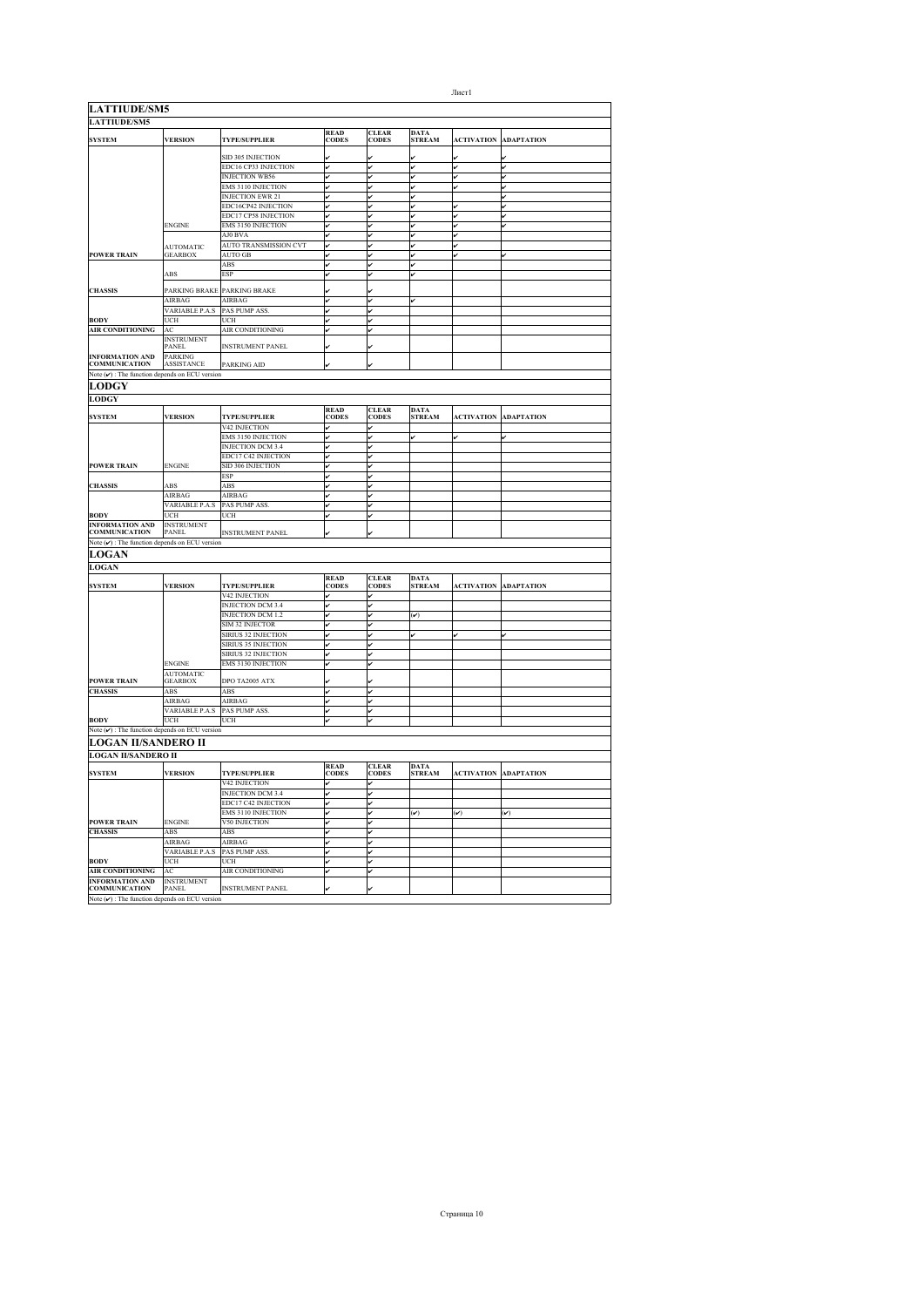| <b>LATTIUDE/SM5</b>                                                                                                                                                                                                                                                                                                      |                                   |                             |                             |                              |                              |                   |                        |
|--------------------------------------------------------------------------------------------------------------------------------------------------------------------------------------------------------------------------------------------------------------------------------------------------------------------------|-----------------------------------|-----------------------------|-----------------------------|------------------------------|------------------------------|-------------------|------------------------|
| <b>SYSTEM</b>                                                                                                                                                                                                                                                                                                            | <b>VERSION</b>                    | TYPE/SUPPLIER               | <b>READ<br/>CODES</b>       | <b>CLEAR</b><br>CODES        | DATA<br>STREAM               | <b>ACTIVATION</b> | <b>ADAPTATION</b>      |
|                                                                                                                                                                                                                                                                                                                          |                                   | SID 305 INJECTION           |                             |                              |                              |                   |                        |
|                                                                                                                                                                                                                                                                                                                          |                                   | <b>EDC16 CP33 INJECTION</b> | V                           | lv                           | v                            | ú                 | v                      |
|                                                                                                                                                                                                                                                                                                                          |                                   | <b>INJECTION WB56</b>       | v                           | v                            | v                            | v                 | v                      |
|                                                                                                                                                                                                                                                                                                                          |                                   | <b>EMS 3110 INJECTION</b>   | v                           | v                            | v                            | v                 | v                      |
|                                                                                                                                                                                                                                                                                                                          |                                   | <b>INJECTION EWR 21</b>     | v                           | v                            | v                            |                   | v                      |
|                                                                                                                                                                                                                                                                                                                          |                                   | EDC16CP42 INJECTION         | v                           |                              | v                            |                   | v                      |
|                                                                                                                                                                                                                                                                                                                          |                                   | EDC17 CP58 INJECTION        | v                           | v                            | v                            |                   | v                      |
|                                                                                                                                                                                                                                                                                                                          | <b>ENGINE</b>                     | <b>EMS 3150 INJECTION</b>   | v                           | v                            | v                            | v                 | ú                      |
|                                                                                                                                                                                                                                                                                                                          |                                   | AJ0 BVA                     | v                           | v                            | v                            | ú                 |                        |
|                                                                                                                                                                                                                                                                                                                          | <b>AUTOMATIC</b>                  | AUTO TRANSMISSION CVT       | v                           | v                            | v                            |                   |                        |
| <b>POWER TRAIN</b>                                                                                                                                                                                                                                                                                                       | <b>GEARBOX</b>                    | AUTO GB                     | v                           | v                            | v                            | v                 | v                      |
|                                                                                                                                                                                                                                                                                                                          |                                   | ABS                         | v                           |                              | v                            |                   |                        |
|                                                                                                                                                                                                                                                                                                                          | ABS                               | ESP                         |                             |                              |                              |                   |                        |
| <b>CHASSIS</b>                                                                                                                                                                                                                                                                                                           | PARKING BRAKE                     | PARKING BRAKE               |                             |                              |                              |                   |                        |
|                                                                                                                                                                                                                                                                                                                          | AIRBAG                            | AIRBAG                      | v                           |                              |                              |                   |                        |
|                                                                                                                                                                                                                                                                                                                          | VARIABLE P.A.S                    | PAS PUMP ASS.               | v                           | v                            |                              |                   |                        |
| <b>BODY</b>                                                                                                                                                                                                                                                                                                              | UCH                               | UCH                         | v                           | v                            |                              |                   |                        |
| <b>AIR CONDITIONING</b>                                                                                                                                                                                                                                                                                                  | AC                                | AIR CONDITIONING            | v                           | ú                            |                              |                   |                        |
|                                                                                                                                                                                                                                                                                                                          | <b>INSTRUMENT</b>                 |                             |                             |                              |                              |                   |                        |
|                                                                                                                                                                                                                                                                                                                          | <b>PANEL</b>                      | <b>INSTRUMENT PANEL</b>     |                             | v                            |                              |                   |                        |
| <b>INFORMATION AND</b>                                                                                                                                                                                                                                                                                                   | PARKING                           |                             |                             |                              |                              |                   |                        |
| <b>COMMUNICATION</b>                                                                                                                                                                                                                                                                                                     | ASSISTANCE                        | PARKING AID                 |                             |                              |                              |                   |                        |
| Note $(\nu)$ : The function depends on ECU version                                                                                                                                                                                                                                                                       |                                   |                             |                             |                              |                              |                   |                        |
| <b>LODGY</b>                                                                                                                                                                                                                                                                                                             |                                   |                             |                             |                              |                              |                   |                        |
| <b>LODGY</b>                                                                                                                                                                                                                                                                                                             |                                   |                             |                             |                              |                              |                   |                        |
|                                                                                                                                                                                                                                                                                                                          |                                   |                             | <b>READ</b><br>CODES        | <b>CLEAR</b>                 | <b>DATA</b><br>STREAM        |                   |                        |
| <b>SYSTEM</b>                                                                                                                                                                                                                                                                                                            | <b>VERSION</b>                    | <b>TYPE/SUPPLIER</b>        |                             | <b>CODES</b>                 |                              | <b>ACTIVATION</b> | <b>ADAPTATION</b>      |
|                                                                                                                                                                                                                                                                                                                          |                                   | V42 INJECTION               | v                           | V                            |                              |                   |                        |
|                                                                                                                                                                                                                                                                                                                          |                                   | EMS 3150 INJECTION          | v                           | v                            | v                            |                   |                        |
|                                                                                                                                                                                                                                                                                                                          |                                   | INJECTION DCM 3.4           | v                           | ú                            |                              |                   |                        |
|                                                                                                                                                                                                                                                                                                                          |                                   | EDC17 C42 INJECTION         | v                           | ú                            |                              |                   |                        |
| <b>POWER TRAIN</b>                                                                                                                                                                                                                                                                                                       | <b>ENGINE</b>                     | SID 306 INJECTION           | v                           | ر                            |                              |                   |                        |
|                                                                                                                                                                                                                                                                                                                          | ABS                               | ESP<br>ABS                  | v                           | v                            |                              |                   |                        |
| <b>CHASSIS</b>                                                                                                                                                                                                                                                                                                           |                                   |                             | v                           | v                            |                              |                   |                        |
|                                                                                                                                                                                                                                                                                                                          | AIRBAG                            | AIRBAG                      | v                           | v                            |                              |                   |                        |
| <b>BODY</b>                                                                                                                                                                                                                                                                                                              | VARIABLE P.A.S<br>UCH             | PAS PUMP ASS.<br>UCH        | v<br>v                      | v<br>v                       |                              |                   |                        |
| <b>INFORMATION AND</b>                                                                                                                                                                                                                                                                                                   | <b>INSTRUMENT</b>                 |                             |                             |                              |                              |                   |                        |
| <b>COMMUNICATION</b>                                                                                                                                                                                                                                                                                                     | PANEL                             | <b>INSTRUMENT PANEL</b>     |                             |                              |                              |                   |                        |
| Note $(\checkmark)$ : The function depends on ECU version                                                                                                                                                                                                                                                                |                                   |                             |                             |                              |                              |                   |                        |
| <b>LOGAN</b>                                                                                                                                                                                                                                                                                                             |                                   |                             |                             |                              |                              |                   |                        |
|                                                                                                                                                                                                                                                                                                                          |                                   |                             |                             |                              |                              |                   |                        |
| <b>LOGAN</b>                                                                                                                                                                                                                                                                                                             |                                   |                             |                             |                              |                              |                   |                        |
| <b>SYSTEM</b>                                                                                                                                                                                                                                                                                                            | <b>VERSION</b>                    | <b>TYPE/SUPPLIER</b>        | <b>READ</b><br><b>CODES</b> | <b>CLEAR</b><br><b>CODES</b> | <b>DATA</b><br><b>STREAM</b> | <b>ACTIVATION</b> | <b>ADAPTATION</b>      |
|                                                                                                                                                                                                                                                                                                                          |                                   | V42 INJECTION               | v                           | v                            |                              |                   |                        |
|                                                                                                                                                                                                                                                                                                                          |                                   | <b>INJECTION DCM 3.4</b>    | v                           | v                            |                              |                   |                        |
|                                                                                                                                                                                                                                                                                                                          |                                   | <b>INJECTION DCM 1.2</b>    | v                           | ر                            | $(\check{\mathbf{v}})$       |                   |                        |
|                                                                                                                                                                                                                                                                                                                          |                                   | SIM 32 INJECTOR             | v                           | v                            |                              |                   |                        |
|                                                                                                                                                                                                                                                                                                                          |                                   | <b>SIRIUS 32 INJECTION</b>  | v                           | v                            | v                            | v                 | v                      |
|                                                                                                                                                                                                                                                                                                                          |                                   | <b>SIRIUS 35 INJECTION</b>  | v                           | v                            |                              |                   |                        |
|                                                                                                                                                                                                                                                                                                                          |                                   | <b>SIRIUS 32 INJECTION</b>  | v                           | v                            |                              |                   |                        |
|                                                                                                                                                                                                                                                                                                                          |                                   |                             | v                           | ú                            |                              |                   |                        |
|                                                                                                                                                                                                                                                                                                                          | <b>ENGINE</b>                     | <b>EMS 3130 INJECTION</b>   |                             |                              |                              |                   |                        |
|                                                                                                                                                                                                                                                                                                                          | <b>AUTOMATIC</b>                  |                             |                             |                              |                              |                   |                        |
|                                                                                                                                                                                                                                                                                                                          | <b>GEARBOX</b>                    | DPO TA2005 ATX              |                             |                              |                              |                   |                        |
|                                                                                                                                                                                                                                                                                                                          | ABS                               | ABS                         | v                           | ✓                            |                              |                   |                        |
|                                                                                                                                                                                                                                                                                                                          | AIRBAG                            | AIRBAG                      | v                           | v                            |                              |                   |                        |
|                                                                                                                                                                                                                                                                                                                          | VARIABLE P.A.S                    | <b>PAS PUMP ASS</b>         |                             |                              |                              |                   |                        |
|                                                                                                                                                                                                                                                                                                                          | UCH                               | <b>UCH</b>                  | v                           | lں                           |                              |                   |                        |
|                                                                                                                                                                                                                                                                                                                          |                                   |                             |                             |                              |                              |                   |                        |
|                                                                                                                                                                                                                                                                                                                          |                                   |                             |                             |                              |                              |                   |                        |
|                                                                                                                                                                                                                                                                                                                          |                                   |                             |                             |                              |                              |                   |                        |
|                                                                                                                                                                                                                                                                                                                          |                                   |                             |                             |                              |                              |                   |                        |
|                                                                                                                                                                                                                                                                                                                          | <b>VERSION</b>                    | <b>TYPE/SUPPLIER</b>        | <b>READ</b><br><b>CODES</b> | <b>CLEAR</b><br><b>CODES</b> | <b>DATA</b><br>STREAM        | <b>ACTIVATION</b> | <b>ADAPTATION</b>      |
|                                                                                                                                                                                                                                                                                                                          |                                   | V42 INJECTION               | lv                          | v                            |                              |                   |                        |
|                                                                                                                                                                                                                                                                                                                          |                                   | <b>INJECTION DCM 3.4</b>    | v                           | v                            |                              |                   |                        |
|                                                                                                                                                                                                                                                                                                                          |                                   | EDC17 C42 INJECTION         | v                           | ✓                            |                              |                   |                        |
|                                                                                                                                                                                                                                                                                                                          |                                   | <b>EMS 3110 INJECTION</b>   | v                           | ✓                            | $(\checkmark)$               | $(\checkmark)$    | $(\check{\mathbf{v}})$ |
|                                                                                                                                                                                                                                                                                                                          | <b>ENGINE</b>                     | V50 INJECTION               | v                           |                              |                              |                   |                        |
|                                                                                                                                                                                                                                                                                                                          | ABS                               | ABS                         | v                           | v                            |                              |                   |                        |
|                                                                                                                                                                                                                                                                                                                          | <b>AIRBAG</b>                     | <b>AIRBAG</b>               | v                           | v                            |                              |                   |                        |
|                                                                                                                                                                                                                                                                                                                          | <b>VARIABLE P.A.S</b>             | PAS PUMP ASS                | v                           | v                            |                              |                   |                        |
|                                                                                                                                                                                                                                                                                                                          | UCH                               | <b>UCH</b>                  | v                           | v                            |                              |                   |                        |
|                                                                                                                                                                                                                                                                                                                          | AC                                | AIR CONDITIONING            | v                           | v                            |                              |                   |                        |
| <b>POWER TRAIN</b><br><b>CHASSIS</b><br><b>BODY</b><br>Note $(v)$ : The function depends on ECU version<br><b>LOGAN II/SANDERO II</b><br><b>LOGAN II/SANDERO II</b><br><b>SYSTEM</b><br><b>POWER TRAIN</b><br><b>CHASSIS</b><br><b>BODY</b><br><b>AIR CONDITIONING</b><br><b>INFORMATION AND</b><br><b>COMMUNICATION</b> | <b>INSTRUMENT</b><br><b>PANEL</b> | <b>INSTRUMENT PANEL</b>     |                             |                              |                              |                   |                        |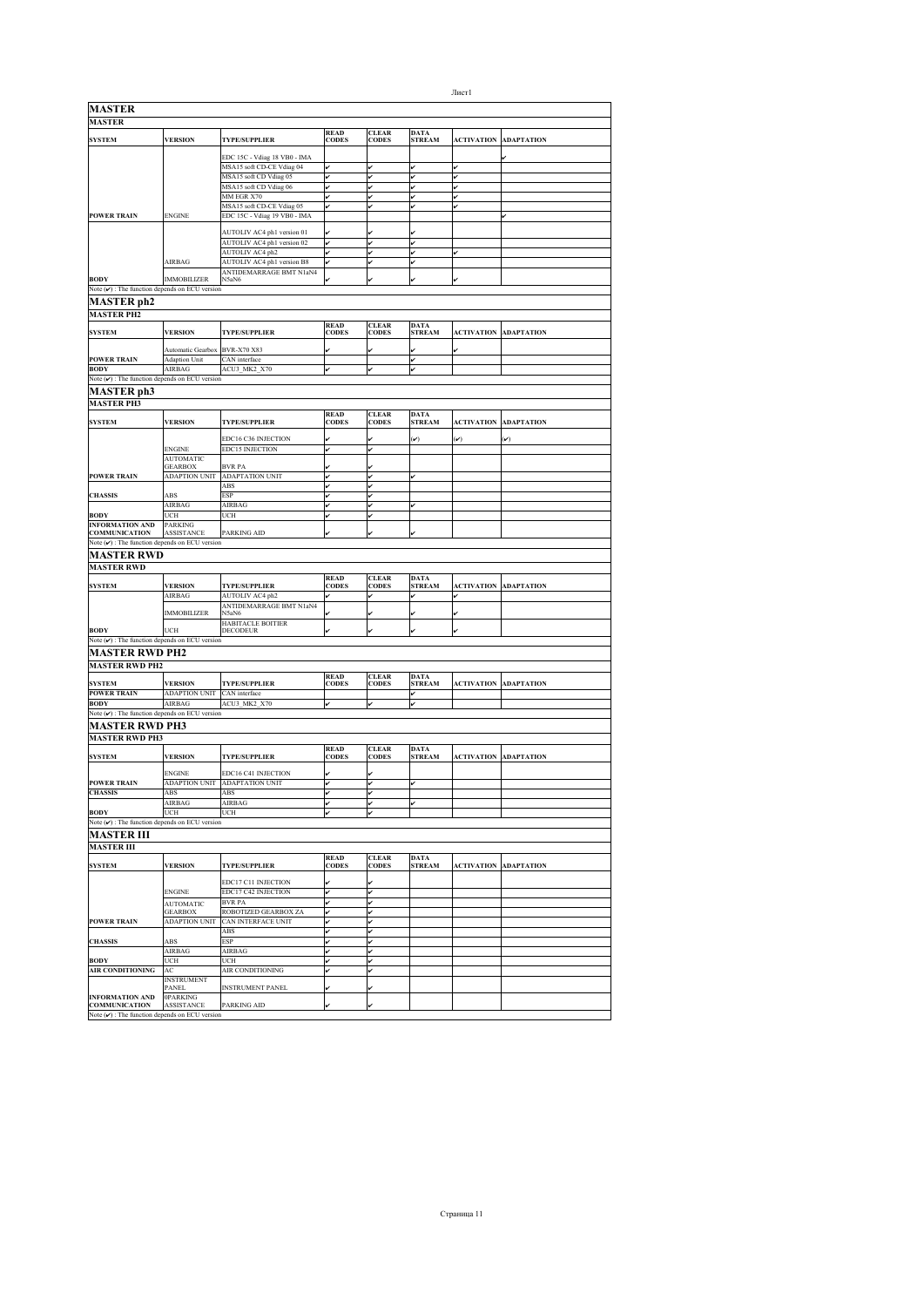| <b>MASTER</b>                                                            |                                     |                                                           |                             |                              |                              |                   |                   |
|--------------------------------------------------------------------------|-------------------------------------|-----------------------------------------------------------|-----------------------------|------------------------------|------------------------------|-------------------|-------------------|
| <b>MASTER</b>                                                            |                                     |                                                           |                             |                              |                              |                   |                   |
| <b>SYSTEM</b>                                                            | <b>VERSION</b>                      | TYPE/SUPPLIER                                             | <b>READ<br/>CODES</b>       | <b>CLEAR</b><br><b>CODES</b> | <b>DATA</b><br><b>STREAM</b> | <b>ACTIVATION</b> | <b>ADAPTATION</b> |
|                                                                          |                                     |                                                           |                             |                              |                              |                   |                   |
|                                                                          |                                     | EDC 15C - Vdiag 18 VB0 - IMA<br>MSA15 soft CD-CE Vdiag 04 |                             |                              |                              |                   |                   |
|                                                                          |                                     | MSA15 soft CD Vdiag 05                                    |                             |                              | v                            |                   |                   |
|                                                                          |                                     | MSA15 soft CD Vdiag 06                                    | ر                           |                              | v                            |                   |                   |
|                                                                          |                                     | MM EGR X70                                                |                             |                              | v                            |                   |                   |
| <b>POWER TRAIN</b>                                                       | <b>ENGINE</b>                       | MSA15 soft CD-CE Vdiag 05<br>EDC 15C - Vdiag 19 VB0 - IMA | v                           | v                            | v                            | v                 |                   |
|                                                                          |                                     |                                                           |                             |                              |                              |                   |                   |
|                                                                          |                                     | AUTOLIV AC4 ph1 version 01                                |                             |                              |                              |                   |                   |
|                                                                          |                                     | AUTOLIV AC4 ph1 version 02<br>AUTOLIV AC4 ph2             | ✓                           | v                            | v<br>v                       |                   |                   |
|                                                                          | AIRBAG                              | AUTOLIV AC4 ph1 version B8                                |                             |                              | v                            |                   |                   |
|                                                                          |                                     | ANTIDEMARRAGE BMT N1aN4                                   |                             |                              |                              |                   |                   |
| <b>BODY</b><br>Note $(\checkmark)$ : The function depends on ECU version | <b>IMMOBILIZER</b>                  | N5aN6                                                     |                             |                              |                              |                   |                   |
| <b>MASTER</b> ph2                                                        |                                     |                                                           |                             |                              |                              |                   |                   |
| <b>MASTER PH2</b>                                                        |                                     |                                                           |                             |                              |                              |                   |                   |
|                                                                          |                                     |                                                           | <b>READ</b>                 | <b>CLEAR</b>                 | <b>DATA</b>                  |                   |                   |
| <b>SYSTEM</b>                                                            | <b>VERSION</b>                      | <b>TYPE/SUPPLIER</b>                                      | <b>CODES</b>                | <b>CODES</b>                 | <b>STREAM</b>                | <b>ACTIVATION</b> | ADAPTATION        |
|                                                                          | Automatic Gearbox BVR-X70 X83       |                                                           |                             |                              |                              |                   |                   |
| <b>POWER TRAIN</b>                                                       | Adaption Unit                       | CAN interface                                             |                             |                              | v                            |                   |                   |
| <b>BODY</b>                                                              | <b>AIRBAG</b>                       | ACU3 MK2 X70                                              |                             |                              | v                            |                   |                   |
| Note $(\nu)$ : The function depends on ECU version                       |                                     |                                                           |                             |                              |                              |                   |                   |
| MASTER ph3                                                               |                                     |                                                           |                             |                              |                              |                   |                   |
| <b>MASTER PH3</b>                                                        |                                     |                                                           |                             |                              |                              |                   |                   |
| <b>SYSTEM</b>                                                            | <b>VERSION</b>                      | <b>TYPE/SUPPLIER</b>                                      | <b>READ</b><br><b>CODES</b> | <b>CLEAR</b><br><b>CODES</b> | <b>DATA</b><br><b>STREAM</b> | <b>ACTIVATION</b> | ADAPTATION        |
|                                                                          |                                     |                                                           |                             |                              |                              |                   |                   |
|                                                                          | <b>ENGINE</b>                       | EDC16 C36 INJECTION<br><b>EDC15 INJECTION</b>             |                             |                              | $(\checkmark)$               | $(\checkmark)$    | $(\checkmark)$    |
|                                                                          | <b>AUTOMATIC</b>                    |                                                           |                             |                              |                              |                   |                   |
|                                                                          | <b>GEARBOX</b>                      | <b>BVR PA</b>                                             |                             |                              |                              |                   |                   |
| <b>POWER TRAIN</b>                                                       | <b>ADAPTION UNIT</b>                | <b>ADAPTATION UNIT</b><br>ABS                             |                             |                              |                              |                   |                   |
| <b>CHASSIS</b>                                                           | ABS                                 | <b>ESP</b>                                                | v                           | v                            |                              |                   |                   |
|                                                                          | AIRBAG                              | AIRBAG                                                    | v                           | J                            | v                            |                   |                   |
| <b>BODY</b>                                                              | UCH                                 | UCH                                                       |                             |                              |                              |                   |                   |
| <b>INFORMATION AND</b><br><b>COMMUNICATION</b>                           | <b>PARKING</b><br><b>ASSISTANCE</b> | PARKING AID                                               |                             |                              |                              |                   |                   |
| Note $(\mathbf{v})$ : The function depends on ECU version                |                                     |                                                           |                             |                              |                              |                   |                   |
| <b>MASTER RWD</b>                                                        |                                     |                                                           |                             |                              |                              |                   |                   |
| <b>MASTER RWD</b>                                                        |                                     |                                                           |                             |                              |                              |                   |                   |
|                                                                          |                                     |                                                           | <b>READ</b>                 | <b>CLEAR</b>                 | <b>DATA</b>                  |                   |                   |
| <b>SYSTEM</b>                                                            | <b>VERSION</b><br>AIRBAG            | <b>TYPE/SUPPLIER</b><br>AUTOLIV AC4 ph2                   | <b>CODES</b>                | <b>CODES</b>                 | <b>STREAM</b><br>v           | <b>ACTIVATION</b> | <b>ADAPTATION</b> |
|                                                                          |                                     | ANTIDEMARRAGE BMT N1aN4                                   |                             |                              |                              |                   |                   |
|                                                                          | <b>IMMOBILIZER</b>                  | N5aN6                                                     |                             |                              |                              |                   |                   |
| <b>BODY</b>                                                              | UCH                                 | HABITACLE BOITIER<br><b>DECODEUR</b>                      |                             |                              |                              |                   |                   |
| Note $(v)$ : The function depends on ECU version                         |                                     |                                                           |                             |                              |                              |                   |                   |
| <b>MASTER RWD PH2</b>                                                    |                                     |                                                           |                             |                              |                              |                   |                   |
| <b>MASTER RWD PH2</b>                                                    |                                     |                                                           |                             |                              |                              |                   |                   |
| <b>SYSTEM</b>                                                            | <b>VERSION</b>                      | <b>TYPE/SUPPLIER</b>                                      | <b>READ</b><br><b>CODES</b> | <b>CLEAR</b><br><b>CODES</b> | <b>DATA</b><br><b>STREAM</b> | <b>ACTIVATION</b> | <b>ADAPTATION</b> |
| <b>POWER TRAIN</b>                                                       | <b>ADAPTION UNIT</b>                | CAN interface                                             |                             |                              | v                            |                   |                   |
| <b>BODY</b>                                                              | AIRBAG                              | ACU3 MK2 X70                                              |                             |                              | v                            |                   |                   |
| Note $(v)$ : The function depends on ECU version                         |                                     |                                                           |                             |                              |                              |                   |                   |
| MASTER RWD PH3                                                           |                                     |                                                           |                             |                              |                              |                   |                   |
| <b>MASTER RWD PH3</b>                                                    |                                     |                                                           |                             |                              |                              |                   |                   |
| <b>SYSTEM</b>                                                            | <b>VERSION</b>                      | <b>TYPE/SUPPLIER</b>                                      | <b>READ</b><br><b>CODES</b> | <b>CLEAR</b><br><b>CODES</b> | <b>DATA</b><br><b>STREAM</b> | <b>ACTIVATION</b> | <b>ADAPTATION</b> |
|                                                                          |                                     |                                                           |                             |                              |                              |                   |                   |
|                                                                          | <b>ENGINE</b>                       | EDC16 C41 INJECTION                                       |                             |                              |                              |                   |                   |
| <b>POWER TRAIN</b><br><b>CHASSIS</b>                                     | <b>ADAPTION UNIT</b><br>ABS         | <b>ADAPTATION UNIT</b><br>ABS                             | v<br>v                      | v                            | v                            |                   |                   |
|                                                                          | AIRBAG                              | AIRBAG                                                    |                             |                              |                              |                   |                   |
| <b>BODY</b>                                                              | UCH                                 | UCH                                                       |                             |                              |                              |                   |                   |
| Note $(\checkmark)$ : The function depends on ECU version                |                                     |                                                           |                             |                              |                              |                   |                   |
| <b>MASTER III</b>                                                        |                                     |                                                           |                             |                              |                              |                   |                   |
| <b>MASTER III</b>                                                        |                                     |                                                           |                             |                              |                              |                   |                   |
| <b>SYSTEM</b>                                                            | <b>VERSION</b>                      | <b>TYPE/SUPPLIER</b>                                      | <b>READ</b><br><b>CODES</b> | <b>CLEAR</b><br><b>CODES</b> | <b>DATA</b><br><b>STREAM</b> | <b>ACTIVATION</b> | <b>ADAPTATION</b> |
|                                                                          |                                     |                                                           |                             |                              |                              |                   |                   |
|                                                                          |                                     | EDC17 C11 INJECTION                                       |                             |                              |                              |                   |                   |
|                                                                          | ENGINE<br><b>AUTOMATIC</b>          | EDC17 C42 INJECTION<br><b>BVR PA</b>                      |                             |                              |                              |                   |                   |
|                                                                          | <b>GEARBOX</b>                      | ROBOTIZED GEARBOX ZA                                      |                             |                              |                              |                   |                   |
| <b>POWER TRAIN</b>                                                       | <b>ADAPTION UNIT</b>                | <b>CAN INTERFACE UNIT</b>                                 |                             |                              |                              |                   |                   |
|                                                                          |                                     | $\overline{ABS}$<br><b>ESP</b>                            |                             |                              |                              |                   |                   |
| <b>CHASSIS</b>                                                           | ABS<br>AIRBAG                       | AIRBAG                                                    | v                           |                              |                              |                   |                   |
| <b>BODY</b>                                                              | UCH                                 | UCH                                                       | v                           |                              |                              |                   |                   |
| <b>AIR CONDITIONING</b>                                                  | AC                                  | AIR CONDITIONING                                          | v                           | ✓                            |                              |                   |                   |
|                                                                          | <b>INSTRUMENT</b><br>PANEL          | <b>INSTRUMENT PANEL</b>                                   |                             |                              |                              |                   |                   |
| INFORMATION AND                                                          | <b>OPARKING</b>                     |                                                           |                             |                              |                              |                   |                   |
| <b>COMMUNICATION</b>                                                     | <b>ASSISTANCE</b>                   | PARKING AID                                               |                             |                              |                              |                   |                   |
| Note $(\nu)$ : The function depends on ECU version                       |                                     |                                                           |                             |                              |                              |                   |                   |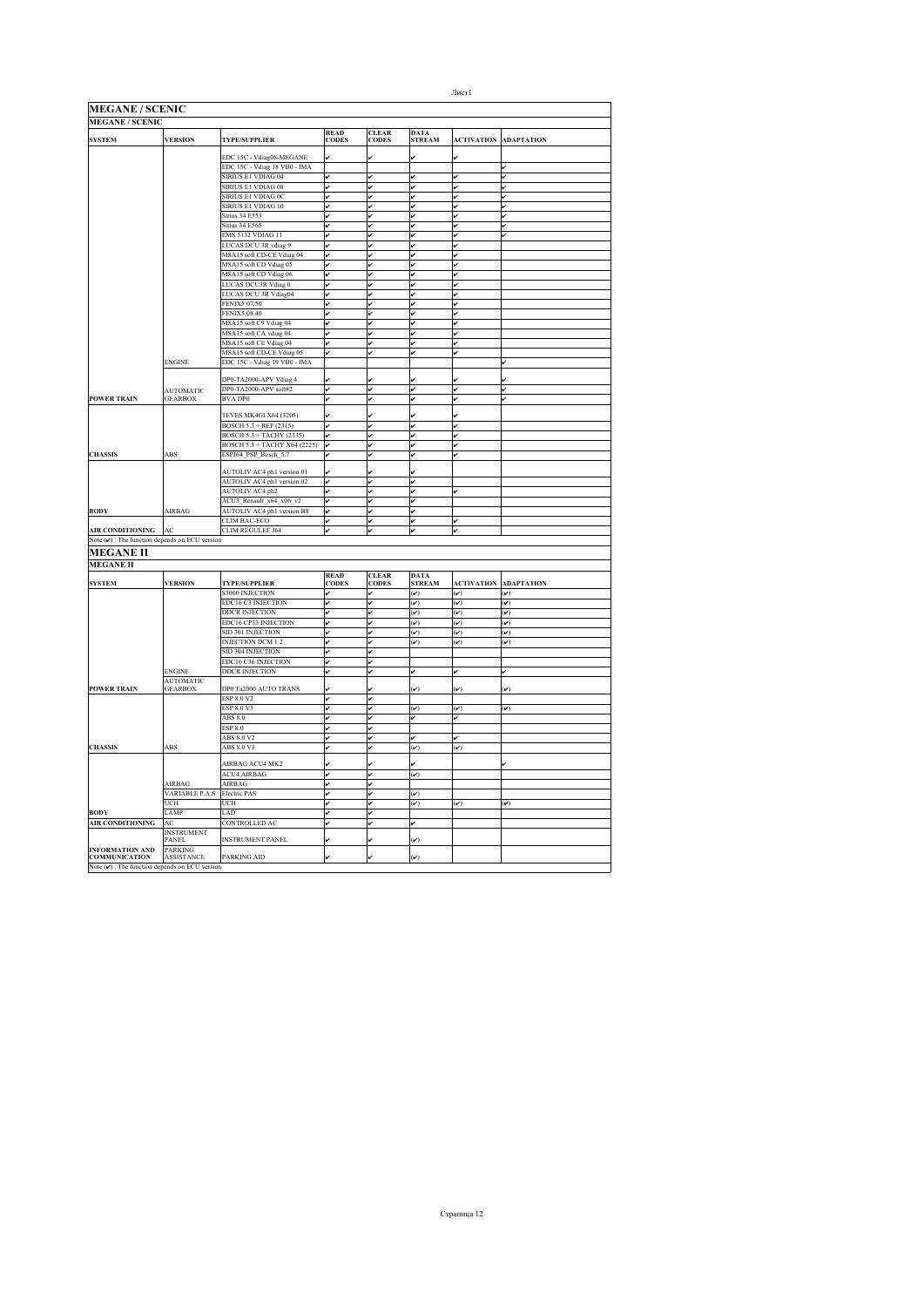| <b>MEGANE / SCENIC</b>                                    |                                     |                                 |                             |                       |                              |                         |                         |
|-----------------------------------------------------------|-------------------------------------|---------------------------------|-----------------------------|-----------------------|------------------------------|-------------------------|-------------------------|
| <b>MEGANE / SCENIC</b>                                    |                                     |                                 |                             |                       |                              |                         |                         |
| <b>SYSTEM</b>                                             | <b>VERSION</b>                      | <b>TYPE/SUPPLIER</b>            | <b>READ</b><br><b>CODES</b> | <b>CLEAR</b><br>CODES | <b>DATA</b><br><b>STREAM</b> | <b>ACTIVATION</b>       | <b>ADAPTATION</b>       |
|                                                           |                                     | EDC 15C - Vdiag08-MEGANE        |                             |                       |                              |                         |                         |
|                                                           |                                     | EDC 15C - Vdiag 18 VB0 - IMA    |                             |                       |                              |                         | v                       |
|                                                           |                                     | SIRIUS E1 VDIAG 04              | v                           | v                     | v                            | v                       | ر                       |
|                                                           |                                     | SIRIUS E1 VDIAG 08              | v                           | v                     | v                            | v                       |                         |
|                                                           |                                     | SIRIUS E1 VDIAG 0C              | v                           | v                     | v                            | v                       | v                       |
|                                                           |                                     | SIRIUS E1 VDIAG 10              | v                           | ✓                     | v                            | v                       | v                       |
|                                                           |                                     | <b>Sirius 34 E553</b>           | v                           | v                     | v                            | ú                       | v                       |
|                                                           |                                     | <b>Sirius 34 E565</b>           | v                           | v                     | v                            | v                       | v                       |
|                                                           |                                     | EMS 3132 VDIAG 11               | v                           | ú                     | v                            | v                       |                         |
|                                                           |                                     | LUCAS DCU 3R vdiag 9            | v                           | v                     | v                            | ú                       |                         |
|                                                           |                                     | MSA15 soft CD-CE Vdiag 04       | v                           | v                     | v                            | v                       |                         |
|                                                           |                                     | MSA15 soft CD Vdiag 05          | v                           | v                     | v                            | v                       |                         |
|                                                           |                                     | MSA15 soft CD Vdiag 06          | v                           | v                     | v                            | v                       |                         |
|                                                           |                                     | LUCAS DCU3R Vdiag 0             | v                           |                       | v                            | v                       |                         |
|                                                           |                                     | LUCAS DCU 3R Vdiag04            | v                           | v                     | v                            | v                       |                         |
|                                                           |                                     | <b>FENIX5 07.50</b>             | v                           | v                     | v                            | v                       |                         |
|                                                           |                                     | <b>FENIX5 08.40</b>             | v                           | v                     | v                            | v                       |                         |
|                                                           |                                     | MSA15 soft C9 Vdiag 04          | v                           |                       | v                            | v                       |                         |
|                                                           |                                     | MSA15 soft CA vdiag 04          | v                           | v                     | v                            | v                       |                         |
|                                                           |                                     | MSA15 soft CE Vdiag 04          | v                           | v                     | v                            | v                       |                         |
|                                                           |                                     | MSA15 soft CD-CE Vdiag 05       | J                           | v                     | v                            | v                       |                         |
|                                                           | <b>ENGINE</b>                       | EDC 15C - Vdiag 19 VB0 - IMA    |                             |                       |                              |                         |                         |
|                                                           |                                     |                                 |                             |                       |                              |                         |                         |
|                                                           |                                     | DP0-TA2000-APV Vdiag 4          |                             |                       | v                            |                         |                         |
|                                                           | <b>AUTOMATIC</b>                    | DP0-TA2000-APV soft82           | V                           | v                     | v                            | v                       | v                       |
| <b>POWER TRAIN</b>                                        | <b>GEARBOX</b>                      | <b>BVA DP0</b>                  | J                           | ú                     | v                            | ◡                       | v                       |
|                                                           |                                     |                                 |                             |                       |                              |                         |                         |
|                                                           |                                     | TEVES MK4GI X64 (3205)          |                             |                       |                              |                         |                         |
|                                                           |                                     | <b>BOSCH 5.3 + REF (2315)</b>   | v                           | v                     | v                            | v                       |                         |
|                                                           |                                     | <b>BOSCH 5.3 + TACHY (2335)</b> | v                           | v                     | v                            | v                       |                         |
|                                                           |                                     | BOSCH 5.3 + TACHY X64 (2225)    | v                           | v                     | v                            | v                       |                         |
| <b>CHASSIS</b>                                            | ABS                                 | ESPJ64 PSP Bosch 5.7            | v                           | v                     | v                            | v                       |                         |
|                                                           |                                     |                                 |                             |                       | v                            |                         |                         |
|                                                           |                                     | AUTOLIV AC4 ph1 version 01      | v                           |                       | v                            |                         |                         |
|                                                           |                                     | AUTOLIV AC4 ph1 version 02      |                             | v<br>v                |                              |                         |                         |
|                                                           |                                     | AUTOLIV AC4 ph2                 | v<br>v                      |                       | v<br>v                       |                         |                         |
|                                                           |                                     | ACU3_Renault_x64_x06_v2         |                             | v                     |                              |                         |                         |
| <b>BODY</b>                                               | AIRBAG                              | AUTOLIV AC4 ph1 version B8      | v                           | v                     | v                            |                         |                         |
|                                                           |                                     | CLIM BAC-ECO                    | v                           | v                     | v                            |                         |                         |
| <b>AIR CONDITIONING</b>                                   | AC                                  | CLIM REGULEE J64                | v                           |                       | v                            | v                       |                         |
| Note $(\checkmark)$ : The function depends on ECU version |                                     |                                 |                             |                       |                              |                         |                         |
| <b>MEGANE II</b>                                          |                                     |                                 |                             |                       |                              |                         |                         |
| <b>MEGANE II</b>                                          |                                     |                                 |                             |                       |                              |                         |                         |
|                                                           |                                     |                                 | <b>READ</b>                 | <b>CLEAR</b>          | <b>DATA</b>                  |                         |                         |
| <b>SYSTEM</b>                                             | <b>VERSION</b>                      | <b>TYPE/SUPPLIER</b>            | <b>CODES</b>                | <b>CODES</b>          | <b>STREAM</b>                | <b>ACTIVATION</b>       | <b>ADAPTATION</b>       |
|                                                           |                                     | <b>S3000 INJECTION</b>          | v                           | v                     | $(\checkmark)$               | $(\check{\phantom{a}})$ | $(\checkmark)$          |
|                                                           |                                     | <b>EDC16 C3 INJECTION</b>       | v                           |                       | $\mathcal{V}$                | $(\check{v})$           | $(\check{\mathbf{v}})$  |
|                                                           |                                     | <b>DDCR INJECTION</b>           | v                           |                       | $\mathcal{L}$                | $(\check{v})$           | $(\check{\mathbf{v}})$  |
|                                                           |                                     | EDC16 CP33 INJECTION            | v                           |                       | $(\check{\phantom{a}})$      | $(\checkmark)$          | $\mathcal{V}$           |
|                                                           |                                     | SID 301 INJECTION               | v                           | v                     | $(\check{\phantom{a}})$      | $(\check{\phantom{a}})$ | $(\check{\mathbf{v}})$  |
|                                                           |                                     | <b>INJECTION DCM 1.2</b>        | v                           | v                     | $(\checkmark)$               | $(\checkmark)$          | $(\checkmark)$          |
|                                                           |                                     | SID 304 INJECTION               | v                           | v                     |                              |                         |                         |
|                                                           |                                     | EDC16 C36 INJECTION             | v                           | v                     |                              |                         |                         |
|                                                           | <b>ENGINE</b>                       | <b>DDCR INJECTION</b>           | v                           | v                     | v                            | v                       | v                       |
|                                                           | <b>AUTOMATIC</b>                    |                                 |                             |                       |                              |                         |                         |
| POWER TRAIN                                               | <b>GEARBOX</b>                      | DP0 Ta2000 AUTO TRANS           |                             |                       | $\mathbf{v}$                 | $(\checkmark)$          | Ø                       |
|                                                           |                                     | ESP 8.0 V2                      | v                           | v                     |                              |                         |                         |
|                                                           |                                     | ESP 8.0 V3                      | v                           | v                     | $(\boldsymbol{\mathcal{v}})$ | $(\check{\mathbf{v}})$  | $(\check{\mathbf{v}})$  |
|                                                           |                                     | ABS 8.0                         | v                           | v                     | v                            | v                       |                         |
|                                                           |                                     | <b>ESP 8.0</b>                  | v                           | v                     |                              |                         |                         |
|                                                           |                                     | ABS 8.0 V2                      | v                           | ✓                     | v                            | v                       |                         |
| <b>CHASSIS</b>                                            | ABS                                 | ABS 8.0 V3                      | v                           | v                     | $(\check{v})$                | $(\check{v})$           |                         |
|                                                           |                                     |                                 |                             |                       |                              |                         |                         |
|                                                           |                                     | AIRBAG ACU4 MK2                 |                             |                       |                              |                         |                         |
|                                                           |                                     | <b>ACU4 AIRBAG</b>              | v                           | ✓                     | $(\boldsymbol{\mathcal{v}})$ |                         |                         |
|                                                           | AIRBAG                              | AIRBAG                          | v                           |                       |                              |                         |                         |
|                                                           | <b>VARIABLE P.A.S</b>               | <b>Electric PAS</b>             | v                           | v                     | $\mathcal{V}$                |                         |                         |
|                                                           | UCH                                 | UCH                             | v                           | v                     | $(\check{\phantom{a}})$      | $(\checkmark)$          | $(\check{\phantom{a}})$ |
| <b>BODY</b>                                               | LAMP                                | LAD                             | v                           | v                     |                              |                         |                         |
| <b>AIR CONDITIONING</b>                                   | AC                                  | <b>CONTROLLED AC</b>            | v                           | v                     | v                            |                         |                         |
|                                                           | <b>INSTRUMENT</b>                   |                                 |                             |                       |                              |                         |                         |
|                                                           | <b>PANEL</b>                        | <b>INSTRUMENT PANEL</b>         |                             |                       | $(\check{\phantom{a}})$      |                         |                         |
| <b>INFORMATION AND</b><br><b>COMMUNICATION</b>            | <b>PARKING</b><br><b>ASSISTANCE</b> | PARKING AID                     |                             |                       | $(\check{\phantom{a}})$      |                         |                         |
| Note $(v)$ : The function depends on ECU version          |                                     |                                 |                             |                       |                              |                         |                         |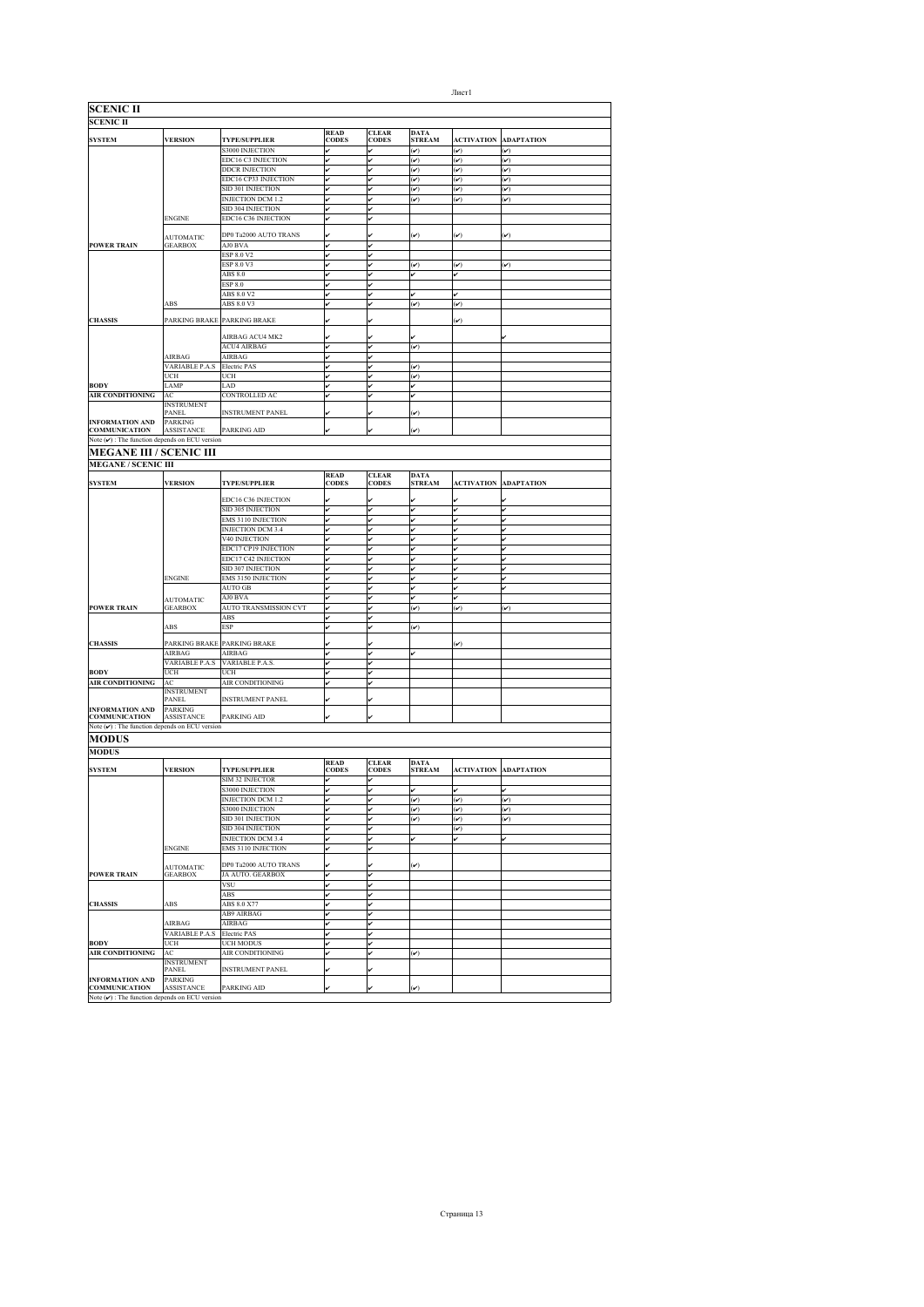| <b>SCENIC II</b>                                    |                              |                             |                             |                              |                              |                         |                         |
|-----------------------------------------------------|------------------------------|-----------------------------|-----------------------------|------------------------------|------------------------------|-------------------------|-------------------------|
| <b>SCENIC II</b>                                    |                              |                             |                             |                              |                              |                         |                         |
| <b>SYSTEM</b>                                       | <b>VERSION</b>               | <b>TYPE/SUPPLIER</b>        | <b>READ</b><br><b>CODES</b> | <b>CLEAR</b><br><b>CODES</b> | <b>DATA</b><br><b>STREAM</b> | <b>ACTIVATION</b>       | <b>ADAPTATION</b>       |
|                                                     |                              | <b>S3000 INJECTION</b>      | v                           |                              | $(\check{\phantom{a}})$      | $(\checkmark)$          | $(\checkmark)$          |
|                                                     |                              | EDC16 C3 INJECTION          | v                           | ú                            | $(\check{\mathbf{v}})$       | $(\checkmark)$          | $(\check{\mathbf{v}})$  |
|                                                     |                              | <b>DDCR INJECTION</b>       | v                           |                              | $(\checkmark)$               | $(\checkmark)$          | $(\check{\phantom{a}})$ |
|                                                     |                              | EDC16 CP33 INJECTION        | v                           | v                            | $(\check{v})$                | $(\checkmark)$          | $(\checkmark)$          |
|                                                     |                              | SID 301 INJECTION           | v                           | lv                           | $(\check{v})$                | $(\checkmark)$          | $(\checkmark)$          |
|                                                     |                              | <b>INJECTION DCM 1.2</b>    | v                           | lv                           | $(\check{v})$                | $(\checkmark)$          | $(\checkmark)$          |
|                                                     |                              | SID 304 INJECTION           | v                           | ú                            |                              |                         |                         |
|                                                     | ENGINE                       | EDC16 C36 INJECTION         | v                           |                              |                              |                         |                         |
|                                                     |                              |                             |                             |                              |                              |                         |                         |
|                                                     | <b>AUTOMATIC</b>             | DP0 Ta2000 AUTO TRANS       |                             |                              | $(\checkmark)$               | $(\checkmark)$          | $(\checkmark)$          |
| <b>POWER TRAIN</b>                                  | <b>GEARBOX</b>               | AJ0 BVA<br>ESP 8.0 V2       | v<br>v                      | v<br>v                       |                              |                         |                         |
|                                                     |                              | ESP 8.0 V3                  | v                           | u                            | $(\checkmark)$               | $(\checkmark)$          | $(\checkmark)$          |
|                                                     |                              | ABS 8.0                     | v                           |                              |                              |                         |                         |
|                                                     |                              | <b>ESP 8.0</b>              |                             |                              |                              |                         |                         |
|                                                     |                              | ABS 8.0 V2                  |                             |                              |                              |                         |                         |
|                                                     | ABS                          | ABS 8.0 V3                  | v                           | v                            | $(\check{\phantom{a}})$      | $\bar{(\mathbf{v})}$    |                         |
|                                                     |                              |                             |                             |                              |                              |                         |                         |
| <b>CHASSIS</b>                                      |                              | PARKING BRAKE PARKING BRAKE |                             |                              |                              | $(\checkmark)$          |                         |
|                                                     |                              | AIRBAG ACU4 MK2             |                             |                              |                              |                         |                         |
|                                                     |                              | <b>ACU4 AIRBAG</b>          | v                           | v                            | $(\check{\phantom{a}})$      |                         |                         |
|                                                     | AIRBAG                       | AIRBAG                      | v                           |                              |                              |                         |                         |
|                                                     | VARIABLE P.A.S               | <b>Electric PAS</b>         | v                           | l۳                           | $(\check{v})$                |                         |                         |
|                                                     | UCH                          | UCH                         | v                           |                              | $(\check{\phantom{a}})$      |                         |                         |
| <b>BODY</b>                                         | LAMP                         | LAD                         | v                           | v                            | v                            |                         |                         |
| AIR CONDITIONING                                    | AC                           | CONTROLLED AC               | v                           |                              | v                            |                         |                         |
|                                                     | <b>INSTRUMENT</b>            |                             |                             |                              |                              |                         |                         |
|                                                     | <b>PANEL</b>                 | <b>INSTRUMENT PANEL</b>     |                             |                              | $(\checkmark)$               |                         |                         |
| <b>INFORMATION AND</b><br><b>COMMUNICATION</b>      | <b>PARKING</b><br>ASSISTANCE | PARKING AID                 | v                           |                              |                              |                         |                         |
| Note $(\nu)$ : The function depends on ECU version  |                              |                             |                             |                              | $(\check{\mathbf{v}})$       |                         |                         |
|                                                     |                              |                             |                             |                              |                              |                         |                         |
| <b>MEGANE III / SCENIC III</b>                      |                              |                             |                             |                              |                              |                         |                         |
| <b>MEGANE / SCENIC III</b>                          |                              |                             |                             |                              |                              |                         |                         |
|                                                     |                              |                             | <b>READ</b>                 | <b>CLEAR</b>                 | <b>DATA</b>                  |                         |                         |
| <b>SYSTEM</b>                                       | <b>VERSION</b>               | <b>TYPE/SUPPLIER</b>        | <b>CODES</b>                | <b>CODES</b>                 | <b>STREAM</b>                | <b>ACTIVATION</b>       | <b>ADAPTATION</b>       |
|                                                     |                              | EDC16 C36 INJECTION         |                             |                              |                              |                         |                         |
|                                                     |                              | SID 305 INJECTION           | v                           | v                            | v                            |                         | ✓                       |
|                                                     |                              | EMS 3110 INJECTION          | v                           | v                            | v                            |                         | v                       |
|                                                     |                              | <b>INJECTION DCM 3.4</b>    | v                           | l۳                           | v                            |                         | ر                       |
|                                                     |                              | V40 INJECTION               | ú                           |                              | v                            |                         |                         |
|                                                     |                              | EDC17 CP19 INJECTION        | v                           |                              |                              |                         |                         |
|                                                     |                              | EDC17 C42 INJECTION         | v                           |                              | v                            |                         | v                       |
|                                                     |                              | SID 307 INJECTION           |                             |                              |                              |                         |                         |
|                                                     | <b>ENGINE</b>                | EMS 3150 INJECTION          | v                           |                              |                              |                         |                         |
|                                                     |                              | <b>AUTO GB</b>              | v                           |                              | ✓                            |                         | v                       |
|                                                     | <b>AUTOMATIC</b>             | AJ0 BVA                     | v                           |                              | ✓                            |                         |                         |
| <b>POWER TRAIN</b>                                  | GEARBOX                      | AUTO TRANSMISSION CVT       | v                           |                              | $(\boldsymbol{\mathcal{v}})$ | $(\check{\phantom{a}})$ | $(\checkmark)$          |
|                                                     |                              | ABS                         | v                           |                              |                              |                         |                         |
|                                                     | ABS                          | <b>ESP</b>                  | J                           | v                            | $(\boldsymbol{\mathcal{V}})$ |                         |                         |
|                                                     |                              | PARKING BRAKE PARKING BRAKE |                             |                              |                              |                         |                         |
| <b>CHASSIS</b>                                      | AIRBAG                       | <b>AIRBAG</b>               | v                           |                              | ✓                            | $(\checkmark)$          |                         |
|                                                     | <b>VARIABLE P.A.S</b>        | VARIABLE P.A.S.             | v                           |                              |                              |                         |                         |
| <b>BODY</b>                                         | UCH                          | <b>UCH</b>                  | v                           | v                            |                              |                         |                         |
| AIR CONDITIONING                                    | AC                           | AIR CONDITIONING            | v                           |                              |                              |                         |                         |
|                                                     | <b>INSTRUMENT</b>            |                             |                             |                              |                              |                         |                         |
|                                                     | PANEL                        | <b>INSTRUMENT PANEL</b>     | v                           | ú                            |                              |                         |                         |
| <b>INFORMATION AND</b>                              | <b>PARKING</b>               |                             |                             |                              |                              |                         |                         |
| <b>COMMUNICATION</b>                                | ASSISTANCE                   | PARKING AID                 |                             |                              |                              |                         |                         |
| Note $(\nu)$ : The function depends on ECU version  |                              |                             |                             |                              |                              |                         |                         |
| MODUS                                               |                              |                             |                             |                              |                              |                         |                         |
| <b>MODUS</b>                                        |                              |                             |                             |                              |                              |                         |                         |
|                                                     |                              |                             | <b>READ</b>                 | <b>CLEAR</b>                 | <b>DATA</b>                  |                         |                         |
| <b>SYSTEM</b>                                       | VERSION                      | <b>TYPE/SUPPLIER</b>        | <b>CODES</b>                | <b>CODES</b>                 | <b>STREAM</b>                | <b>ACTIVATION</b>       | <b>ADAPTATION</b>       |
|                                                     |                              | SIM 32 INJECTOR             | v                           | v                            |                              |                         |                         |
|                                                     |                              | <b>S3000 INJECTION</b>      | v                           | lv                           | v                            | v                       | v                       |
|                                                     |                              | <b>INJECTION DCM 1.2</b>    | v                           |                              | $(\check{\mathbf{v}})$       | $(\check{\mathbf{v}})$  | $(\checkmark)$          |
|                                                     |                              | S3000 INJECTION             | ú                           |                              | $(\check{\mathbf{v}})$       | $(\checkmark)$          | $(\check{\mathbf{v}})$  |
|                                                     |                              | SID 301 INJECTION           | v                           |                              | $(\checkmark)$               | $(\checkmark)$          | $(\check{\mathbf{v}})$  |
|                                                     |                              | SID 304 INJECTION           | v<br>v                      | v                            |                              | $(\checkmark)$          |                         |
|                                                     |                              | INJECTION DCM 3.4           |                             |                              |                              | v                       |                         |
|                                                     | <b>ENGINE</b>                | <b>EMS 3110 INJECTION</b>   |                             | v                            |                              |                         |                         |
|                                                     | <b>AUTOMATIC</b>             | DP0 Ta2000 AUTO TRANS       |                             |                              | $\boldsymbol{\nu})$          |                         |                         |
| <b>POWER TRAIN</b>                                  | <b>GEARBOX</b>               | JA AUTO. GEARBOX            | v                           |                              |                              |                         |                         |
|                                                     |                              | VSU                         | v                           | ú                            |                              |                         |                         |
|                                                     |                              | ABS                         | v                           |                              |                              |                         |                         |
| <b>CHASSIS</b>                                      | ABS                          | ABS 8.0 X77                 | v                           | ú                            |                              |                         |                         |
|                                                     |                              | AB9 AIRBAG                  | v                           |                              |                              |                         |                         |
|                                                     | AIRBAG                       | AIRBAG                      | v                           |                              |                              |                         |                         |
|                                                     | <b>VARIABLE P.A.S</b>        | Electric PAS                | v                           | v                            |                              |                         |                         |
| <b>BODY</b>                                         | UCH                          | <b>UCH MODUS</b>            | v                           | v                            |                              |                         |                         |
| <b>AIR CONDITIONING</b>                             | AC                           | AIR CONDITIONING            | v                           | l۳                           | $(\check{\phantom{a}})$      |                         |                         |
|                                                     | <b>INSTRUMENT</b>            |                             |                             |                              |                              |                         |                         |
|                                                     | <b>PANEL</b>                 | <b>INSTRUMENT PANEL</b>     |                             |                              |                              |                         |                         |
| <b>INFORMATION AND</b><br><b>COMMUNICATION</b>      | PARKING<br><b>ASSISTANCE</b> | PARKING AID                 |                             |                              | $(\check{\phantom{a}})$      |                         |                         |
| Note $(\vee)$ : The function depends on ECU version |                              |                             |                             |                              |                              |                         |                         |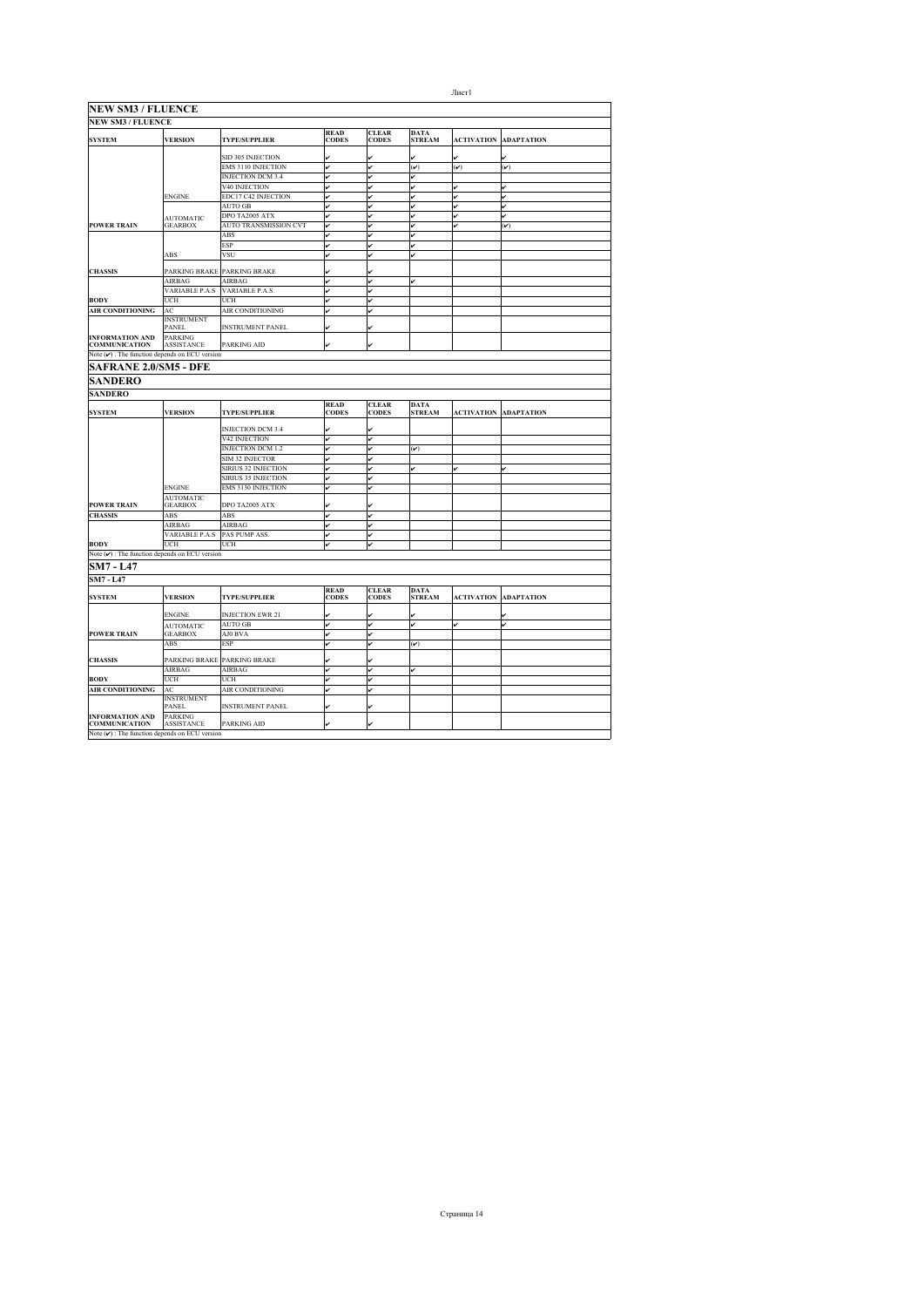| <b>NEW SM3 / FLUENCE</b><br><b>READ</b><br><b>CLEAR</b><br><b>DATA</b><br><b>VERSION</b><br><b>SYSTEM</b><br><b>TYPE/SUPPLIER</b><br><b>CODES</b><br><b>CODES</b><br><b>STREAM</b><br><b>ACTIVATION</b><br><b>ADAPTATION</b><br>SID 305 INJECTION<br>u<br>v<br><b>EMS 3110 INJECTION</b><br>v<br>$(\check{v})$<br>u<br>$(\check{v})$<br>$(\checkmark)$<br><b>INJECTION DCM 3.4</b><br>v<br>v<br>V40 INJECTION<br>v<br>v<br>v<br>v<br>EDC17 C42 INJECTION<br><b>ENGINE</b><br>v<br>v<br>v<br><b>AUTO GB</b><br>v<br>DPO TA2005 ATX<br>v<br>v<br>ر<br><b>AUTOMATIC</b><br><b>POWER TRAIN</b><br><b>GEARBOX</b><br><b>AUTO TRANSMISSION CVT</b><br>lu<br>ú<br>$(\checkmark)$<br>ABS<br>ESP<br>v<br>v<br><b>VSU</b><br>ABS<br>lv<br>v<br>PARKING BRAKE PARKING BRAKE<br><b>CHASSIS</b><br>v<br><b>AIRBAG</b><br>AIRBAG<br>ú<br>v<br><b>VARIABLE P.A.S</b><br>VARIABLE P.A.S.<br>v<br><b>BODY</b><br>UCH<br>UCH<br>v<br><b>AIR CONDITIONING</b><br>AC<br>AIR CONDITIONING<br><b>INSTRUMENT</b><br><b>INSTRUMENT PANEL</b><br>PANEL<br><b>PARKING</b><br><b>INFORMATION AND</b><br><b>COMMUNICATION</b><br><b>ASSISTANCE</b><br>PARKING AID<br>Note $(\mathbf{v})$ : The function depends on ECU version<br><b>SAFRANE 2.0/SM5 - DFE</b><br><b>SANDERO</b><br><b>SANDERO</b><br><b>READ</b><br><b>CLEAR</b><br><b>DATA</b><br><b>SYSTEM</b><br><b>VERSION</b><br><b>CODES</b><br><b>CODES</b><br><b>TYPE/SUPPLIER</b><br><b>STREAM</b><br><b>ACTIVATION</b><br><b>ADAPTATION</b><br>INJECTION DCM 3.4<br>V42 INJECTION<br>v<br><b>INJECTION DCM 1.2</b><br>v<br>ú<br>$(\check{v})$<br><b>SIM 32 INJECTOR</b><br>v<br>ر<br>SIRIUS 32 INJECTION<br>v<br>v<br>v<br>ú<br>SIRIUS 35 INJECTION<br>lu<br><b>EMS 3130 INJECTION</b><br><b>ENGINE</b><br><b>AUTOMATIC</b><br><b>POWER TRAIN</b><br><b>GEARBOX</b><br>DPO TA2005 ATX<br><b>CHASSIS</b><br>ABS<br>ABS<br>v<br>AIRBAG<br>AIRBAG<br>ú<br>v<br>PAS PUMP ASS.<br>VARIABLE P.A.S<br>v<br>v<br><b>BODY</b><br>UCH<br>UCH<br>v<br>Note $(\nu)$ : The function depends on ECU version<br><b>SM7 - L47</b><br><b>SM7 - L47</b><br><b>READ</b><br><b>CLEAR</b><br><b>DATA</b><br><b>VERSION</b><br><b>CODES</b><br><b>CODES</b><br><b>SYSTEM</b><br><b>STREAM</b><br><b>ACTIVATION</b><br><b>TYPE/SUPPLIER</b><br>ADAPTATION<br><b>INJECTION EWR 21</b><br><b>ENGINE</b><br><b>AUTO GB</b><br>v<br>v<br>ú<br>v<br><b>AUTOMATIC</b><br><b>POWER TRAIN</b><br><b>GEARBOX</b><br>AJ0 BVA<br>v<br><b>ESP</b><br>ABS<br>v<br>$(\check{v})$<br><b>CHASSIS</b><br>PARKING BRAKE PARKING BRAKE<br>AIRBAG<br>AIRBAG<br>v<br>ú<br><b>BODY</b><br>UCH<br>UCH<br>ú<br><b>AIR CONDITIONING</b><br>AIR CONDITIONING<br>AC<br>v<br><b>INSTRUMENT</b><br>PANEL<br><b>INSTRUMENT PANEL</b><br>v<br>PARKING<br><b>INFORMATION AND</b> | <b>NEW SM3 / FLUENCE</b> |                   |             |  |  |  |
|----------------------------------------------------------------------------------------------------------------------------------------------------------------------------------------------------------------------------------------------------------------------------------------------------------------------------------------------------------------------------------------------------------------------------------------------------------------------------------------------------------------------------------------------------------------------------------------------------------------------------------------------------------------------------------------------------------------------------------------------------------------------------------------------------------------------------------------------------------------------------------------------------------------------------------------------------------------------------------------------------------------------------------------------------------------------------------------------------------------------------------------------------------------------------------------------------------------------------------------------------------------------------------------------------------------------------------------------------------------------------------------------------------------------------------------------------------------------------------------------------------------------------------------------------------------------------------------------------------------------------------------------------------------------------------------------------------------------------------------------------------------------------------------------------------------------------------------------------------------------------------------------------------------------------------------------------------------------------------------------------------------------------------------------------------------------------------------------------------------------------------------------------------------------------------------------------------------------------------------------------------------------------------------------------------------------------------------------------------------------------------------------------------------------------------------------------------------------------------------------------------------------------------------------------------------------------------------------------------------------------------------------------------------------------------------------------------------------------------------------------------|--------------------------|-------------------|-------------|--|--|--|
|                                                                                                                                                                                                                                                                                                                                                                                                                                                                                                                                                                                                                                                                                                                                                                                                                                                                                                                                                                                                                                                                                                                                                                                                                                                                                                                                                                                                                                                                                                                                                                                                                                                                                                                                                                                                                                                                                                                                                                                                                                                                                                                                                                                                                                                                                                                                                                                                                                                                                                                                                                                                                                                                                                                                                          |                          |                   |             |  |  |  |
|                                                                                                                                                                                                                                                                                                                                                                                                                                                                                                                                                                                                                                                                                                                                                                                                                                                                                                                                                                                                                                                                                                                                                                                                                                                                                                                                                                                                                                                                                                                                                                                                                                                                                                                                                                                                                                                                                                                                                                                                                                                                                                                                                                                                                                                                                                                                                                                                                                                                                                                                                                                                                                                                                                                                                          |                          |                   |             |  |  |  |
|                                                                                                                                                                                                                                                                                                                                                                                                                                                                                                                                                                                                                                                                                                                                                                                                                                                                                                                                                                                                                                                                                                                                                                                                                                                                                                                                                                                                                                                                                                                                                                                                                                                                                                                                                                                                                                                                                                                                                                                                                                                                                                                                                                                                                                                                                                                                                                                                                                                                                                                                                                                                                                                                                                                                                          |                          |                   |             |  |  |  |
|                                                                                                                                                                                                                                                                                                                                                                                                                                                                                                                                                                                                                                                                                                                                                                                                                                                                                                                                                                                                                                                                                                                                                                                                                                                                                                                                                                                                                                                                                                                                                                                                                                                                                                                                                                                                                                                                                                                                                                                                                                                                                                                                                                                                                                                                                                                                                                                                                                                                                                                                                                                                                                                                                                                                                          |                          |                   |             |  |  |  |
|                                                                                                                                                                                                                                                                                                                                                                                                                                                                                                                                                                                                                                                                                                                                                                                                                                                                                                                                                                                                                                                                                                                                                                                                                                                                                                                                                                                                                                                                                                                                                                                                                                                                                                                                                                                                                                                                                                                                                                                                                                                                                                                                                                                                                                                                                                                                                                                                                                                                                                                                                                                                                                                                                                                                                          |                          |                   |             |  |  |  |
|                                                                                                                                                                                                                                                                                                                                                                                                                                                                                                                                                                                                                                                                                                                                                                                                                                                                                                                                                                                                                                                                                                                                                                                                                                                                                                                                                                                                                                                                                                                                                                                                                                                                                                                                                                                                                                                                                                                                                                                                                                                                                                                                                                                                                                                                                                                                                                                                                                                                                                                                                                                                                                                                                                                                                          |                          |                   |             |  |  |  |
|                                                                                                                                                                                                                                                                                                                                                                                                                                                                                                                                                                                                                                                                                                                                                                                                                                                                                                                                                                                                                                                                                                                                                                                                                                                                                                                                                                                                                                                                                                                                                                                                                                                                                                                                                                                                                                                                                                                                                                                                                                                                                                                                                                                                                                                                                                                                                                                                                                                                                                                                                                                                                                                                                                                                                          |                          |                   |             |  |  |  |
|                                                                                                                                                                                                                                                                                                                                                                                                                                                                                                                                                                                                                                                                                                                                                                                                                                                                                                                                                                                                                                                                                                                                                                                                                                                                                                                                                                                                                                                                                                                                                                                                                                                                                                                                                                                                                                                                                                                                                                                                                                                                                                                                                                                                                                                                                                                                                                                                                                                                                                                                                                                                                                                                                                                                                          |                          |                   |             |  |  |  |
|                                                                                                                                                                                                                                                                                                                                                                                                                                                                                                                                                                                                                                                                                                                                                                                                                                                                                                                                                                                                                                                                                                                                                                                                                                                                                                                                                                                                                                                                                                                                                                                                                                                                                                                                                                                                                                                                                                                                                                                                                                                                                                                                                                                                                                                                                                                                                                                                                                                                                                                                                                                                                                                                                                                                                          |                          |                   |             |  |  |  |
|                                                                                                                                                                                                                                                                                                                                                                                                                                                                                                                                                                                                                                                                                                                                                                                                                                                                                                                                                                                                                                                                                                                                                                                                                                                                                                                                                                                                                                                                                                                                                                                                                                                                                                                                                                                                                                                                                                                                                                                                                                                                                                                                                                                                                                                                                                                                                                                                                                                                                                                                                                                                                                                                                                                                                          |                          |                   |             |  |  |  |
|                                                                                                                                                                                                                                                                                                                                                                                                                                                                                                                                                                                                                                                                                                                                                                                                                                                                                                                                                                                                                                                                                                                                                                                                                                                                                                                                                                                                                                                                                                                                                                                                                                                                                                                                                                                                                                                                                                                                                                                                                                                                                                                                                                                                                                                                                                                                                                                                                                                                                                                                                                                                                                                                                                                                                          |                          |                   |             |  |  |  |
|                                                                                                                                                                                                                                                                                                                                                                                                                                                                                                                                                                                                                                                                                                                                                                                                                                                                                                                                                                                                                                                                                                                                                                                                                                                                                                                                                                                                                                                                                                                                                                                                                                                                                                                                                                                                                                                                                                                                                                                                                                                                                                                                                                                                                                                                                                                                                                                                                                                                                                                                                                                                                                                                                                                                                          |                          |                   |             |  |  |  |
|                                                                                                                                                                                                                                                                                                                                                                                                                                                                                                                                                                                                                                                                                                                                                                                                                                                                                                                                                                                                                                                                                                                                                                                                                                                                                                                                                                                                                                                                                                                                                                                                                                                                                                                                                                                                                                                                                                                                                                                                                                                                                                                                                                                                                                                                                                                                                                                                                                                                                                                                                                                                                                                                                                                                                          |                          |                   |             |  |  |  |
|                                                                                                                                                                                                                                                                                                                                                                                                                                                                                                                                                                                                                                                                                                                                                                                                                                                                                                                                                                                                                                                                                                                                                                                                                                                                                                                                                                                                                                                                                                                                                                                                                                                                                                                                                                                                                                                                                                                                                                                                                                                                                                                                                                                                                                                                                                                                                                                                                                                                                                                                                                                                                                                                                                                                                          |                          |                   |             |  |  |  |
|                                                                                                                                                                                                                                                                                                                                                                                                                                                                                                                                                                                                                                                                                                                                                                                                                                                                                                                                                                                                                                                                                                                                                                                                                                                                                                                                                                                                                                                                                                                                                                                                                                                                                                                                                                                                                                                                                                                                                                                                                                                                                                                                                                                                                                                                                                                                                                                                                                                                                                                                                                                                                                                                                                                                                          |                          |                   |             |  |  |  |
|                                                                                                                                                                                                                                                                                                                                                                                                                                                                                                                                                                                                                                                                                                                                                                                                                                                                                                                                                                                                                                                                                                                                                                                                                                                                                                                                                                                                                                                                                                                                                                                                                                                                                                                                                                                                                                                                                                                                                                                                                                                                                                                                                                                                                                                                                                                                                                                                                                                                                                                                                                                                                                                                                                                                                          |                          |                   |             |  |  |  |
|                                                                                                                                                                                                                                                                                                                                                                                                                                                                                                                                                                                                                                                                                                                                                                                                                                                                                                                                                                                                                                                                                                                                                                                                                                                                                                                                                                                                                                                                                                                                                                                                                                                                                                                                                                                                                                                                                                                                                                                                                                                                                                                                                                                                                                                                                                                                                                                                                                                                                                                                                                                                                                                                                                                                                          |                          |                   |             |  |  |  |
|                                                                                                                                                                                                                                                                                                                                                                                                                                                                                                                                                                                                                                                                                                                                                                                                                                                                                                                                                                                                                                                                                                                                                                                                                                                                                                                                                                                                                                                                                                                                                                                                                                                                                                                                                                                                                                                                                                                                                                                                                                                                                                                                                                                                                                                                                                                                                                                                                                                                                                                                                                                                                                                                                                                                                          |                          |                   |             |  |  |  |
|                                                                                                                                                                                                                                                                                                                                                                                                                                                                                                                                                                                                                                                                                                                                                                                                                                                                                                                                                                                                                                                                                                                                                                                                                                                                                                                                                                                                                                                                                                                                                                                                                                                                                                                                                                                                                                                                                                                                                                                                                                                                                                                                                                                                                                                                                                                                                                                                                                                                                                                                                                                                                                                                                                                                                          |                          |                   |             |  |  |  |
|                                                                                                                                                                                                                                                                                                                                                                                                                                                                                                                                                                                                                                                                                                                                                                                                                                                                                                                                                                                                                                                                                                                                                                                                                                                                                                                                                                                                                                                                                                                                                                                                                                                                                                                                                                                                                                                                                                                                                                                                                                                                                                                                                                                                                                                                                                                                                                                                                                                                                                                                                                                                                                                                                                                                                          |                          |                   |             |  |  |  |
|                                                                                                                                                                                                                                                                                                                                                                                                                                                                                                                                                                                                                                                                                                                                                                                                                                                                                                                                                                                                                                                                                                                                                                                                                                                                                                                                                                                                                                                                                                                                                                                                                                                                                                                                                                                                                                                                                                                                                                                                                                                                                                                                                                                                                                                                                                                                                                                                                                                                                                                                                                                                                                                                                                                                                          |                          |                   |             |  |  |  |
|                                                                                                                                                                                                                                                                                                                                                                                                                                                                                                                                                                                                                                                                                                                                                                                                                                                                                                                                                                                                                                                                                                                                                                                                                                                                                                                                                                                                                                                                                                                                                                                                                                                                                                                                                                                                                                                                                                                                                                                                                                                                                                                                                                                                                                                                                                                                                                                                                                                                                                                                                                                                                                                                                                                                                          |                          |                   |             |  |  |  |
|                                                                                                                                                                                                                                                                                                                                                                                                                                                                                                                                                                                                                                                                                                                                                                                                                                                                                                                                                                                                                                                                                                                                                                                                                                                                                                                                                                                                                                                                                                                                                                                                                                                                                                                                                                                                                                                                                                                                                                                                                                                                                                                                                                                                                                                                                                                                                                                                                                                                                                                                                                                                                                                                                                                                                          |                          |                   |             |  |  |  |
|                                                                                                                                                                                                                                                                                                                                                                                                                                                                                                                                                                                                                                                                                                                                                                                                                                                                                                                                                                                                                                                                                                                                                                                                                                                                                                                                                                                                                                                                                                                                                                                                                                                                                                                                                                                                                                                                                                                                                                                                                                                                                                                                                                                                                                                                                                                                                                                                                                                                                                                                                                                                                                                                                                                                                          |                          |                   |             |  |  |  |
|                                                                                                                                                                                                                                                                                                                                                                                                                                                                                                                                                                                                                                                                                                                                                                                                                                                                                                                                                                                                                                                                                                                                                                                                                                                                                                                                                                                                                                                                                                                                                                                                                                                                                                                                                                                                                                                                                                                                                                                                                                                                                                                                                                                                                                                                                                                                                                                                                                                                                                                                                                                                                                                                                                                                                          |                          |                   |             |  |  |  |
|                                                                                                                                                                                                                                                                                                                                                                                                                                                                                                                                                                                                                                                                                                                                                                                                                                                                                                                                                                                                                                                                                                                                                                                                                                                                                                                                                                                                                                                                                                                                                                                                                                                                                                                                                                                                                                                                                                                                                                                                                                                                                                                                                                                                                                                                                                                                                                                                                                                                                                                                                                                                                                                                                                                                                          |                          |                   |             |  |  |  |
|                                                                                                                                                                                                                                                                                                                                                                                                                                                                                                                                                                                                                                                                                                                                                                                                                                                                                                                                                                                                                                                                                                                                                                                                                                                                                                                                                                                                                                                                                                                                                                                                                                                                                                                                                                                                                                                                                                                                                                                                                                                                                                                                                                                                                                                                                                                                                                                                                                                                                                                                                                                                                                                                                                                                                          |                          |                   |             |  |  |  |
|                                                                                                                                                                                                                                                                                                                                                                                                                                                                                                                                                                                                                                                                                                                                                                                                                                                                                                                                                                                                                                                                                                                                                                                                                                                                                                                                                                                                                                                                                                                                                                                                                                                                                                                                                                                                                                                                                                                                                                                                                                                                                                                                                                                                                                                                                                                                                                                                                                                                                                                                                                                                                                                                                                                                                          |                          |                   |             |  |  |  |
|                                                                                                                                                                                                                                                                                                                                                                                                                                                                                                                                                                                                                                                                                                                                                                                                                                                                                                                                                                                                                                                                                                                                                                                                                                                                                                                                                                                                                                                                                                                                                                                                                                                                                                                                                                                                                                                                                                                                                                                                                                                                                                                                                                                                                                                                                                                                                                                                                                                                                                                                                                                                                                                                                                                                                          |                          |                   |             |  |  |  |
|                                                                                                                                                                                                                                                                                                                                                                                                                                                                                                                                                                                                                                                                                                                                                                                                                                                                                                                                                                                                                                                                                                                                                                                                                                                                                                                                                                                                                                                                                                                                                                                                                                                                                                                                                                                                                                                                                                                                                                                                                                                                                                                                                                                                                                                                                                                                                                                                                                                                                                                                                                                                                                                                                                                                                          |                          |                   |             |  |  |  |
|                                                                                                                                                                                                                                                                                                                                                                                                                                                                                                                                                                                                                                                                                                                                                                                                                                                                                                                                                                                                                                                                                                                                                                                                                                                                                                                                                                                                                                                                                                                                                                                                                                                                                                                                                                                                                                                                                                                                                                                                                                                                                                                                                                                                                                                                                                                                                                                                                                                                                                                                                                                                                                                                                                                                                          |                          |                   |             |  |  |  |
|                                                                                                                                                                                                                                                                                                                                                                                                                                                                                                                                                                                                                                                                                                                                                                                                                                                                                                                                                                                                                                                                                                                                                                                                                                                                                                                                                                                                                                                                                                                                                                                                                                                                                                                                                                                                                                                                                                                                                                                                                                                                                                                                                                                                                                                                                                                                                                                                                                                                                                                                                                                                                                                                                                                                                          |                          |                   |             |  |  |  |
|                                                                                                                                                                                                                                                                                                                                                                                                                                                                                                                                                                                                                                                                                                                                                                                                                                                                                                                                                                                                                                                                                                                                                                                                                                                                                                                                                                                                                                                                                                                                                                                                                                                                                                                                                                                                                                                                                                                                                                                                                                                                                                                                                                                                                                                                                                                                                                                                                                                                                                                                                                                                                                                                                                                                                          |                          |                   |             |  |  |  |
|                                                                                                                                                                                                                                                                                                                                                                                                                                                                                                                                                                                                                                                                                                                                                                                                                                                                                                                                                                                                                                                                                                                                                                                                                                                                                                                                                                                                                                                                                                                                                                                                                                                                                                                                                                                                                                                                                                                                                                                                                                                                                                                                                                                                                                                                                                                                                                                                                                                                                                                                                                                                                                                                                                                                                          |                          |                   |             |  |  |  |
|                                                                                                                                                                                                                                                                                                                                                                                                                                                                                                                                                                                                                                                                                                                                                                                                                                                                                                                                                                                                                                                                                                                                                                                                                                                                                                                                                                                                                                                                                                                                                                                                                                                                                                                                                                                                                                                                                                                                                                                                                                                                                                                                                                                                                                                                                                                                                                                                                                                                                                                                                                                                                                                                                                                                                          |                          |                   |             |  |  |  |
|                                                                                                                                                                                                                                                                                                                                                                                                                                                                                                                                                                                                                                                                                                                                                                                                                                                                                                                                                                                                                                                                                                                                                                                                                                                                                                                                                                                                                                                                                                                                                                                                                                                                                                                                                                                                                                                                                                                                                                                                                                                                                                                                                                                                                                                                                                                                                                                                                                                                                                                                                                                                                                                                                                                                                          |                          |                   |             |  |  |  |
|                                                                                                                                                                                                                                                                                                                                                                                                                                                                                                                                                                                                                                                                                                                                                                                                                                                                                                                                                                                                                                                                                                                                                                                                                                                                                                                                                                                                                                                                                                                                                                                                                                                                                                                                                                                                                                                                                                                                                                                                                                                                                                                                                                                                                                                                                                                                                                                                                                                                                                                                                                                                                                                                                                                                                          |                          |                   |             |  |  |  |
|                                                                                                                                                                                                                                                                                                                                                                                                                                                                                                                                                                                                                                                                                                                                                                                                                                                                                                                                                                                                                                                                                                                                                                                                                                                                                                                                                                                                                                                                                                                                                                                                                                                                                                                                                                                                                                                                                                                                                                                                                                                                                                                                                                                                                                                                                                                                                                                                                                                                                                                                                                                                                                                                                                                                                          |                          |                   |             |  |  |  |
|                                                                                                                                                                                                                                                                                                                                                                                                                                                                                                                                                                                                                                                                                                                                                                                                                                                                                                                                                                                                                                                                                                                                                                                                                                                                                                                                                                                                                                                                                                                                                                                                                                                                                                                                                                                                                                                                                                                                                                                                                                                                                                                                                                                                                                                                                                                                                                                                                                                                                                                                                                                                                                                                                                                                                          |                          |                   |             |  |  |  |
|                                                                                                                                                                                                                                                                                                                                                                                                                                                                                                                                                                                                                                                                                                                                                                                                                                                                                                                                                                                                                                                                                                                                                                                                                                                                                                                                                                                                                                                                                                                                                                                                                                                                                                                                                                                                                                                                                                                                                                                                                                                                                                                                                                                                                                                                                                                                                                                                                                                                                                                                                                                                                                                                                                                                                          |                          |                   |             |  |  |  |
|                                                                                                                                                                                                                                                                                                                                                                                                                                                                                                                                                                                                                                                                                                                                                                                                                                                                                                                                                                                                                                                                                                                                                                                                                                                                                                                                                                                                                                                                                                                                                                                                                                                                                                                                                                                                                                                                                                                                                                                                                                                                                                                                                                                                                                                                                                                                                                                                                                                                                                                                                                                                                                                                                                                                                          |                          |                   |             |  |  |  |
|                                                                                                                                                                                                                                                                                                                                                                                                                                                                                                                                                                                                                                                                                                                                                                                                                                                                                                                                                                                                                                                                                                                                                                                                                                                                                                                                                                                                                                                                                                                                                                                                                                                                                                                                                                                                                                                                                                                                                                                                                                                                                                                                                                                                                                                                                                                                                                                                                                                                                                                                                                                                                                                                                                                                                          |                          |                   |             |  |  |  |
|                                                                                                                                                                                                                                                                                                                                                                                                                                                                                                                                                                                                                                                                                                                                                                                                                                                                                                                                                                                                                                                                                                                                                                                                                                                                                                                                                                                                                                                                                                                                                                                                                                                                                                                                                                                                                                                                                                                                                                                                                                                                                                                                                                                                                                                                                                                                                                                                                                                                                                                                                                                                                                                                                                                                                          |                          |                   |             |  |  |  |
|                                                                                                                                                                                                                                                                                                                                                                                                                                                                                                                                                                                                                                                                                                                                                                                                                                                                                                                                                                                                                                                                                                                                                                                                                                                                                                                                                                                                                                                                                                                                                                                                                                                                                                                                                                                                                                                                                                                                                                                                                                                                                                                                                                                                                                                                                                                                                                                                                                                                                                                                                                                                                                                                                                                                                          |                          |                   |             |  |  |  |
|                                                                                                                                                                                                                                                                                                                                                                                                                                                                                                                                                                                                                                                                                                                                                                                                                                                                                                                                                                                                                                                                                                                                                                                                                                                                                                                                                                                                                                                                                                                                                                                                                                                                                                                                                                                                                                                                                                                                                                                                                                                                                                                                                                                                                                                                                                                                                                                                                                                                                                                                                                                                                                                                                                                                                          |                          |                   |             |  |  |  |
|                                                                                                                                                                                                                                                                                                                                                                                                                                                                                                                                                                                                                                                                                                                                                                                                                                                                                                                                                                                                                                                                                                                                                                                                                                                                                                                                                                                                                                                                                                                                                                                                                                                                                                                                                                                                                                                                                                                                                                                                                                                                                                                                                                                                                                                                                                                                                                                                                                                                                                                                                                                                                                                                                                                                                          |                          |                   |             |  |  |  |
|                                                                                                                                                                                                                                                                                                                                                                                                                                                                                                                                                                                                                                                                                                                                                                                                                                                                                                                                                                                                                                                                                                                                                                                                                                                                                                                                                                                                                                                                                                                                                                                                                                                                                                                                                                                                                                                                                                                                                                                                                                                                                                                                                                                                                                                                                                                                                                                                                                                                                                                                                                                                                                                                                                                                                          |                          |                   |             |  |  |  |
|                                                                                                                                                                                                                                                                                                                                                                                                                                                                                                                                                                                                                                                                                                                                                                                                                                                                                                                                                                                                                                                                                                                                                                                                                                                                                                                                                                                                                                                                                                                                                                                                                                                                                                                                                                                                                                                                                                                                                                                                                                                                                                                                                                                                                                                                                                                                                                                                                                                                                                                                                                                                                                                                                                                                                          |                          |                   |             |  |  |  |
|                                                                                                                                                                                                                                                                                                                                                                                                                                                                                                                                                                                                                                                                                                                                                                                                                                                                                                                                                                                                                                                                                                                                                                                                                                                                                                                                                                                                                                                                                                                                                                                                                                                                                                                                                                                                                                                                                                                                                                                                                                                                                                                                                                                                                                                                                                                                                                                                                                                                                                                                                                                                                                                                                                                                                          |                          |                   |             |  |  |  |
|                                                                                                                                                                                                                                                                                                                                                                                                                                                                                                                                                                                                                                                                                                                                                                                                                                                                                                                                                                                                                                                                                                                                                                                                                                                                                                                                                                                                                                                                                                                                                                                                                                                                                                                                                                                                                                                                                                                                                                                                                                                                                                                                                                                                                                                                                                                                                                                                                                                                                                                                                                                                                                                                                                                                                          |                          |                   |             |  |  |  |
|                                                                                                                                                                                                                                                                                                                                                                                                                                                                                                                                                                                                                                                                                                                                                                                                                                                                                                                                                                                                                                                                                                                                                                                                                                                                                                                                                                                                                                                                                                                                                                                                                                                                                                                                                                                                                                                                                                                                                                                                                                                                                                                                                                                                                                                                                                                                                                                                                                                                                                                                                                                                                                                                                                                                                          |                          |                   |             |  |  |  |
|                                                                                                                                                                                                                                                                                                                                                                                                                                                                                                                                                                                                                                                                                                                                                                                                                                                                                                                                                                                                                                                                                                                                                                                                                                                                                                                                                                                                                                                                                                                                                                                                                                                                                                                                                                                                                                                                                                                                                                                                                                                                                                                                                                                                                                                                                                                                                                                                                                                                                                                                                                                                                                                                                                                                                          | <b>COMMUNICATION</b>     | <b>ASSISTANCE</b> | PARKING AID |  |  |  |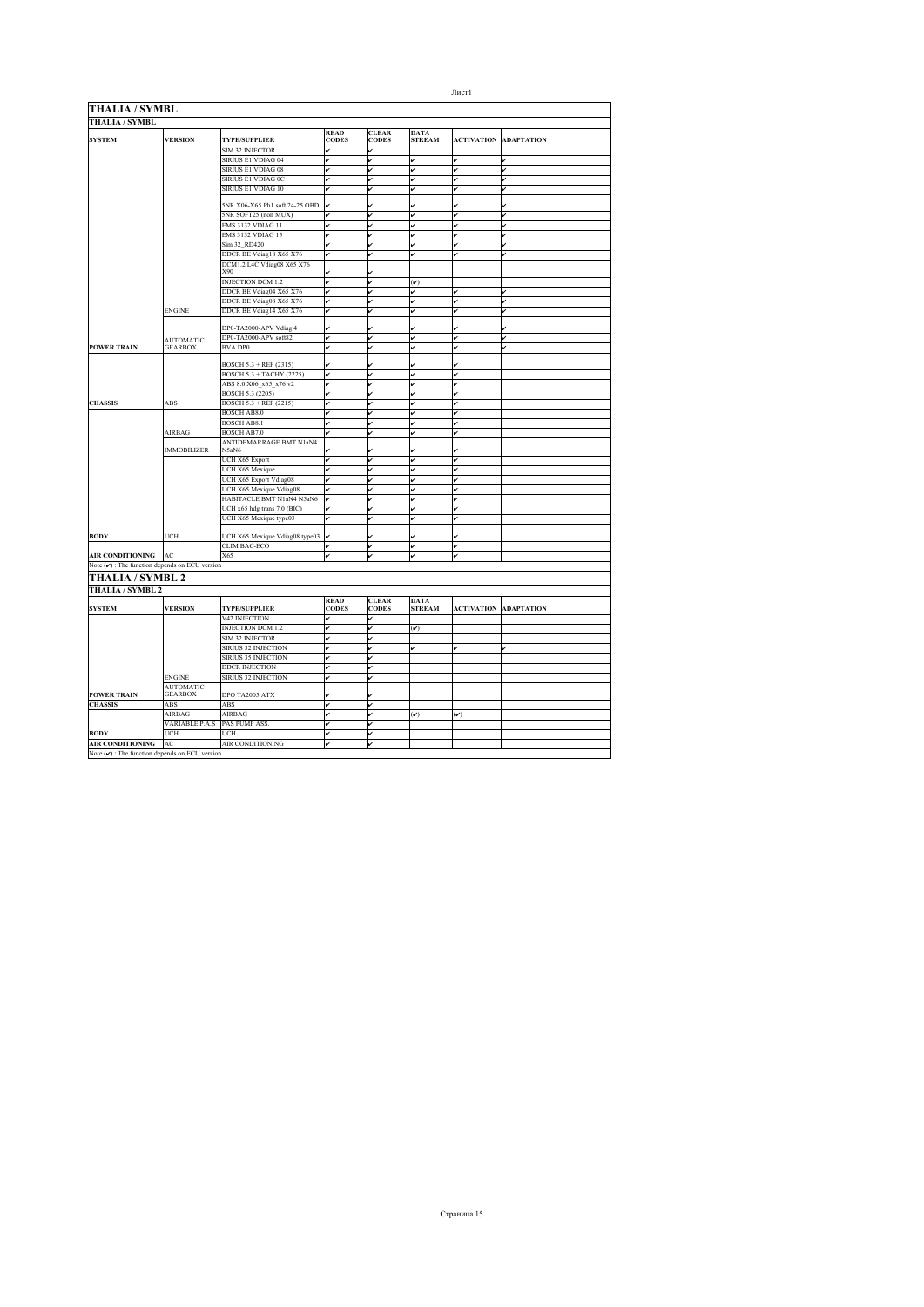| <b>THALIA / SYMBL</b><br><b>READ</b><br><b>CLEAR</b><br><b>DATA</b><br><b>VERSION</b><br><b>SYSTEM</b><br><b>TYPE/SUPPLIER</b><br><b>CODES</b><br><b>CODES</b><br><b>STREAM</b><br><b>ACTIVATION</b><br><b>ADAPTATION</b><br>SIM 32 INJECTOR<br>v<br>v<br>SIRIUS E1 VDIAG 04<br>v<br>ر<br>v<br>ú<br>ر<br>SIRIUS E1 VDIAG 08<br>ر<br>v<br>ر<br>SIRIUS E1 VDIAG 0C<br>v<br>ر<br>v<br>ú<br>SIRIUS E1 VDIAG 10<br>v<br>v<br>ú<br>ر<br>ú<br>5NR X06-X65 Ph1 soft 24-25 OBD<br>v<br>5NR SOFT25 (non MUX)<br>v<br>J<br>v<br>J<br>ú<br>EMS 3132 VDIAG 11<br>v<br>v<br>ú<br>v<br><b>EMS 3132 VDIAG 15</b><br>J<br>v<br>J<br>J<br>Sim 32 RD420<br>v<br>DDCR BE Vdiag18 X65 X76<br>v<br>v<br>J<br>ú<br>ú<br>DCM1.2 L4C Vdiag08 X65 X76<br>X90<br><b>INJECTION DCM 1.2</b><br>v<br>v<br>$(\check{\mathbf{v}})$<br>DDCR BE Vdiag04 X65 X76<br>v<br>ر<br>v<br>J<br>lں<br>DDCR BE Vdiag08 X65 X76<br>v<br>ر<br>v<br>v<br><b>ENGINE</b><br>DDCR BE Vdiag14 X65 X76<br>v<br>v<br>ر<br>DP0-TA2000-APV Vdiag 4<br>DP0-TA2000-APV soft82<br>v<br>ú<br>v<br>ر<br>ú<br><b>AUTOMATIC</b><br><b>BVA DP0</b><br><b>POWER TRAIN</b><br><b>GEARBOX</b><br>v<br>v<br>v<br>v<br>v<br>BOSCH 5.3 + REF (2315)<br>BOSCH 5.3 + TACHY (2225)<br>v<br>v<br>v<br>v<br>ABS 8.0 X06 x65 x76 v2<br>v<br>v<br>J<br>ú<br>BOSCH 5.3 (2205)<br><b>CHASSIS</b><br>BOSCH 5.3 + REF (2215)<br>ABS<br>v<br>v<br><b>BOSCH AB8.0</b><br>v<br>v<br>v<br>v<br><b>BOSCH AB8.1</b><br>v<br>u<br>v<br>ú<br>AIRBAG<br><b>BOSCH AB7.0</b><br>$\overline{\phantom{a}}$<br>ر<br>v<br>J<br><b>ANTIDEMARRAGE BMT N1aN4</b><br><b>IMMOBILIZER</b><br>N5aN6<br>UCH X65 Export<br>v<br>v<br>v<br>UCH X65 Mexique<br>v<br>v<br>v<br>J<br>UCH X65 Export Vdiag08<br>v<br>ر<br>v<br>UCH X65 Mexique Vdiag08<br>J<br>v<br>ú<br>J.<br>HABITACLE BMT N1aN4 N5aN6<br>v<br>ú<br>v<br>٠<br>UCH x65 hdg trans 7.0 (BIC)<br>v<br>v<br>ú<br>ر<br>UCH X65 Mexique type03<br>v<br>v<br>v<br>✓<br>UCH<br>UCH X65 Mexique Vdiag08 type03<br><b>CLIM BAC-ECO</b><br>v<br>v<br>ر<br>ر<br>X65<br><b>AIR CONDITIONING</b><br>AC<br>v<br>v<br>v<br>Note $(v)$ : The function depends on ECU version<br>THALIA / SYMBL 2<br>THALIA / SYMBL 2<br><b>READ</b><br><b>CLEAR</b><br><b>DATA</b><br><b>SYSTEM</b><br><b>VERSION</b><br><b>TYPE/SUPPLIER</b><br><b>CODES</b><br><b>CODES</b><br><b>STREAM</b><br><b>ACTIVATION</b><br><b>ADAPTATION</b><br><b>V42 INJECTION</b><br>v<br>v<br><b>INJECTION DCM 1.2</b><br>v<br>ر<br>$(\check{v})$<br>SIM 32 INJECTOR<br>ر<br>J<br>SIRIUS 32 INJECTION<br>v<br>ú<br>v<br>J<br>v<br>SIRIUS 35 INJECTION<br>v<br>ú<br>DDCR INJECTION<br>v<br>SIRIUS 32 INJECTION<br>v<br><b>ENGINE</b><br>ر<br><b>AUTOMATIC</b><br><b>GEARBOX</b><br>DPO TA2005 ATX<br>ABS<br>ABS<br>v<br>AIRBAG<br>AIRBAG<br>v<br>$(\check{\mathbf{v}})$<br>$(\checkmark)$<br>VARIABLE P.A.S<br>PAS PUMP ASS.<br>v<br>v<br><b>BODY</b><br>UCH<br>UCH<br>v<br>ر<br>AIR CONDITIONING<br><b>AIR CONDITIONING</b><br>$\mathbf{A}\mathbf{C}$<br>Note $(\checkmark)$ : The function depends on ECU version | <b>THALIA / SYMBL</b> |  |  |  |  |
|-----------------------------------------------------------------------------------------------------------------------------------------------------------------------------------------------------------------------------------------------------------------------------------------------------------------------------------------------------------------------------------------------------------------------------------------------------------------------------------------------------------------------------------------------------------------------------------------------------------------------------------------------------------------------------------------------------------------------------------------------------------------------------------------------------------------------------------------------------------------------------------------------------------------------------------------------------------------------------------------------------------------------------------------------------------------------------------------------------------------------------------------------------------------------------------------------------------------------------------------------------------------------------------------------------------------------------------------------------------------------------------------------------------------------------------------------------------------------------------------------------------------------------------------------------------------------------------------------------------------------------------------------------------------------------------------------------------------------------------------------------------------------------------------------------------------------------------------------------------------------------------------------------------------------------------------------------------------------------------------------------------------------------------------------------------------------------------------------------------------------------------------------------------------------------------------------------------------------------------------------------------------------------------------------------------------------------------------------------------------------------------------------------------------------------------------------------------------------------------------------------------------------------------------------------------------------------------------------------------------------------------------------------------------------------------------------------------------------------------------------------------------------------------------------------------------------------------------------------------------------------------------------------------------------------------------------------------------------------------------------------------------------|-----------------------|--|--|--|--|
|                                                                                                                                                                                                                                                                                                                                                                                                                                                                                                                                                                                                                                                                                                                                                                                                                                                                                                                                                                                                                                                                                                                                                                                                                                                                                                                                                                                                                                                                                                                                                                                                                                                                                                                                                                                                                                                                                                                                                                                                                                                                                                                                                                                                                                                                                                                                                                                                                                                                                                                                                                                                                                                                                                                                                                                                                                                                                                                                                                                                                       |                       |  |  |  |  |
|                                                                                                                                                                                                                                                                                                                                                                                                                                                                                                                                                                                                                                                                                                                                                                                                                                                                                                                                                                                                                                                                                                                                                                                                                                                                                                                                                                                                                                                                                                                                                                                                                                                                                                                                                                                                                                                                                                                                                                                                                                                                                                                                                                                                                                                                                                                                                                                                                                                                                                                                                                                                                                                                                                                                                                                                                                                                                                                                                                                                                       |                       |  |  |  |  |
|                                                                                                                                                                                                                                                                                                                                                                                                                                                                                                                                                                                                                                                                                                                                                                                                                                                                                                                                                                                                                                                                                                                                                                                                                                                                                                                                                                                                                                                                                                                                                                                                                                                                                                                                                                                                                                                                                                                                                                                                                                                                                                                                                                                                                                                                                                                                                                                                                                                                                                                                                                                                                                                                                                                                                                                                                                                                                                                                                                                                                       |                       |  |  |  |  |
|                                                                                                                                                                                                                                                                                                                                                                                                                                                                                                                                                                                                                                                                                                                                                                                                                                                                                                                                                                                                                                                                                                                                                                                                                                                                                                                                                                                                                                                                                                                                                                                                                                                                                                                                                                                                                                                                                                                                                                                                                                                                                                                                                                                                                                                                                                                                                                                                                                                                                                                                                                                                                                                                                                                                                                                                                                                                                                                                                                                                                       |                       |  |  |  |  |
|                                                                                                                                                                                                                                                                                                                                                                                                                                                                                                                                                                                                                                                                                                                                                                                                                                                                                                                                                                                                                                                                                                                                                                                                                                                                                                                                                                                                                                                                                                                                                                                                                                                                                                                                                                                                                                                                                                                                                                                                                                                                                                                                                                                                                                                                                                                                                                                                                                                                                                                                                                                                                                                                                                                                                                                                                                                                                                                                                                                                                       |                       |  |  |  |  |
|                                                                                                                                                                                                                                                                                                                                                                                                                                                                                                                                                                                                                                                                                                                                                                                                                                                                                                                                                                                                                                                                                                                                                                                                                                                                                                                                                                                                                                                                                                                                                                                                                                                                                                                                                                                                                                                                                                                                                                                                                                                                                                                                                                                                                                                                                                                                                                                                                                                                                                                                                                                                                                                                                                                                                                                                                                                                                                                                                                                                                       |                       |  |  |  |  |
|                                                                                                                                                                                                                                                                                                                                                                                                                                                                                                                                                                                                                                                                                                                                                                                                                                                                                                                                                                                                                                                                                                                                                                                                                                                                                                                                                                                                                                                                                                                                                                                                                                                                                                                                                                                                                                                                                                                                                                                                                                                                                                                                                                                                                                                                                                                                                                                                                                                                                                                                                                                                                                                                                                                                                                                                                                                                                                                                                                                                                       |                       |  |  |  |  |
|                                                                                                                                                                                                                                                                                                                                                                                                                                                                                                                                                                                                                                                                                                                                                                                                                                                                                                                                                                                                                                                                                                                                                                                                                                                                                                                                                                                                                                                                                                                                                                                                                                                                                                                                                                                                                                                                                                                                                                                                                                                                                                                                                                                                                                                                                                                                                                                                                                                                                                                                                                                                                                                                                                                                                                                                                                                                                                                                                                                                                       |                       |  |  |  |  |
|                                                                                                                                                                                                                                                                                                                                                                                                                                                                                                                                                                                                                                                                                                                                                                                                                                                                                                                                                                                                                                                                                                                                                                                                                                                                                                                                                                                                                                                                                                                                                                                                                                                                                                                                                                                                                                                                                                                                                                                                                                                                                                                                                                                                                                                                                                                                                                                                                                                                                                                                                                                                                                                                                                                                                                                                                                                                                                                                                                                                                       |                       |  |  |  |  |
|                                                                                                                                                                                                                                                                                                                                                                                                                                                                                                                                                                                                                                                                                                                                                                                                                                                                                                                                                                                                                                                                                                                                                                                                                                                                                                                                                                                                                                                                                                                                                                                                                                                                                                                                                                                                                                                                                                                                                                                                                                                                                                                                                                                                                                                                                                                                                                                                                                                                                                                                                                                                                                                                                                                                                                                                                                                                                                                                                                                                                       |                       |  |  |  |  |
|                                                                                                                                                                                                                                                                                                                                                                                                                                                                                                                                                                                                                                                                                                                                                                                                                                                                                                                                                                                                                                                                                                                                                                                                                                                                                                                                                                                                                                                                                                                                                                                                                                                                                                                                                                                                                                                                                                                                                                                                                                                                                                                                                                                                                                                                                                                                                                                                                                                                                                                                                                                                                                                                                                                                                                                                                                                                                                                                                                                                                       |                       |  |  |  |  |
|                                                                                                                                                                                                                                                                                                                                                                                                                                                                                                                                                                                                                                                                                                                                                                                                                                                                                                                                                                                                                                                                                                                                                                                                                                                                                                                                                                                                                                                                                                                                                                                                                                                                                                                                                                                                                                                                                                                                                                                                                                                                                                                                                                                                                                                                                                                                                                                                                                                                                                                                                                                                                                                                                                                                                                                                                                                                                                                                                                                                                       |                       |  |  |  |  |
|                                                                                                                                                                                                                                                                                                                                                                                                                                                                                                                                                                                                                                                                                                                                                                                                                                                                                                                                                                                                                                                                                                                                                                                                                                                                                                                                                                                                                                                                                                                                                                                                                                                                                                                                                                                                                                                                                                                                                                                                                                                                                                                                                                                                                                                                                                                                                                                                                                                                                                                                                                                                                                                                                                                                                                                                                                                                                                                                                                                                                       |                       |  |  |  |  |
|                                                                                                                                                                                                                                                                                                                                                                                                                                                                                                                                                                                                                                                                                                                                                                                                                                                                                                                                                                                                                                                                                                                                                                                                                                                                                                                                                                                                                                                                                                                                                                                                                                                                                                                                                                                                                                                                                                                                                                                                                                                                                                                                                                                                                                                                                                                                                                                                                                                                                                                                                                                                                                                                                                                                                                                                                                                                                                                                                                                                                       |                       |  |  |  |  |
|                                                                                                                                                                                                                                                                                                                                                                                                                                                                                                                                                                                                                                                                                                                                                                                                                                                                                                                                                                                                                                                                                                                                                                                                                                                                                                                                                                                                                                                                                                                                                                                                                                                                                                                                                                                                                                                                                                                                                                                                                                                                                                                                                                                                                                                                                                                                                                                                                                                                                                                                                                                                                                                                                                                                                                                                                                                                                                                                                                                                                       |                       |  |  |  |  |
|                                                                                                                                                                                                                                                                                                                                                                                                                                                                                                                                                                                                                                                                                                                                                                                                                                                                                                                                                                                                                                                                                                                                                                                                                                                                                                                                                                                                                                                                                                                                                                                                                                                                                                                                                                                                                                                                                                                                                                                                                                                                                                                                                                                                                                                                                                                                                                                                                                                                                                                                                                                                                                                                                                                                                                                                                                                                                                                                                                                                                       |                       |  |  |  |  |
|                                                                                                                                                                                                                                                                                                                                                                                                                                                                                                                                                                                                                                                                                                                                                                                                                                                                                                                                                                                                                                                                                                                                                                                                                                                                                                                                                                                                                                                                                                                                                                                                                                                                                                                                                                                                                                                                                                                                                                                                                                                                                                                                                                                                                                                                                                                                                                                                                                                                                                                                                                                                                                                                                                                                                                                                                                                                                                                                                                                                                       |                       |  |  |  |  |
|                                                                                                                                                                                                                                                                                                                                                                                                                                                                                                                                                                                                                                                                                                                                                                                                                                                                                                                                                                                                                                                                                                                                                                                                                                                                                                                                                                                                                                                                                                                                                                                                                                                                                                                                                                                                                                                                                                                                                                                                                                                                                                                                                                                                                                                                                                                                                                                                                                                                                                                                                                                                                                                                                                                                                                                                                                                                                                                                                                                                                       |                       |  |  |  |  |
|                                                                                                                                                                                                                                                                                                                                                                                                                                                                                                                                                                                                                                                                                                                                                                                                                                                                                                                                                                                                                                                                                                                                                                                                                                                                                                                                                                                                                                                                                                                                                                                                                                                                                                                                                                                                                                                                                                                                                                                                                                                                                                                                                                                                                                                                                                                                                                                                                                                                                                                                                                                                                                                                                                                                                                                                                                                                                                                                                                                                                       |                       |  |  |  |  |
|                                                                                                                                                                                                                                                                                                                                                                                                                                                                                                                                                                                                                                                                                                                                                                                                                                                                                                                                                                                                                                                                                                                                                                                                                                                                                                                                                                                                                                                                                                                                                                                                                                                                                                                                                                                                                                                                                                                                                                                                                                                                                                                                                                                                                                                                                                                                                                                                                                                                                                                                                                                                                                                                                                                                                                                                                                                                                                                                                                                                                       |                       |  |  |  |  |
|                                                                                                                                                                                                                                                                                                                                                                                                                                                                                                                                                                                                                                                                                                                                                                                                                                                                                                                                                                                                                                                                                                                                                                                                                                                                                                                                                                                                                                                                                                                                                                                                                                                                                                                                                                                                                                                                                                                                                                                                                                                                                                                                                                                                                                                                                                                                                                                                                                                                                                                                                                                                                                                                                                                                                                                                                                                                                                                                                                                                                       |                       |  |  |  |  |
|                                                                                                                                                                                                                                                                                                                                                                                                                                                                                                                                                                                                                                                                                                                                                                                                                                                                                                                                                                                                                                                                                                                                                                                                                                                                                                                                                                                                                                                                                                                                                                                                                                                                                                                                                                                                                                                                                                                                                                                                                                                                                                                                                                                                                                                                                                                                                                                                                                                                                                                                                                                                                                                                                                                                                                                                                                                                                                                                                                                                                       |                       |  |  |  |  |
|                                                                                                                                                                                                                                                                                                                                                                                                                                                                                                                                                                                                                                                                                                                                                                                                                                                                                                                                                                                                                                                                                                                                                                                                                                                                                                                                                                                                                                                                                                                                                                                                                                                                                                                                                                                                                                                                                                                                                                                                                                                                                                                                                                                                                                                                                                                                                                                                                                                                                                                                                                                                                                                                                                                                                                                                                                                                                                                                                                                                                       |                       |  |  |  |  |
|                                                                                                                                                                                                                                                                                                                                                                                                                                                                                                                                                                                                                                                                                                                                                                                                                                                                                                                                                                                                                                                                                                                                                                                                                                                                                                                                                                                                                                                                                                                                                                                                                                                                                                                                                                                                                                                                                                                                                                                                                                                                                                                                                                                                                                                                                                                                                                                                                                                                                                                                                                                                                                                                                                                                                                                                                                                                                                                                                                                                                       |                       |  |  |  |  |
|                                                                                                                                                                                                                                                                                                                                                                                                                                                                                                                                                                                                                                                                                                                                                                                                                                                                                                                                                                                                                                                                                                                                                                                                                                                                                                                                                                                                                                                                                                                                                                                                                                                                                                                                                                                                                                                                                                                                                                                                                                                                                                                                                                                                                                                                                                                                                                                                                                                                                                                                                                                                                                                                                                                                                                                                                                                                                                                                                                                                                       |                       |  |  |  |  |
|                                                                                                                                                                                                                                                                                                                                                                                                                                                                                                                                                                                                                                                                                                                                                                                                                                                                                                                                                                                                                                                                                                                                                                                                                                                                                                                                                                                                                                                                                                                                                                                                                                                                                                                                                                                                                                                                                                                                                                                                                                                                                                                                                                                                                                                                                                                                                                                                                                                                                                                                                                                                                                                                                                                                                                                                                                                                                                                                                                                                                       |                       |  |  |  |  |
|                                                                                                                                                                                                                                                                                                                                                                                                                                                                                                                                                                                                                                                                                                                                                                                                                                                                                                                                                                                                                                                                                                                                                                                                                                                                                                                                                                                                                                                                                                                                                                                                                                                                                                                                                                                                                                                                                                                                                                                                                                                                                                                                                                                                                                                                                                                                                                                                                                                                                                                                                                                                                                                                                                                                                                                                                                                                                                                                                                                                                       |                       |  |  |  |  |
|                                                                                                                                                                                                                                                                                                                                                                                                                                                                                                                                                                                                                                                                                                                                                                                                                                                                                                                                                                                                                                                                                                                                                                                                                                                                                                                                                                                                                                                                                                                                                                                                                                                                                                                                                                                                                                                                                                                                                                                                                                                                                                                                                                                                                                                                                                                                                                                                                                                                                                                                                                                                                                                                                                                                                                                                                                                                                                                                                                                                                       |                       |  |  |  |  |
|                                                                                                                                                                                                                                                                                                                                                                                                                                                                                                                                                                                                                                                                                                                                                                                                                                                                                                                                                                                                                                                                                                                                                                                                                                                                                                                                                                                                                                                                                                                                                                                                                                                                                                                                                                                                                                                                                                                                                                                                                                                                                                                                                                                                                                                                                                                                                                                                                                                                                                                                                                                                                                                                                                                                                                                                                                                                                                                                                                                                                       |                       |  |  |  |  |
|                                                                                                                                                                                                                                                                                                                                                                                                                                                                                                                                                                                                                                                                                                                                                                                                                                                                                                                                                                                                                                                                                                                                                                                                                                                                                                                                                                                                                                                                                                                                                                                                                                                                                                                                                                                                                                                                                                                                                                                                                                                                                                                                                                                                                                                                                                                                                                                                                                                                                                                                                                                                                                                                                                                                                                                                                                                                                                                                                                                                                       |                       |  |  |  |  |
|                                                                                                                                                                                                                                                                                                                                                                                                                                                                                                                                                                                                                                                                                                                                                                                                                                                                                                                                                                                                                                                                                                                                                                                                                                                                                                                                                                                                                                                                                                                                                                                                                                                                                                                                                                                                                                                                                                                                                                                                                                                                                                                                                                                                                                                                                                                                                                                                                                                                                                                                                                                                                                                                                                                                                                                                                                                                                                                                                                                                                       |                       |  |  |  |  |
|                                                                                                                                                                                                                                                                                                                                                                                                                                                                                                                                                                                                                                                                                                                                                                                                                                                                                                                                                                                                                                                                                                                                                                                                                                                                                                                                                                                                                                                                                                                                                                                                                                                                                                                                                                                                                                                                                                                                                                                                                                                                                                                                                                                                                                                                                                                                                                                                                                                                                                                                                                                                                                                                                                                                                                                                                                                                                                                                                                                                                       |                       |  |  |  |  |
|                                                                                                                                                                                                                                                                                                                                                                                                                                                                                                                                                                                                                                                                                                                                                                                                                                                                                                                                                                                                                                                                                                                                                                                                                                                                                                                                                                                                                                                                                                                                                                                                                                                                                                                                                                                                                                                                                                                                                                                                                                                                                                                                                                                                                                                                                                                                                                                                                                                                                                                                                                                                                                                                                                                                                                                                                                                                                                                                                                                                                       |                       |  |  |  |  |
|                                                                                                                                                                                                                                                                                                                                                                                                                                                                                                                                                                                                                                                                                                                                                                                                                                                                                                                                                                                                                                                                                                                                                                                                                                                                                                                                                                                                                                                                                                                                                                                                                                                                                                                                                                                                                                                                                                                                                                                                                                                                                                                                                                                                                                                                                                                                                                                                                                                                                                                                                                                                                                                                                                                                                                                                                                                                                                                                                                                                                       |                       |  |  |  |  |
|                                                                                                                                                                                                                                                                                                                                                                                                                                                                                                                                                                                                                                                                                                                                                                                                                                                                                                                                                                                                                                                                                                                                                                                                                                                                                                                                                                                                                                                                                                                                                                                                                                                                                                                                                                                                                                                                                                                                                                                                                                                                                                                                                                                                                                                                                                                                                                                                                                                                                                                                                                                                                                                                                                                                                                                                                                                                                                                                                                                                                       |                       |  |  |  |  |
|                                                                                                                                                                                                                                                                                                                                                                                                                                                                                                                                                                                                                                                                                                                                                                                                                                                                                                                                                                                                                                                                                                                                                                                                                                                                                                                                                                                                                                                                                                                                                                                                                                                                                                                                                                                                                                                                                                                                                                                                                                                                                                                                                                                                                                                                                                                                                                                                                                                                                                                                                                                                                                                                                                                                                                                                                                                                                                                                                                                                                       |                       |  |  |  |  |
|                                                                                                                                                                                                                                                                                                                                                                                                                                                                                                                                                                                                                                                                                                                                                                                                                                                                                                                                                                                                                                                                                                                                                                                                                                                                                                                                                                                                                                                                                                                                                                                                                                                                                                                                                                                                                                                                                                                                                                                                                                                                                                                                                                                                                                                                                                                                                                                                                                                                                                                                                                                                                                                                                                                                                                                                                                                                                                                                                                                                                       |                       |  |  |  |  |
|                                                                                                                                                                                                                                                                                                                                                                                                                                                                                                                                                                                                                                                                                                                                                                                                                                                                                                                                                                                                                                                                                                                                                                                                                                                                                                                                                                                                                                                                                                                                                                                                                                                                                                                                                                                                                                                                                                                                                                                                                                                                                                                                                                                                                                                                                                                                                                                                                                                                                                                                                                                                                                                                                                                                                                                                                                                                                                                                                                                                                       | <b>BODY</b>           |  |  |  |  |
|                                                                                                                                                                                                                                                                                                                                                                                                                                                                                                                                                                                                                                                                                                                                                                                                                                                                                                                                                                                                                                                                                                                                                                                                                                                                                                                                                                                                                                                                                                                                                                                                                                                                                                                                                                                                                                                                                                                                                                                                                                                                                                                                                                                                                                                                                                                                                                                                                                                                                                                                                                                                                                                                                                                                                                                                                                                                                                                                                                                                                       |                       |  |  |  |  |
|                                                                                                                                                                                                                                                                                                                                                                                                                                                                                                                                                                                                                                                                                                                                                                                                                                                                                                                                                                                                                                                                                                                                                                                                                                                                                                                                                                                                                                                                                                                                                                                                                                                                                                                                                                                                                                                                                                                                                                                                                                                                                                                                                                                                                                                                                                                                                                                                                                                                                                                                                                                                                                                                                                                                                                                                                                                                                                                                                                                                                       |                       |  |  |  |  |
|                                                                                                                                                                                                                                                                                                                                                                                                                                                                                                                                                                                                                                                                                                                                                                                                                                                                                                                                                                                                                                                                                                                                                                                                                                                                                                                                                                                                                                                                                                                                                                                                                                                                                                                                                                                                                                                                                                                                                                                                                                                                                                                                                                                                                                                                                                                                                                                                                                                                                                                                                                                                                                                                                                                                                                                                                                                                                                                                                                                                                       |                       |  |  |  |  |
|                                                                                                                                                                                                                                                                                                                                                                                                                                                                                                                                                                                                                                                                                                                                                                                                                                                                                                                                                                                                                                                                                                                                                                                                                                                                                                                                                                                                                                                                                                                                                                                                                                                                                                                                                                                                                                                                                                                                                                                                                                                                                                                                                                                                                                                                                                                                                                                                                                                                                                                                                                                                                                                                                                                                                                                                                                                                                                                                                                                                                       |                       |  |  |  |  |
|                                                                                                                                                                                                                                                                                                                                                                                                                                                                                                                                                                                                                                                                                                                                                                                                                                                                                                                                                                                                                                                                                                                                                                                                                                                                                                                                                                                                                                                                                                                                                                                                                                                                                                                                                                                                                                                                                                                                                                                                                                                                                                                                                                                                                                                                                                                                                                                                                                                                                                                                                                                                                                                                                                                                                                                                                                                                                                                                                                                                                       |                       |  |  |  |  |
|                                                                                                                                                                                                                                                                                                                                                                                                                                                                                                                                                                                                                                                                                                                                                                                                                                                                                                                                                                                                                                                                                                                                                                                                                                                                                                                                                                                                                                                                                                                                                                                                                                                                                                                                                                                                                                                                                                                                                                                                                                                                                                                                                                                                                                                                                                                                                                                                                                                                                                                                                                                                                                                                                                                                                                                                                                                                                                                                                                                                                       |                       |  |  |  |  |
|                                                                                                                                                                                                                                                                                                                                                                                                                                                                                                                                                                                                                                                                                                                                                                                                                                                                                                                                                                                                                                                                                                                                                                                                                                                                                                                                                                                                                                                                                                                                                                                                                                                                                                                                                                                                                                                                                                                                                                                                                                                                                                                                                                                                                                                                                                                                                                                                                                                                                                                                                                                                                                                                                                                                                                                                                                                                                                                                                                                                                       |                       |  |  |  |  |
|                                                                                                                                                                                                                                                                                                                                                                                                                                                                                                                                                                                                                                                                                                                                                                                                                                                                                                                                                                                                                                                                                                                                                                                                                                                                                                                                                                                                                                                                                                                                                                                                                                                                                                                                                                                                                                                                                                                                                                                                                                                                                                                                                                                                                                                                                                                                                                                                                                                                                                                                                                                                                                                                                                                                                                                                                                                                                                                                                                                                                       |                       |  |  |  |  |
|                                                                                                                                                                                                                                                                                                                                                                                                                                                                                                                                                                                                                                                                                                                                                                                                                                                                                                                                                                                                                                                                                                                                                                                                                                                                                                                                                                                                                                                                                                                                                                                                                                                                                                                                                                                                                                                                                                                                                                                                                                                                                                                                                                                                                                                                                                                                                                                                                                                                                                                                                                                                                                                                                                                                                                                                                                                                                                                                                                                                                       |                       |  |  |  |  |
|                                                                                                                                                                                                                                                                                                                                                                                                                                                                                                                                                                                                                                                                                                                                                                                                                                                                                                                                                                                                                                                                                                                                                                                                                                                                                                                                                                                                                                                                                                                                                                                                                                                                                                                                                                                                                                                                                                                                                                                                                                                                                                                                                                                                                                                                                                                                                                                                                                                                                                                                                                                                                                                                                                                                                                                                                                                                                                                                                                                                                       |                       |  |  |  |  |
|                                                                                                                                                                                                                                                                                                                                                                                                                                                                                                                                                                                                                                                                                                                                                                                                                                                                                                                                                                                                                                                                                                                                                                                                                                                                                                                                                                                                                                                                                                                                                                                                                                                                                                                                                                                                                                                                                                                                                                                                                                                                                                                                                                                                                                                                                                                                                                                                                                                                                                                                                                                                                                                                                                                                                                                                                                                                                                                                                                                                                       |                       |  |  |  |  |
|                                                                                                                                                                                                                                                                                                                                                                                                                                                                                                                                                                                                                                                                                                                                                                                                                                                                                                                                                                                                                                                                                                                                                                                                                                                                                                                                                                                                                                                                                                                                                                                                                                                                                                                                                                                                                                                                                                                                                                                                                                                                                                                                                                                                                                                                                                                                                                                                                                                                                                                                                                                                                                                                                                                                                                                                                                                                                                                                                                                                                       |                       |  |  |  |  |
|                                                                                                                                                                                                                                                                                                                                                                                                                                                                                                                                                                                                                                                                                                                                                                                                                                                                                                                                                                                                                                                                                                                                                                                                                                                                                                                                                                                                                                                                                                                                                                                                                                                                                                                                                                                                                                                                                                                                                                                                                                                                                                                                                                                                                                                                                                                                                                                                                                                                                                                                                                                                                                                                                                                                                                                                                                                                                                                                                                                                                       |                       |  |  |  |  |
|                                                                                                                                                                                                                                                                                                                                                                                                                                                                                                                                                                                                                                                                                                                                                                                                                                                                                                                                                                                                                                                                                                                                                                                                                                                                                                                                                                                                                                                                                                                                                                                                                                                                                                                                                                                                                                                                                                                                                                                                                                                                                                                                                                                                                                                                                                                                                                                                                                                                                                                                                                                                                                                                                                                                                                                                                                                                                                                                                                                                                       |                       |  |  |  |  |
|                                                                                                                                                                                                                                                                                                                                                                                                                                                                                                                                                                                                                                                                                                                                                                                                                                                                                                                                                                                                                                                                                                                                                                                                                                                                                                                                                                                                                                                                                                                                                                                                                                                                                                                                                                                                                                                                                                                                                                                                                                                                                                                                                                                                                                                                                                                                                                                                                                                                                                                                                                                                                                                                                                                                                                                                                                                                                                                                                                                                                       | <b>POWER TRAIN</b>    |  |  |  |  |
|                                                                                                                                                                                                                                                                                                                                                                                                                                                                                                                                                                                                                                                                                                                                                                                                                                                                                                                                                                                                                                                                                                                                                                                                                                                                                                                                                                                                                                                                                                                                                                                                                                                                                                                                                                                                                                                                                                                                                                                                                                                                                                                                                                                                                                                                                                                                                                                                                                                                                                                                                                                                                                                                                                                                                                                                                                                                                                                                                                                                                       | <b>CHASSIS</b>        |  |  |  |  |
|                                                                                                                                                                                                                                                                                                                                                                                                                                                                                                                                                                                                                                                                                                                                                                                                                                                                                                                                                                                                                                                                                                                                                                                                                                                                                                                                                                                                                                                                                                                                                                                                                                                                                                                                                                                                                                                                                                                                                                                                                                                                                                                                                                                                                                                                                                                                                                                                                                                                                                                                                                                                                                                                                                                                                                                                                                                                                                                                                                                                                       |                       |  |  |  |  |
|                                                                                                                                                                                                                                                                                                                                                                                                                                                                                                                                                                                                                                                                                                                                                                                                                                                                                                                                                                                                                                                                                                                                                                                                                                                                                                                                                                                                                                                                                                                                                                                                                                                                                                                                                                                                                                                                                                                                                                                                                                                                                                                                                                                                                                                                                                                                                                                                                                                                                                                                                                                                                                                                                                                                                                                                                                                                                                                                                                                                                       |                       |  |  |  |  |
|                                                                                                                                                                                                                                                                                                                                                                                                                                                                                                                                                                                                                                                                                                                                                                                                                                                                                                                                                                                                                                                                                                                                                                                                                                                                                                                                                                                                                                                                                                                                                                                                                                                                                                                                                                                                                                                                                                                                                                                                                                                                                                                                                                                                                                                                                                                                                                                                                                                                                                                                                                                                                                                                                                                                                                                                                                                                                                                                                                                                                       |                       |  |  |  |  |
|                                                                                                                                                                                                                                                                                                                                                                                                                                                                                                                                                                                                                                                                                                                                                                                                                                                                                                                                                                                                                                                                                                                                                                                                                                                                                                                                                                                                                                                                                                                                                                                                                                                                                                                                                                                                                                                                                                                                                                                                                                                                                                                                                                                                                                                                                                                                                                                                                                                                                                                                                                                                                                                                                                                                                                                                                                                                                                                                                                                                                       |                       |  |  |  |  |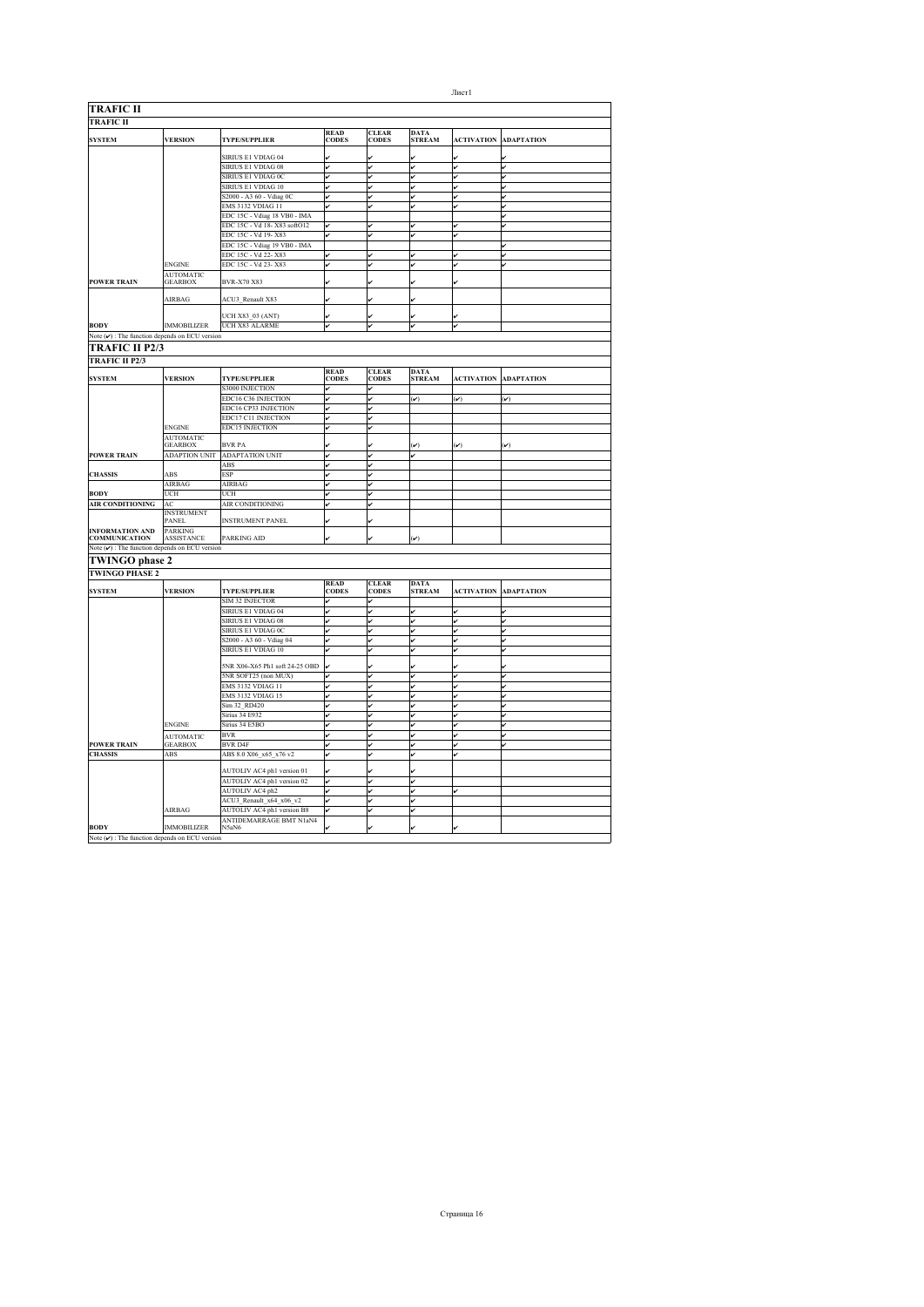| <b>TRAFIC II</b>                                                |                                     |                                |                             |                              |                              |                              |                             |
|-----------------------------------------------------------------|-------------------------------------|--------------------------------|-----------------------------|------------------------------|------------------------------|------------------------------|-----------------------------|
| <b>TRAFIC II</b>                                                |                                     |                                |                             |                              |                              |                              |                             |
| <b>SYSTEM</b>                                                   | <b>VERSION</b>                      | <b>TYPE/SUPPLIER</b>           | <b>READ</b><br><b>CODES</b> | <b>CLEAR</b><br><b>CODES</b> | DATA<br><b>STREAM</b>        | <b>ACTIVATION</b>            | <b>ADAPTATION</b>           |
|                                                                 |                                     | SIRIUS E1 VDIAG 04             |                             |                              |                              |                              |                             |
|                                                                 |                                     | <b>SIRIUS E1 VDIAG 08</b>      | v                           | v                            | v                            | v                            | lv                          |
|                                                                 |                                     | SIRIUS E1 VDIAG 0C             | v                           | v                            | v                            | v                            | lv                          |
|                                                                 |                                     | SIRIUS E1 VDIAG 10             | v                           | ú                            | v                            | ı.                           | ر                           |
|                                                                 |                                     | S2000 - A3 60 - Vdiag 0C       | v                           | ú                            | v                            | lv                           | ✓                           |
|                                                                 |                                     | <b>EMS 3132 VDIAG 11</b>       | v                           | v                            | v                            | lv                           | v                           |
|                                                                 |                                     | EDC 15C - Vdiag 18 VB0 - IMA   |                             |                              |                              |                              | ر                           |
|                                                                 |                                     | EDC 15C - Vd 18-X83 softO12    | v                           |                              | v                            |                              | v                           |
|                                                                 |                                     | EDC 15C - Vd 19-X83            |                             |                              | v                            |                              |                             |
|                                                                 |                                     | EDC 15C - Vdiag 19 VB0 - IMA   |                             |                              |                              |                              | v                           |
|                                                                 |                                     | EDC 15C - Vd 22-X83            |                             |                              |                              |                              | v                           |
|                                                                 | ENGINE                              | EDC 15C - Vd 23-X83            | v                           |                              | v                            |                              | ú                           |
| <b>POWER TRAIN</b>                                              | <b>AUTOMATIC</b><br><b>GEARBOX</b>  | BVR-X70 X83                    |                             |                              |                              |                              |                             |
|                                                                 | <b>AIRBAG</b>                       | ACU3 Renault X83               |                             |                              |                              |                              |                             |
|                                                                 |                                     | UCH X83_03 (ANT)               | v                           |                              | v                            |                              |                             |
| <b>BODY</b>                                                     | <b>IMMOBILIZER</b>                  | <b>UCH X83 ALARME</b>          | v                           | ر                            | v                            | lv                           |                             |
| Note $(\boldsymbol{\nu})$ : The function depends on ECU version |                                     |                                |                             |                              |                              |                              |                             |
| TRAFIC II P2/3                                                  |                                     |                                |                             |                              |                              |                              |                             |
| <b>TRAFIC II P2/3</b>                                           |                                     |                                |                             |                              |                              |                              |                             |
|                                                                 | <b>VERSION</b>                      |                                | <b>READ</b><br>CODES        | <b>CLEAR</b><br>CODES        | <b>DATA</b><br>STREAM        |                              |                             |
| <b>SYSTEM</b>                                                   |                                     | <b>TYPE/SUPPLIER</b>           |                             |                              |                              | <b>ACTIVATION</b>            | <b>ADAPTATION</b>           |
|                                                                 |                                     | <b>S3000 INJECTION</b>         | v                           | v                            |                              |                              |                             |
|                                                                 |                                     | EDC16 C36 INJECTION            | v                           | v                            | $(\boldsymbol{\mathcal{v}})$ | $(\boldsymbol{\mathcal{v}})$ | $(\boldsymbol{\mathsf{v}})$ |
|                                                                 |                                     | EDC16 CP33 INJECTION           | v                           | v                            |                              |                              |                             |
|                                                                 |                                     | EDC17 C11 INJECTION            | v                           | v                            |                              |                              |                             |
|                                                                 | <b>ENGINE</b>                       | <b>EDC15 INJECTION</b>         | v                           | v                            |                              |                              |                             |
|                                                                 | <b>AUTOMATIC</b>                    |                                |                             |                              |                              |                              |                             |
|                                                                 | <b>GEARBOX</b>                      | <b>BVR PA</b>                  |                             |                              | $(\checkmark)$               | $(\boldsymbol{\mathcal{v}})$ | $(\check{v})$               |
| <b>POWER TRAIN</b>                                              | <b>ADAPTION UNIT</b>                | <b>ADAPTATION UNIT</b>         | v                           | v                            | v                            |                              |                             |
|                                                                 |                                     | ABS                            | v                           | ú                            |                              |                              |                             |
| <b>CHASSIS</b>                                                  | <b>ABS</b>                          | <b>ESP</b>                     | v                           | ر                            |                              |                              |                             |
|                                                                 | AIRBAG                              | <b>AIRBAG</b>                  | v                           | ر                            |                              |                              |                             |
| <b>BODY</b>                                                     | UCH                                 | UCH                            | v                           | ú                            |                              |                              |                             |
| <b>AIR CONDITIONING</b>                                         | AC                                  | <b>AIR CONDITIONING</b>        | v                           | ú                            |                              |                              |                             |
|                                                                 | <b>INSTRUMENT</b><br>PANEL          | <b>INSTRUMENT PANEL</b>        |                             |                              |                              |                              |                             |
| INFORMATION AND<br><b>COMMUNICATION</b>                         | <b>PARKING</b><br><b>ASSISTANCE</b> | PARKING AID                    |                             |                              | $(\check{v})$                |                              |                             |
| Note $(\checkmark)$ : The function depends on ECU version       |                                     |                                |                             |                              |                              |                              |                             |
|                                                                 |                                     |                                |                             |                              |                              |                              |                             |
| <b>TWINGO phase 2</b>                                           |                                     |                                |                             |                              |                              |                              |                             |
| <b>TWINGO PHASE 2</b>                                           |                                     |                                |                             |                              |                              |                              |                             |
| <b>SYSTEM</b>                                                   | <b>VERSION</b>                      | <b>TYPE/SUPPLIER</b>           | <b>READ</b><br><b>CODES</b> | <b>CLEAR</b><br><b>CODES</b> | <b>DATA</b><br>STREAM        | <b>ACTIVATION</b>            | <b>ADAPTATION</b>           |
|                                                                 |                                     | <b>SIM 32 INJECTOR</b>         | ✓                           | v                            |                              |                              |                             |
|                                                                 |                                     | SIRIUS E1 VDIAG 04             |                             | v                            | v                            |                              |                             |
|                                                                 |                                     | SIRIUS E1 VDIAG 08             | v                           | v                            | v                            |                              | v                           |
|                                                                 |                                     | SIRIUS E1 VDIAG 0C             | v                           | v                            | v                            |                              | lv                          |
|                                                                 |                                     | S2000 - A3 60 - Vdiag 04       | v                           | v                            | v                            |                              | v                           |
|                                                                 |                                     | SIRIUS E1 VDIAG 10             |                             |                              |                              |                              |                             |
|                                                                 |                                     |                                |                             |                              |                              |                              |                             |
|                                                                 |                                     | 5NR X06-X65 Ph1 soft 24-25 OBD |                             |                              |                              |                              |                             |
|                                                                 |                                     | 5NR SOFT25 (non MUX)           | v                           | ú                            | v                            | ú                            | v                           |
|                                                                 |                                     | <b>EMS 3132 VDIAG 11</b>       | v                           | v                            | v                            | v                            | v                           |
|                                                                 |                                     | <b>EMS 3132 VDIAG 15</b>       | v                           | v                            | v                            | v                            | v                           |
|                                                                 |                                     | Sim 32_RD420                   | ✓                           | ú                            | v                            |                              | ú                           |
|                                                                 |                                     | <b>Sirius 34 E932</b>          |                             | v                            | v                            |                              | v                           |
|                                                                 | <b>ENGINE</b>                       | Sirius 34 E5BO                 |                             | v                            | v                            |                              | v                           |
|                                                                 | <b>AUTOMATIC</b>                    | <b>BVR</b>                     |                             | ú                            | v                            |                              | ú                           |
| <b>POWER TRAIN</b>                                              | <b>GEARBOX</b>                      | <b>BVR D4F</b>                 |                             |                              |                              |                              |                             |
| <b>CHASSIS</b>                                                  | ABS                                 | ABS 8.0 X06 x65 x76 v2         |                             |                              |                              |                              |                             |
|                                                                 |                                     |                                |                             |                              |                              |                              |                             |
|                                                                 |                                     | AUTOLIV AC4 ph1 version 01     |                             |                              |                              |                              |                             |
|                                                                 |                                     | AUTOLIV AC4 ph1 version 02     | v                           |                              | v                            |                              |                             |
|                                                                 |                                     | AUTOLIV AC4 ph2                | v                           | v                            | v                            | v                            |                             |
|                                                                 |                                     | ACU3_Renault_x64_x06_v2        | v                           | v                            | v                            |                              |                             |
|                                                                 | AIRBAG                              | AUTOLIV AC4 ph1 version B8     | v                           | v                            | v                            |                              |                             |
|                                                                 |                                     | ANTIDEMARRAGE BMT N1aN4        |                             |                              |                              |                              |                             |
| <b>BODY</b>                                                     | <b>IMMOBILIZER</b>                  | N5aN6                          |                             |                              |                              |                              |                             |
| Note $(v)$ : The function depends on ECU version                |                                     |                                |                             |                              |                              |                              |                             |